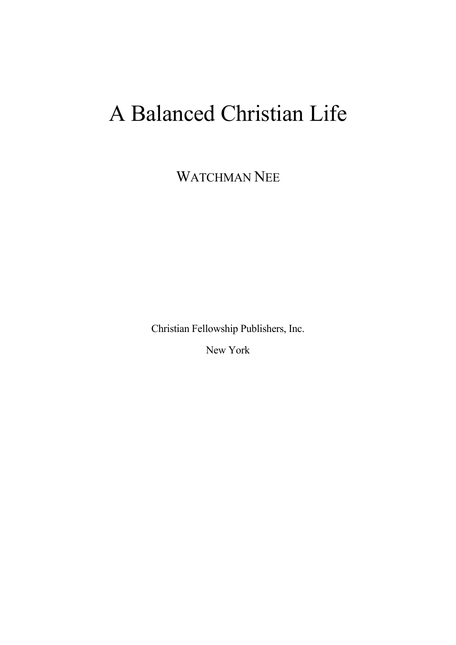# A Balanced Christian Life

WATCHMAN NEE

Christian Fellowship Publishers, Inc.

New York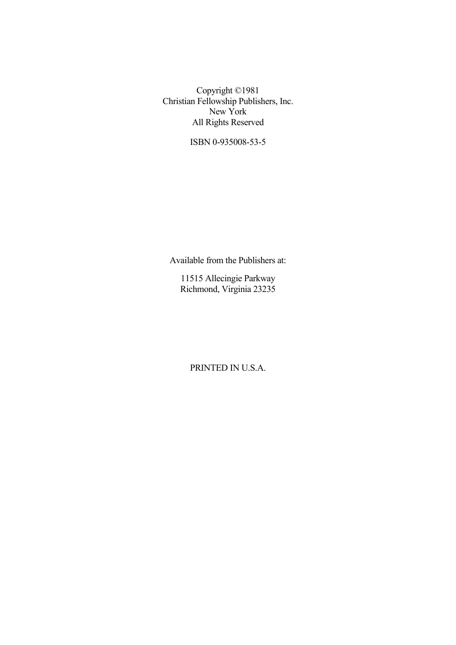Copyright ©1981 Christian Fellowship Publishers, Inc. New York All Rights Reserved

ISBN 0-935008-53-5

Available from the Publishers at:

11515 Allecingie Parkway Richmond, Virginia 23235

PRINTED IN U.S.A.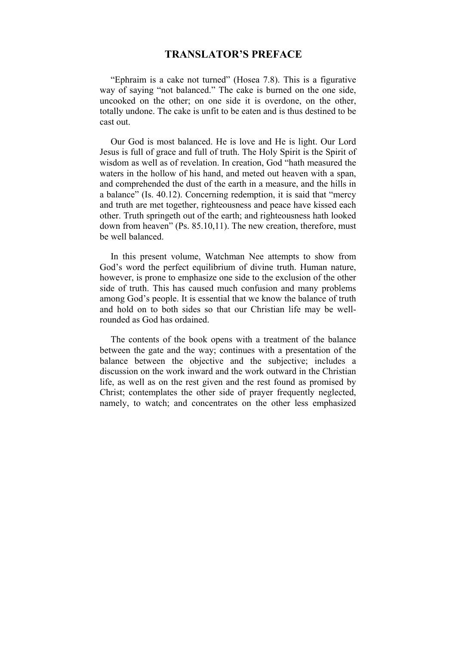### **TRANSLATOR'S PREFACE**

"Ephraim is a cake not turned" (Hosea 7.8). This is a figurative way of saying "not balanced." The cake is burned on the one side, uncooked on the other; on one side it is overdone, on the other, totally undone. The cake is unfit to be eaten and is thus destined to be cast out.

Our God is most balanced. He is love and He is light. Our Lord Jesus is full of grace and full of truth. The Holy Spirit is the Spirit of wisdom as well as of revelation. In creation, God "hath measured the waters in the hollow of his hand, and meted out heaven with a span, and comprehended the dust of the earth in a measure, and the hills in a balance" (Is. 40.12). Concerning redemption, it is said that "mercy and truth are met together, righteousness and peace have kissed each other. Truth springeth out of the earth; and righteousness hath looked down from heaven" (Ps. 85.10,11). The new creation, therefore, must be well balanced.

In this present volume, Watchman Nee attempts to show from God's word the perfect equilibrium of divine truth. Human nature, however, is prone to emphasize one side to the exclusion of the other side of truth. This has caused much confusion and many problems among God's people. It is essential that we know the balance of truth and hold on to both sides so that our Christian life may be wellrounded as God has ordained.

The contents of the book opens with a treatment of the balance between the gate and the way; continues with a presentation of the balance between the objective and the subjective; includes a discussion on the work inward and the work outward in the Christian life, as well as on the rest given and the rest found as promised by Christ; contemplates the other side of prayer frequently neglected, namely, to watch; and concentrates on the other less emphasized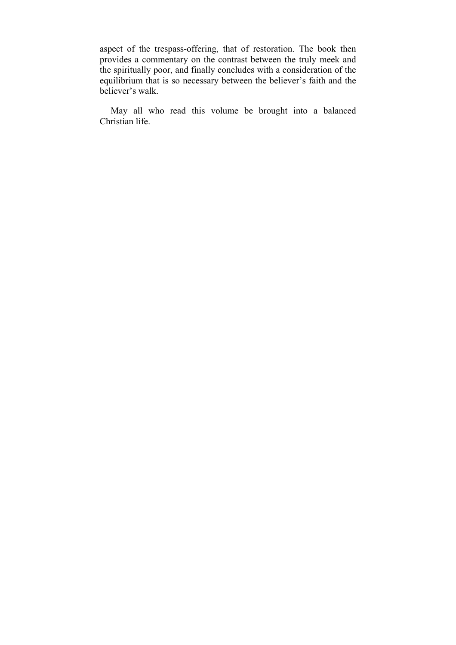aspect of the trespass-offering, that of restoration. The book then provides a commentary on the contrast between the truly meek and the spiritually poor, and finally concludes with a consideration of the equilibrium that is so necessary between the believer's faith and the believer's walk.

May all who read this volume be brought into a balanced Christian life.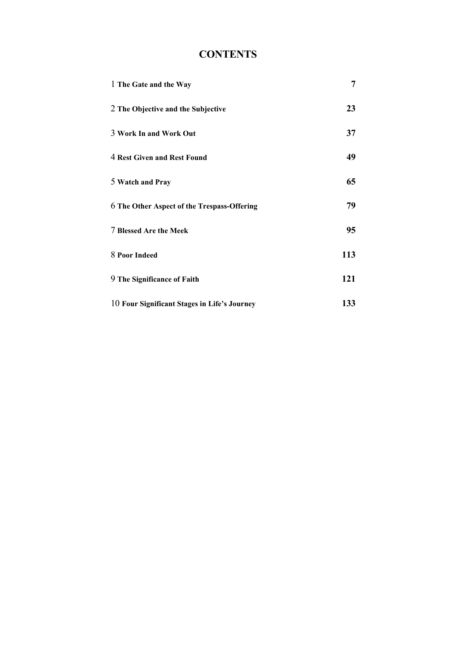### **CONTENTS**

| 1 The Gate and the Way                       | 7   |
|----------------------------------------------|-----|
| 2 The Objective and the Subjective           | 23  |
| 3 Work In and Work Out                       | 37  |
| 4 Rest Given and Rest Found                  | 49  |
| 5 Watch and Pray                             | 65  |
| 6 The Other Aspect of the Trespass-Offering  | 79  |
| 7 Blessed Are the Meek                       | 95  |
| 8 Poor Indeed                                | 113 |
| 9 The Significance of Faith                  | 121 |
| 10 Four Significant Stages in Life's Journey | 133 |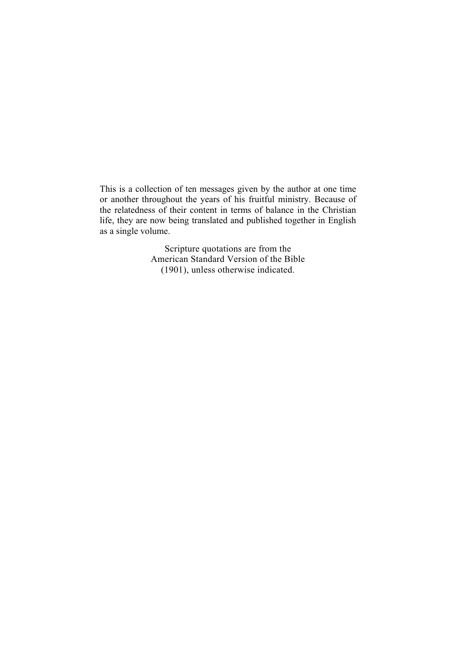This is a collection of ten messages given by the author at one time or another throughout the years of his fruitful ministry. Because of the relatedness of their content in terms of balance in the Christian life, they are now being translated and published together in English as a single volume.

> Scripture quotations are from the American Standard Version of the Bible (1901), unless otherwise indicated.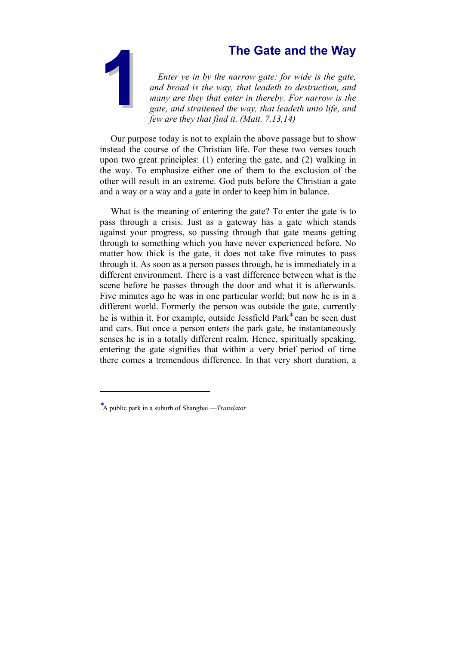

<span id="page-6-0"></span>**1The Gate and the Way**<br> **1The Gate and the Way**<br> *Enter ye in by the narrow gate: for wide is the gate, and broad is the way, that leadeth to destruction, and many are they that enter in thereby. For narrow is the gate, a Enter ye in by the narrow gate: for wide is the gate, and broad is the way, that leadeth to destruction, and many are they that enter in thereby. For narrow is the gate, and straitened the way, that leadeth unto life, and few are they that find it. (Matt. 7.13,14)*

Our purpose today is not to explain the above passage but to show instead the course of the Christian life. For these two verses touch upon two great principles: (1) entering the gate, and (2) walking in the way. To emphasize either one of them to the exclusion of the other will result in an extreme. God puts before the Christian a gate and a way or a way and a gate in order to keep him in balance.

What is the meaning of entering the gate? To enter the gate is to pass through a crisis. Just as a gateway has a gate which stands against your progress, so passing through that gate means getting through to something which you have never experienced before. No matter how thick is the gate, it does not take five minutes to pass through it. As soon as a person passes through, he is immediately in a different environment. There is a vast difference between what is the scene before he passes through the door and what it is afterwards. Five minutes ago he was in one particular world; but now he is in a different world. Formerly the person was outside the gate, currently he is within it. For example, outside Jessfield Park<sup>\*</sup> can be seen dust and cars. But once a person enters the park gate, he instantaneously senses he is in a totally different realm. Hence, spiritually speaking, entering the gate signifies that within a very brief period of time there comes a tremendous difference. In that very short duration, a

-

<sup>∗</sup> A public park in a suburb of Shanghai.—*Translator*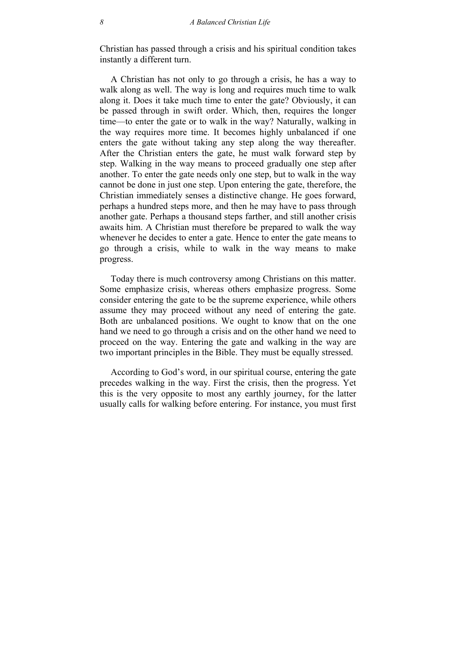Christian has passed through a crisis and his spiritual condition takes instantly a different turn.

A Christian has not only to go through a crisis, he has a way to walk along as well. The way is long and requires much time to walk along it. Does it take much time to enter the gate? Obviously, it can be passed through in swift order. Which, then, requires the longer time—to enter the gate or to walk in the way? Naturally, walking in the way requires more time. It becomes highly unbalanced if one enters the gate without taking any step along the way thereafter. After the Christian enters the gate, he must walk forward step by step. Walking in the way means to proceed gradually one step after another. To enter the gate needs only one step, but to walk in the way cannot be done in just one step. Upon entering the gate, therefore, the Christian immediately senses a distinctive change. He goes forward, perhaps a hundred steps more, and then he may have to pass through another gate. Perhaps a thousand steps farther, and still another crisis awaits him. A Christian must therefore be prepared to walk the way whenever he decides to enter a gate. Hence to enter the gate means to go through a crisis, while to walk in the way means to make progress.

Today there is much controversy among Christians on this matter. Some emphasize crisis, whereas others emphasize progress. Some consider entering the gate to be the supreme experience, while others assume they may proceed without any need of entering the gate. Both are unbalanced positions. We ought to know that on the one hand we need to go through a crisis and on the other hand we need to proceed on the way. Entering the gate and walking in the way are two important principles in the Bible. They must be equally stressed.

According to God's word, in our spiritual course, entering the gate precedes walking in the way. First the crisis, then the progress. Yet this is the very opposite to most any earthly journey, for the latter usually calls for walking before entering. For instance, you must first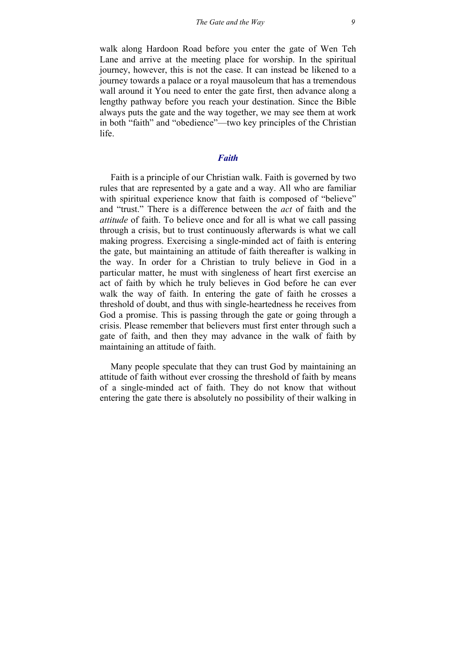walk along Hardoon Road before you enter the gate of Wen Teh

Lane and arrive at the meeting place for worship. In the spiritual journey, however, this is not the case. It can instead be likened to a journey towards a palace or a royal mausoleum that has a tremendous wall around it You need to enter the gate first, then advance along a lengthy pathway before you reach your destination. Since the Bible always puts the gate and the way together, we may see them at work in both "faith" and "obedience"—two key principles of the Christian life.

#### *Faith*

Faith is a principle of our Christian walk. Faith is governed by two rules that are represented by a gate and a way. All who are familiar with spiritual experience know that faith is composed of "believe" and "trust." There is a difference between the *act* of faith and the *attitude* of faith. To believe once and for all is what we call passing through a crisis, but to trust continuously afterwards is what we call making progress. Exercising a single-minded act of faith is entering the gate, but maintaining an attitude of faith thereafter is walking in the way. In order for a Christian to truly believe in God in a particular matter, he must with singleness of heart first exercise an act of faith by which he truly believes in God before he can ever walk the way of faith. In entering the gate of faith he crosses a threshold of doubt, and thus with single-heartedness he receives from God a promise. This is passing through the gate or going through a crisis. Please remember that believers must first enter through such a gate of faith, and then they may advance in the walk of faith by maintaining an attitude of faith.

Many people speculate that they can trust God by maintaining an attitude of faith without ever crossing the threshold of faith by means of a single-minded act of faith. They do not know that without entering the gate there is absolutely no possibility of their walking in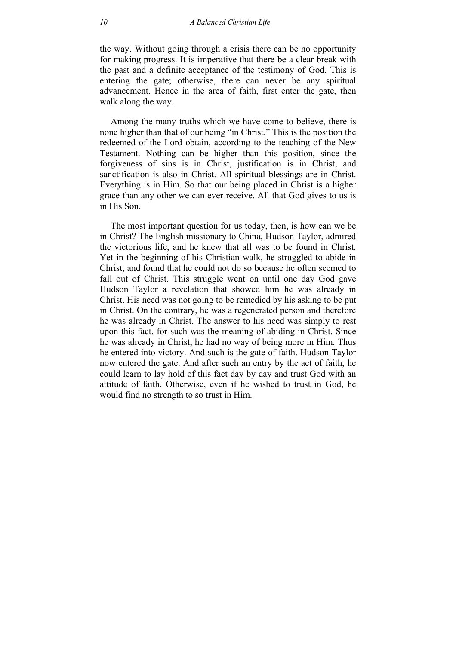the way. Without going through a crisis there can be no opportunity for making progress. It is imperative that there be a clear break with the past and a definite acceptance of the testimony of God. This is entering the gate; otherwise, there can never be any spiritual advancement. Hence in the area of faith, first enter the gate, then walk along the way.

Among the many truths which we have come to believe, there is none higher than that of our being "in Christ." This is the position the redeemed of the Lord obtain, according to the teaching of the New Testament. Nothing can be higher than this position, since the forgiveness of sins is in Christ, justification is in Christ, and sanctification is also in Christ. All spiritual blessings are in Christ. Everything is in Him. So that our being placed in Christ is a higher grace than any other we can ever receive. All that God gives to us is in His Son.

The most important question for us today, then, is how can we be in Christ? The English missionary to China, Hudson Taylor, admired the victorious life, and he knew that all was to be found in Christ. Yet in the beginning of his Christian walk, he struggled to abide in Christ, and found that he could not do so because he often seemed to fall out of Christ. This struggle went on until one day God gave Hudson Taylor a revelation that showed him he was already in Christ. His need was not going to be remedied by his asking to be put in Christ. On the contrary, he was a regenerated person and therefore he was already in Christ. The answer to his need was simply to rest upon this fact, for such was the meaning of abiding in Christ. Since he was already in Christ, he had no way of being more in Him. Thus he entered into victory. And such is the gate of faith. Hudson Taylor now entered the gate. And after such an entry by the act of faith, he could learn to lay hold of this fact day by day and trust God with an attitude of faith. Otherwise, even if he wished to trust in God, he would find no strength to so trust in Him.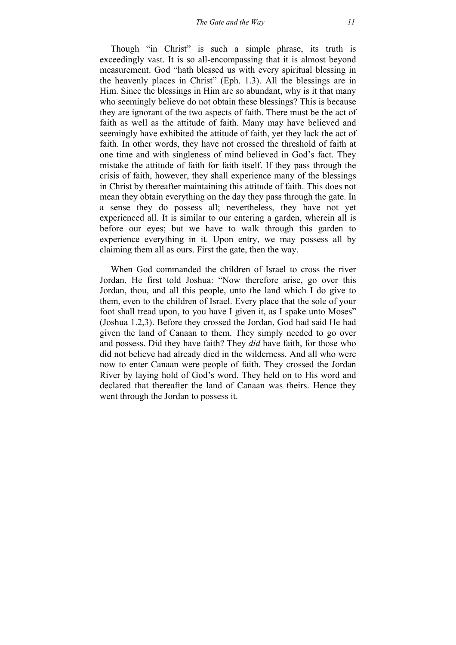Though "in Christ" is such a simple phrase, its truth is exceedingly vast. It is so all-encompassing that it is almost beyond measurement. God "hath blessed us with every spiritual blessing in the heavenly places in Christ" (Eph. 1.3). All the blessings are in Him. Since the blessings in Him are so abundant, why is it that many who seemingly believe do not obtain these blessings? This is because they are ignorant of the two aspects of faith. There must be the act of faith as well as the attitude of faith. Many may have believed and seemingly have exhibited the attitude of faith, yet they lack the act of faith. In other words, they have not crossed the threshold of faith at one time and with singleness of mind believed in God's fact. They mistake the attitude of faith for faith itself. If they pass through the crisis of faith, however, they shall experience many of the blessings in Christ by thereafter maintaining this attitude of faith. This does not mean they obtain everything on the day they pass through the gate. In a sense they do possess all; nevertheless, they have not yet experienced all. It is similar to our entering a garden, wherein all is before our eyes; but we have to walk through this garden to experience everything in it. Upon entry, we may possess all by claiming them all as ours. First the gate, then the way.

When God commanded the children of Israel to cross the river Jordan, He first told Joshua: "Now therefore arise, go over this Jordan, thou, and all this people, unto the land which I do give to them, even to the children of Israel. Every place that the sole of your foot shall tread upon, to you have I given it, as I spake unto Moses" (Joshua 1.2,3). Before they crossed the Jordan, God had said He had given the land of Canaan to them. They simply needed to go over and possess. Did they have faith? They *did* have faith, for those who did not believe had already died in the wilderness. And all who were now to enter Canaan were people of faith. They crossed the Jordan River by laying hold of God's word. They held on to His word and declared that thereafter the land of Canaan was theirs. Hence they went through the Jordan to possess it.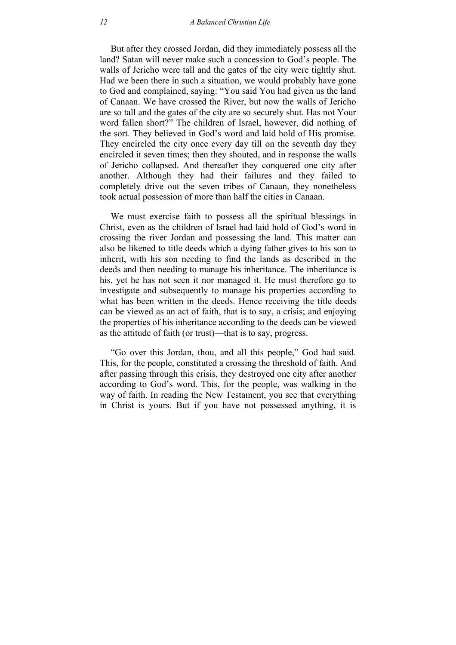But after they crossed Jordan, did they immediately possess all the land? Satan will never make such a concession to God's people. The walls of Jericho were tall and the gates of the city were tightly shut. Had we been there in such a situation, we would probably have gone to God and complained, saying: "You said You had given us the land of Canaan. We have crossed the River, but now the walls of Jericho are so tall and the gates of the city are so securely shut. Has not Your word fallen short?" The children of Israel, however, did nothing of the sort. They believed in God's word and laid hold of His promise. They encircled the city once every day till on the seventh day they encircled it seven times; then they shouted, and in response the walls of Jericho collapsed. And thereafter they conquered one city after another. Although they had their failures and they failed to completely drive out the seven tribes of Canaan, they nonetheless took actual possession of more than half the cities in Canaan.

We must exercise faith to possess all the spiritual blessings in Christ, even as the children of Israel had laid hold of God's word in crossing the river Jordan and possessing the land. This matter can also be likened to title deeds which a dying father gives to his son to inherit, with his son needing to find the lands as described in the deeds and then needing to manage his inheritance. The inheritance is his, yet he has not seen it nor managed it. He must therefore go to investigate and subsequently to manage his properties according to what has been written in the deeds. Hence receiving the title deeds can be viewed as an act of faith, that is to say, a crisis; and enjoying the properties of his inheritance according to the deeds can be viewed as the attitude of faith (or trust)—that is to say, progress.

"Go over this Jordan, thou, and all this people," God had said. This, for the people, constituted a crossing the threshold of faith. And after passing through this crisis, they destroyed one city after another according to God's word. This, for the people, was walking in the way of faith. In reading the New Testament, you see that everything in Christ is yours. But if you have not possessed anything, it is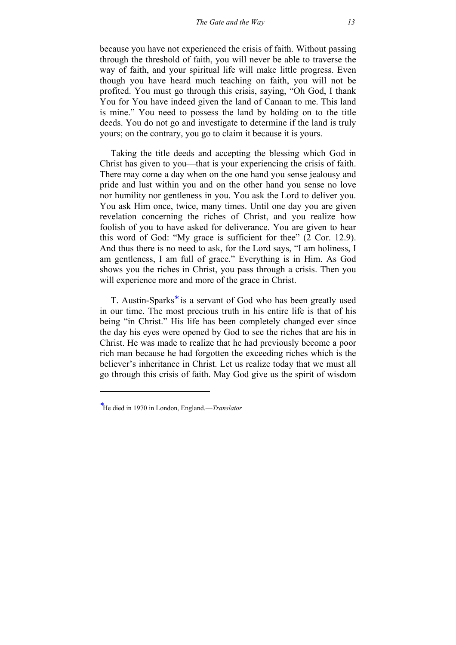because you have not experienced the crisis of faith. Without passing through the threshold of faith, you will never be able to traverse the way of faith, and your spiritual life will make little progress. Even though you have heard much teaching on faith, you will not be profited. You must go through this crisis, saying, "Oh God, I thank You for You have indeed given the land of Canaan to me. This land is mine." You need to possess the land by holding on to the title deeds. You do not go and investigate to determine if the land is truly yours; on the contrary, you go to claim it because it is yours.

Taking the title deeds and accepting the blessing which God in Christ has given to you—that is your experiencing the crisis of faith. There may come a day when on the one hand you sense jealousy and pride and lust within you and on the other hand you sense no love nor humility nor gentleness in you. You ask the Lord to deliver you. You ask Him once, twice, many times. Until one day you are given revelation concerning the riches of Christ, and you realize how foolish of you to have asked for deliverance. You are given to hear this word of God: "My grace is sufficient for thee" (2 Cor. 12.9). And thus there is no need to ask, for the Lord says, "I am holiness, I am gentleness, I am full of grace." Everything is in Him. As God shows you the riches in Christ, you pass through a crisis. Then you will experience more and more of the grace in Christ.

T. Austin-Sparks<sup>∗</sup> is a servant of God who has been greatly used in our time. The most precious truth in his entire life is that of his being "in Christ." His life has been completely changed ever since the day his eyes were opened by God to see the riches that are his in Christ. He was made to realize that he had previously become a poor rich man because he had forgotten the exceeding riches which is the believer's inheritance in Christ. Let us realize today that we must all go through this crisis of faith. May God give us the spirit of wisdom

-

<sup>∗</sup> He died in 1970 in London, England.—*Translator*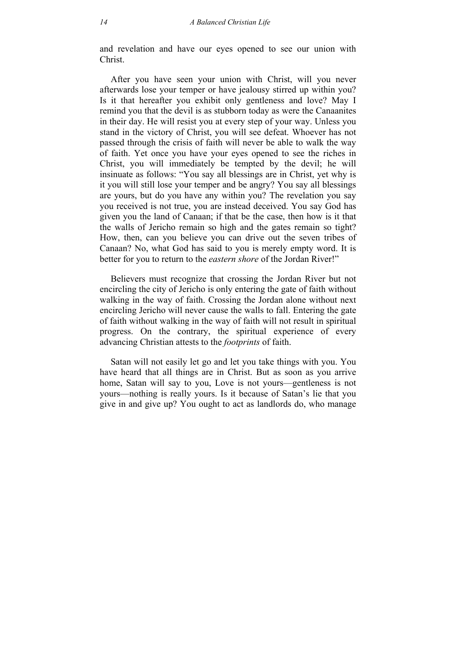and revelation and have our eyes opened to see our union with Christ.

After you have seen your union with Christ, will you never afterwards lose your temper or have jealousy stirred up within you? Is it that hereafter you exhibit only gentleness and love? May I remind you that the devil is as stubborn today as were the Canaanites in their day. He will resist you at every step of your way. Unless you stand in the victory of Christ, you will see defeat. Whoever has not passed through the crisis of faith will never be able to walk the way of faith. Yet once you have your eyes opened to see the riches in Christ, you will immediately be tempted by the devil; he will insinuate as follows: "You say all blessings are in Christ, yet why is it you will still lose your temper and be angry? You say all blessings are yours, but do you have any within you? The revelation you say you received is not true, you are instead deceived. You say God has given you the land of Canaan; if that be the case, then how is it that the walls of Jericho remain so high and the gates remain so tight? How, then, can you believe you can drive out the seven tribes of Canaan? No, what God has said to you is merely empty word. It is better for you to return to the *eastern shore* of the Jordan River!"

Believers must recognize that crossing the Jordan River but not encircling the city of Jericho is only entering the gate of faith without walking in the way of faith. Crossing the Jordan alone without next encircling Jericho will never cause the walls to fall. Entering the gate of faith without walking in the way of faith will not result in spiritual progress. On the contrary, the spiritual experience of every advancing Christian attests to the *footprints* of faith.

Satan will not easily let go and let you take things with you. You have heard that all things are in Christ. But as soon as you arrive home, Satan will say to you, Love is not yours—gentleness is not yours—nothing is really yours. Is it because of Satan's lie that you give in and give up? You ought to act as landlords do, who manage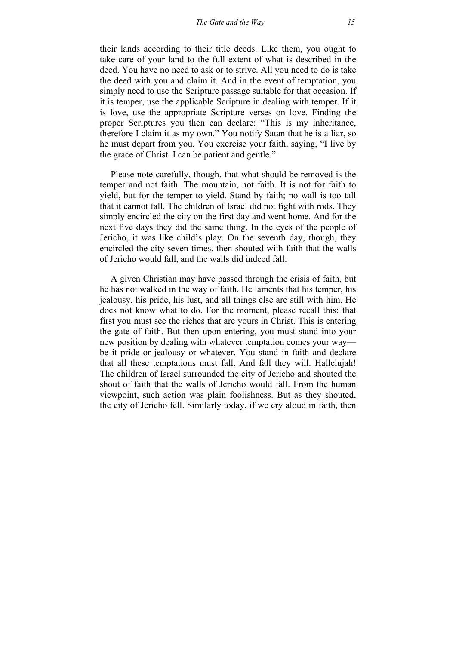their lands according to their title deeds. Like them, you ought to take care of your land to the full extent of what is described in the deed. You have no need to ask or to strive. All you need to do is take the deed with you and claim it. And in the event of temptation, you simply need to use the Scripture passage suitable for that occasion. If it is temper, use the applicable Scripture in dealing with temper. If it is love, use the appropriate Scripture verses on love. Finding the proper Scriptures you then can declare: "This is my inheritance, therefore I claim it as my own." You notify Satan that he is a liar, so he must depart from you. You exercise your faith, saying, "I live by the grace of Christ. I can be patient and gentle."

Please note carefully, though, that what should be removed is the temper and not faith. The mountain, not faith. It is not for faith to yield, but for the temper to yield. Stand by faith; no wall is too tall that it cannot fall. The children of Israel did not fight with rods. They simply encircled the city on the first day and went home. And for the next five days they did the same thing. In the eyes of the people of Jericho, it was like child's play. On the seventh day, though, they encircled the city seven times, then shouted with faith that the walls of Jericho would fall, and the walls did indeed fall.

A given Christian may have passed through the crisis of faith, but he has not walked in the way of faith. He laments that his temper, his jealousy, his pride, his lust, and all things else are still with him. He does not know what to do. For the moment, please recall this: that first you must see the riches that are yours in Christ. This is entering the gate of faith. But then upon entering, you must stand into your new position by dealing with whatever temptation comes your way be it pride or jealousy or whatever. You stand in faith and declare that all these temptations must fall. And fall they will. Hallelujah! The children of Israel surrounded the city of Jericho and shouted the shout of faith that the walls of Jericho would fall. From the human viewpoint, such action was plain foolishness. But as they shouted, the city of Jericho fell. Similarly today, if we cry aloud in faith, then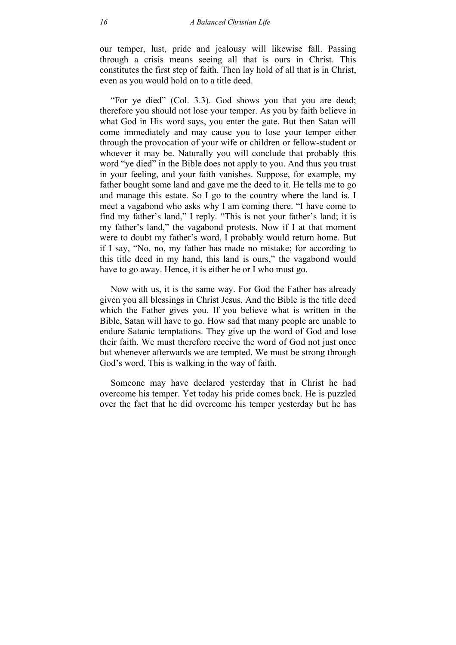our temper, lust, pride and jealousy will likewise fall. Passing through a crisis means seeing all that is ours in Christ. This constitutes the first step of faith. Then lay hold of all that is in Christ, even as you would hold on to a title deed.

"For ye died" (Col. 3.3). God shows you that you are dead; therefore you should not lose your temper. As you by faith believe in what God in His word says, you enter the gate. But then Satan will come immediately and may cause you to lose your temper either through the provocation of your wife or children or fellow-student or whoever it may be. Naturally you will conclude that probably this word "ye died" in the Bible does not apply to you. And thus you trust in your feeling, and your faith vanishes. Suppose, for example, my father bought some land and gave me the deed to it. He tells me to go and manage this estate. So I go to the country where the land is. I meet a vagabond who asks why I am coming there. "I have come to find my father's land," I reply. "This is not your father's land; it is my father's land," the vagabond protests. Now if I at that moment were to doubt my father's word, I probably would return home. But if I say, "No, no, my father has made no mistake; for according to this title deed in my hand, this land is ours," the vagabond would have to go away. Hence, it is either he or I who must go.

Now with us, it is the same way. For God the Father has already given you all blessings in Christ Jesus. And the Bible is the title deed which the Father gives you. If you believe what is written in the Bible, Satan will have to go. How sad that many people are unable to endure Satanic temptations. They give up the word of God and lose their faith. We must therefore receive the word of God not just once but whenever afterwards we are tempted. We must be strong through God's word. This is walking in the way of faith.

Someone may have declared yesterday that in Christ he had overcome his temper. Yet today his pride comes back. He is puzzled over the fact that he did overcome his temper yesterday but he has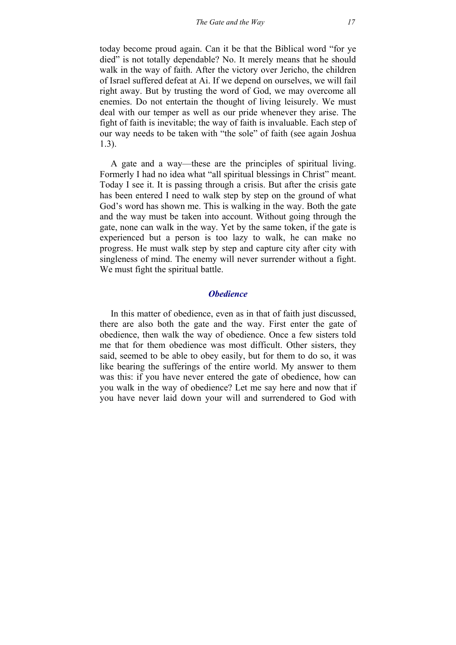today become proud again. Can it be that the Biblical word "for ye died" is not totally dependable? No. It merely means that he should walk in the way of faith. After the victory over Jericho, the children of Israel suffered defeat at Ai. If we depend on ourselves, we will fail right away. But by trusting the word of God, we may overcome all enemies. Do not entertain the thought of living leisurely. We must deal with our temper as well as our pride whenever they arise. The fight of faith is inevitable; the way of faith is invaluable. Each step of our way needs to be taken with "the sole" of faith (see again Joshua 1.3).

A gate and a way—these are the principles of spiritual living. Formerly I had no idea what "all spiritual blessings in Christ" meant. Today I see it. It is passing through a crisis. But after the crisis gate has been entered I need to walk step by step on the ground of what God's word has shown me. This is walking in the way. Both the gate and the way must be taken into account. Without going through the gate, none can walk in the way. Yet by the same token, if the gate is experienced but a person is too lazy to walk, he can make no progress. He must walk step by step and capture city after city with singleness of mind. The enemy will never surrender without a fight. We must fight the spiritual battle.

### *Obedience*

In this matter of obedience, even as in that of faith just discussed, there are also both the gate and the way. First enter the gate of obedience, then walk the way of obedience. Once a few sisters told me that for them obedience was most difficult. Other sisters, they said, seemed to be able to obey easily, but for them to do so, it was like bearing the sufferings of the entire world. My answer to them was this: if you have never entered the gate of obedience, how can you walk in the way of obedience? Let me say here and now that if you have never laid down your will and surrendered to God with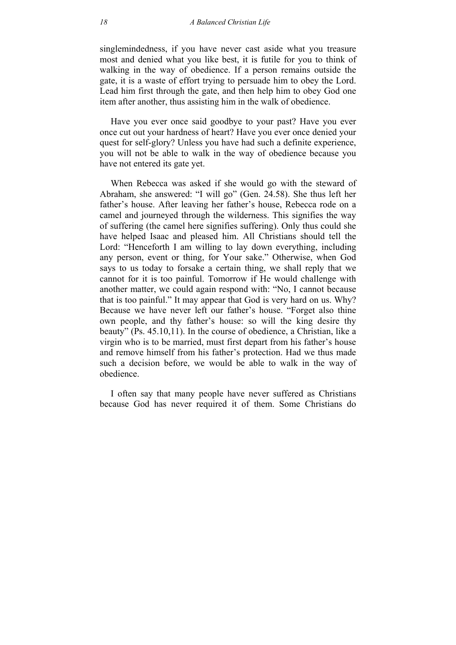singlemindedness, if you have never cast aside what you treasure most and denied what you like best, it is futile for you to think of walking in the way of obedience. If a person remains outside the gate, it is a waste of effort trying to persuade him to obey the Lord. Lead him first through the gate, and then help him to obey God one item after another, thus assisting him in the walk of obedience.

Have you ever once said goodbye to your past? Have you ever once cut out your hardness of heart? Have you ever once denied your quest for self-glory? Unless you have had such a definite experience, you will not be able to walk in the way of obedience because you have not entered its gate yet.

When Rebecca was asked if she would go with the steward of Abraham, she answered: "I will go" (Gen. 24.58). She thus left her father's house. After leaving her father's house, Rebecca rode on a camel and journeyed through the wilderness. This signifies the way of suffering (the camel here signifies suffering). Only thus could she have helped Isaac and pleased him. All Christians should tell the Lord: "Henceforth I am willing to lay down everything, including any person, event or thing, for Your sake." Otherwise, when God says to us today to forsake a certain thing, we shall reply that we cannot for it is too painful. Tomorrow if He would challenge with another matter, we could again respond with: "No, I cannot because that is too painful." It may appear that God is very hard on us. Why? Because we have never left our father's house. "Forget also thine own people, and thy father's house: so will the king desire thy beauty" (Ps. 45.10,11). In the course of obedience, a Christian, like a virgin who is to be married, must first depart from his father's house and remove himself from his father's protection. Had we thus made such a decision before, we would be able to walk in the way of obedience.

I often say that many people have never suffered as Christians because God has never required it of them. Some Christians do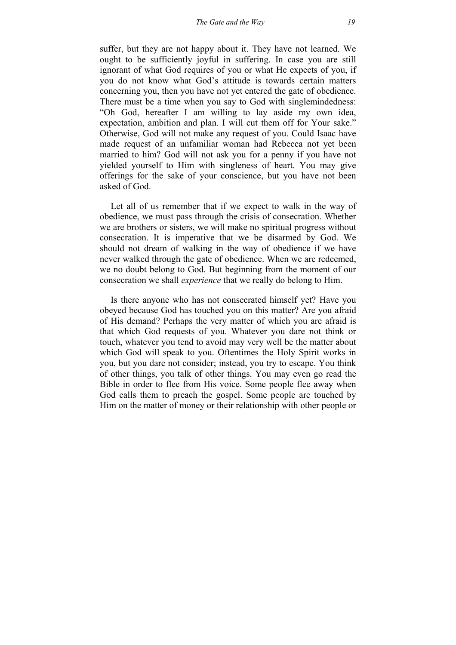suffer, but they are not happy about it. They have not learned. We ought to be sufficiently joyful in suffering. In case you are still ignorant of what God requires of you or what He expects of you, if you do not know what God's attitude is towards certain matters concerning you, then you have not yet entered the gate of obedience. There must be a time when you say to God with singlemindedness: "Oh God, hereafter I am willing to lay aside my own idea, expectation, ambition and plan. I will cut them off for Your sake." Otherwise, God will not make any request of you. Could Isaac have made request of an unfamiliar woman had Rebecca not yet been married to him? God will not ask you for a penny if you have not yielded yourself to Him with singleness of heart. You may give offerings for the sake of your conscience, but you have not been asked of God.

Let all of us remember that if we expect to walk in the way of obedience, we must pass through the crisis of consecration. Whether we are brothers or sisters, we will make no spiritual progress without consecration. It is imperative that we be disarmed by God. We should not dream of walking in the way of obedience if we have never walked through the gate of obedience. When we are redeemed, we no doubt belong to God. But beginning from the moment of our consecration we shall *experience* that we really do belong to Him.

Is there anyone who has not consecrated himself yet? Have you obeyed because God has touched you on this matter? Are you afraid of His demand? Perhaps the very matter of which you are afraid is that which God requests of you. Whatever you dare not think or touch, whatever you tend to avoid may very well be the matter about which God will speak to you. Oftentimes the Holy Spirit works in you, but you dare not consider; instead, you try to escape. You think of other things, you talk of other things. You may even go read the Bible in order to flee from His voice. Some people flee away when God calls them to preach the gospel. Some people are touched by Him on the matter of money or their relationship with other people or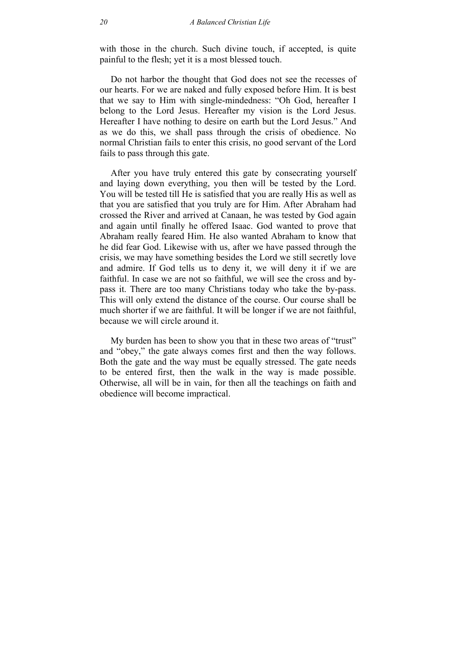with those in the church. Such divine touch, if accepted, is quite painful to the flesh; yet it is a most blessed touch.

Do not harbor the thought that God does not see the recesses of our hearts. For we are naked and fully exposed before Him. It is best that we say to Him with single-mindedness: "Oh God, hereafter I belong to the Lord Jesus. Hereafter my vision is the Lord Jesus. Hereafter I have nothing to desire on earth but the Lord Jesus." And as we do this, we shall pass through the crisis of obedience. No normal Christian fails to enter this crisis, no good servant of the Lord fails to pass through this gate.

After you have truly entered this gate by consecrating yourself and laying down everything, you then will be tested by the Lord. You will be tested till He is satisfied that you are really His as well as that you are satisfied that you truly are for Him. After Abraham had crossed the River and arrived at Canaan, he was tested by God again and again until finally he offered Isaac. God wanted to prove that Abraham really feared Him. He also wanted Abraham to know that he did fear God. Likewise with us, after we have passed through the crisis, we may have something besides the Lord we still secretly love and admire. If God tells us to deny it, we will deny it if we are faithful. In case we are not so faithful, we will see the cross and bypass it. There are too many Christians today who take the by-pass. This will only extend the distance of the course. Our course shall be much shorter if we are faithful. It will be longer if we are not faithful, because we will circle around it.

My burden has been to show you that in these two areas of "trust" and "obey," the gate always comes first and then the way follows. Both the gate and the way must be equally stressed. The gate needs to be entered first, then the walk in the way is made possible. Otherwise, all will be in vain, for then all the teachings on faith and obedience will become impractical.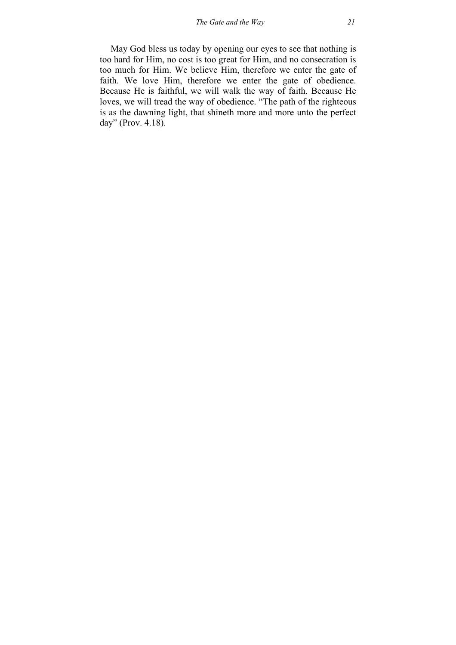May God bless us today by opening our eyes to see that nothing is too hard for Him, no cost is too great for Him, and no consecration is too much for Him. We believe Him, therefore we enter the gate of faith. We love Him, therefore we enter the gate of obedience. Because He is faithful, we will walk the way of faith. Because He loves, we will tread the way of obedience. "The path of the righteous is as the dawning light, that shineth more and more unto the perfect day" (Prov. 4.18).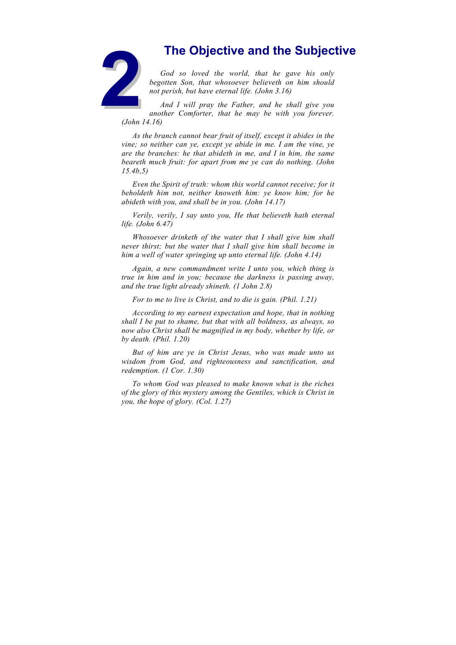<span id="page-22-0"></span>

## **2The Objective and the Subjective**

*God so loved the world, that he gave his only begotten Son, that whosoever believeth on him should not perish, but have eternal life. (John 3.16)*

*And I will pray the Father, and he shall give you another Comforter, that he may be with you forever. (John 14.16)*

*As the branch cannot bear fruit of itself, except it abides in the vine; so neither can ye, except ye abide in me. I am the vine, ye are the branches: he that abideth in me, and I in him, the same beareth much fruit: for apart from me ye can do nothing. (John 15.4b,5)*

*Even the Spirit of truth: whom this world cannot receive; for it beholdeth him not, neither knoweth him: ye know him; for he abideth with you, and shall be in you. (John 14.17)*

*Verily, verily, I say unto you, He that believeth hath eternal life. (John 6.47)*

*Whosoever drinketh of the water that I shall give him shall never thirst; but the water that I shall give him shall become in him a well of water springing up unto eternal life. (John 4.14)*

*Again, a new commandment write I unto you, which thing is true in him and in you; because the darkness is passing away, and the true light already shineth. (1 John 2.8)*

*For to me to live is Christ, and to die is gain. (Phil. 1.21)*

*According to my earnest expectation and hope, that in nothing shall I be put to shame, but that with all boldness, as always, so now also Christ shall be magnified in my body, whether by life, or by death. (Phil. 1.20)*

*But of him are ye in Christ Jesus, who was made unto us wisdom from God, and righteousness and sanctification, and redemption. (1 Cor. 1.30)*

*To whom God was pleased to make known what is the riches of the glory of this mystery among the Gentiles, which is Christ in you, the hope of glory. (Col. 1.27)*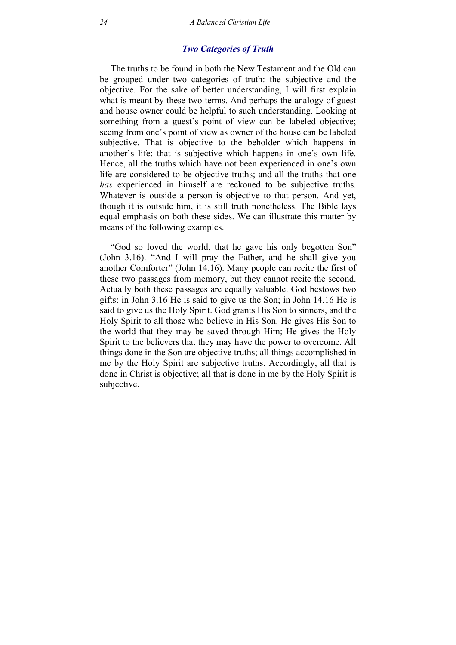### *Two Categories of Truth*

The truths to be found in both the New Testament and the Old can be grouped under two categories of truth: the subjective and the objective. For the sake of better understanding, I will first explain what is meant by these two terms. And perhaps the analogy of guest and house owner could be helpful to such understanding. Looking at something from a guest's point of view can be labeled objective; seeing from one's point of view as owner of the house can be labeled subjective. That is objective to the beholder which happens in another's life; that is subjective which happens in one's own life. Hence, all the truths which have not been experienced in one's own life are considered to be objective truths; and all the truths that one *has* experienced in himself are reckoned to be subjective truths. Whatever is outside a person is objective to that person. And yet, though it is outside him, it is still truth nonetheless. The Bible lays equal emphasis on both these sides. We can illustrate this matter by means of the following examples.

"God so loved the world, that he gave his only begotten Son" (John 3.16). "And I will pray the Father, and he shall give you another Comforter" (John 14.16). Many people can recite the first of these two passages from memory, but they cannot recite the second. Actually both these passages are equally valuable. God bestows two gifts: in John 3.16 He is said to give us the Son; in John 14.16 He is said to give us the Holy Spirit. God grants His Son to sinners, and the Holy Spirit to all those who believe in His Son. He gives His Son to the world that they may be saved through Him; He gives the Holy Spirit to the believers that they may have the power to overcome. All things done in the Son are objective truths; all things accomplished in me by the Holy Spirit are subjective truths. Accordingly, all that is done in Christ is objective; all that is done in me by the Holy Spirit is subjective.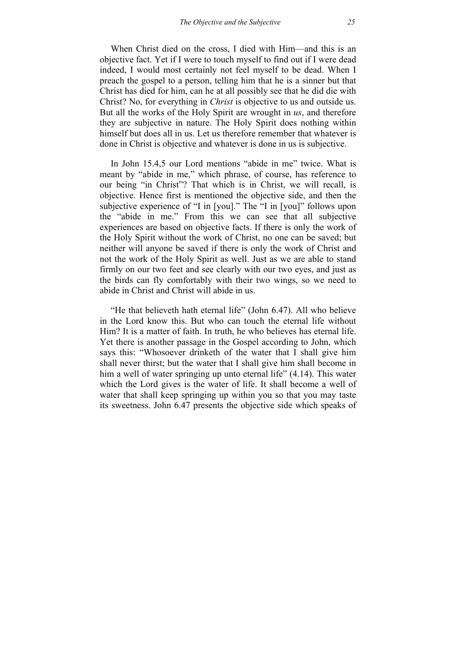When Christ died on the cross, I died with Him—and this is an objective fact. Yet if I were to touch myself to find out if I were dead indeed, I would most certainly not feel myself to be dead. When I preach the gospel to a person, telling him that he is a sinner but that Christ has died for him, can he at all possibly see that he did die with Christ? No, for everything in *Christ* is objective to us and outside us. But all the works of the Holy Spirit are wrought in *us*, and therefore they are subjective in nature. The Holy Spirit does nothing within himself but does all in us. Let us therefore remember that whatever is done in Christ is objective and whatever is done in us is subjective.

In John 15.4,5 our Lord mentions "abide in me" twice. What is meant by "abide in me," which phrase, of course, has reference to our being "in Christ"? That which is in Christ, we will recall, is objective. Hence first is mentioned the objective side, and then the subjective experience of "I in [you]." The "I in [you]" follows upon the "abide in me." From this we can see that all subjective experiences are based on objective facts. If there is only the work of the Holy Spirit without the work of Christ, no one can be saved; but neither will anyone be saved if there is only the work of Christ and not the work of the Holy Spirit as well. Just as we are able to stand firmly on our two feet and see clearly with our two eyes, and just as the birds can fly comfortably with their two wings, so we need to abide in Christ and Christ will abide in us.

"He that believeth hath eternal life" (John 6.47). All who believe in the Lord know this. But who can touch the eternal life without Him? It is a matter of faith. In truth, he who believes has eternal life. Yet there is another passage in the Gospel according to John, which says this: "Whosoever drinketh of the water that I shall give him shall never thirst; but the water that I shall give him shall become in him a well of water springing up unto eternal life" (4.14). This water which the Lord gives is the water of life. It shall become a well of water that shall keep springing up within you so that you may taste its sweetness. John 6.47 presents the objective side which speaks of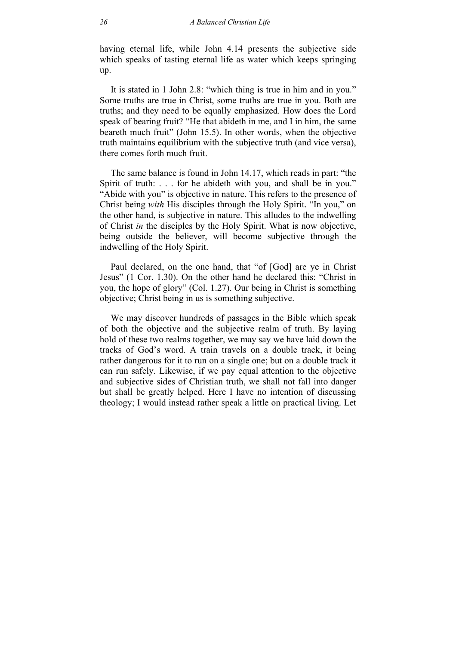having eternal life, while John 4.14 presents the subjective side which speaks of tasting eternal life as water which keeps springing up.

It is stated in 1 John 2.8: "which thing is true in him and in you." Some truths are true in Christ, some truths are true in you. Both are truths; and they need to be equally emphasized. How does the Lord speak of bearing fruit? "He that abideth in me, and I in him, the same beareth much fruit" (John 15.5). In other words, when the objective truth maintains equilibrium with the subjective truth (and vice versa), there comes forth much fruit.

The same balance is found in John 14.17, which reads in part: "the Spirit of truth: . . . for he abideth with you, and shall be in you." "Abide with you" is objective in nature. This refers to the presence of Christ being *with* His disciples through the Holy Spirit. "In you," on the other hand, is subjective in nature. This alludes to the indwelling of Christ *in* the disciples by the Holy Spirit. What is now objective, being outside the believer, will become subjective through the indwelling of the Holy Spirit.

Paul declared, on the one hand, that "of [God] are ye in Christ Jesus" (1 Cor. 1.30). On the other hand he declared this: "Christ in you, the hope of glory" (Col. 1.27). Our being in Christ is something objective; Christ being in us is something subjective.

We may discover hundreds of passages in the Bible which speak of both the objective and the subjective realm of truth. By laying hold of these two realms together, we may say we have laid down the tracks of God's word. A train travels on a double track, it being rather dangerous for it to run on a single one; but on a double track it can run safely. Likewise, if we pay equal attention to the objective and subjective sides of Christian truth, we shall not fall into danger but shall be greatly helped. Here I have no intention of discussing theology; I would instead rather speak a little on practical living. Let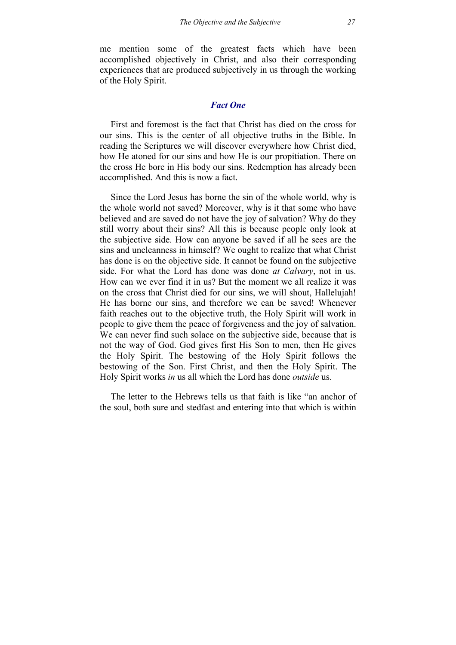me mention some of the greatest facts which have been accomplished objectively in Christ, and also their corresponding experiences that are produced subjectively in us through the working of the Holy Spirit.

### *Fact One*

First and foremost is the fact that Christ has died on the cross for our sins. This is the center of all objective truths in the Bible. In reading the Scriptures we will discover everywhere how Christ died, how He atoned for our sins and how He is our propitiation. There on the cross He bore in His body our sins. Redemption has already been accomplished. And this is now a fact.

Since the Lord Jesus has borne the sin of the whole world, why is the whole world not saved? Moreover, why is it that some who have believed and are saved do not have the joy of salvation? Why do they still worry about their sins? All this is because people only look at the subjective side. How can anyone be saved if all he sees are the sins and uncleanness in himself? We ought to realize that what Christ has done is on the objective side. It cannot be found on the subjective side. For what the Lord has done was done *at Calvary*, not in us. How can we ever find it in us? But the moment we all realize it was on the cross that Christ died for our sins, we will shout, Hallelujah! He has borne our sins, and therefore we can be saved! Whenever faith reaches out to the objective truth, the Holy Spirit will work in people to give them the peace of forgiveness and the joy of salvation. We can never find such solace on the subjective side, because that is not the way of God. God gives first His Son to men, then He gives the Holy Spirit. The bestowing of the Holy Spirit follows the bestowing of the Son. First Christ, and then the Holy Spirit. The Holy Spirit works *in* us all which the Lord has done *outside* us.

The letter to the Hebrews tells us that faith is like "an anchor of the soul, both sure and stedfast and entering into that which is within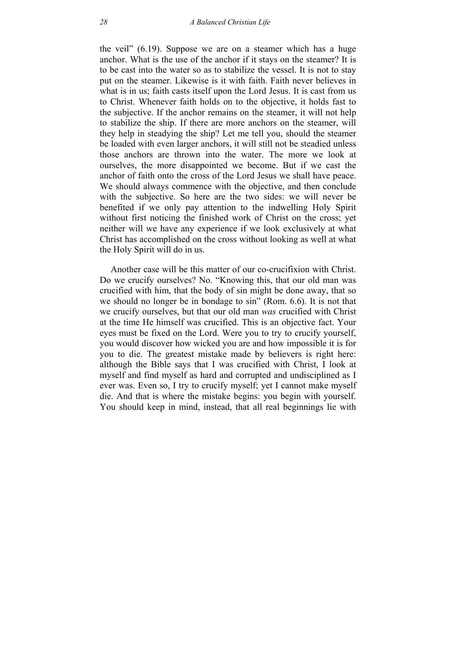the veil" (6.19). Suppose we are on a steamer which has a huge anchor. What is the use of the anchor if it stays on the steamer? It is to be cast into the water so as to stabilize the vessel. It is not to stay put on the steamer. Likewise is it with faith. Faith never believes in what is in us; faith casts itself upon the Lord Jesus. It is cast from us to Christ. Whenever faith holds on to the objective, it holds fast to the subjective. If the anchor remains on the steamer, it will not help to stabilize the ship. If there are more anchors on the steamer, will they help in steadying the ship? Let me tell you, should the steamer be loaded with even larger anchors, it will still not be steadied unless those anchors are thrown into the water. The more we look at ourselves, the more disappointed we become. But if we cast the anchor of faith onto the cross of the Lord Jesus we shall have peace. We should always commence with the objective, and then conclude with the subjective. So here are the two sides: we will never be benefited if we only pay attention to the indwelling Holy Spirit without first noticing the finished work of Christ on the cross; yet neither will we have any experience if we look exclusively at what Christ has accomplished on the cross without looking as well at what the Holy Spirit will do in us.

Another case will be this matter of our co-crucifixion with Christ. Do we crucify ourselves? No. "Knowing this, that our old man was crucified with him, that the body of sin might be done away, that so we should no longer be in bondage to sin" (Rom. 6.6). It is not that we crucify ourselves, but that our old man *was* crucified with Christ at the time He himself was crucified. This is an objective fact. Your eyes must be fixed on the Lord. Were you to try to crucify yourself, you would discover how wicked you are and how impossible it is for you to die. The greatest mistake made by believers is right here: although the Bible says that I was crucified with Christ, I look at myself and find myself as hard and corrupted and undisciplined as I ever was. Even so, I try to crucify myself; yet I cannot make myself die. And that is where the mistake begins: you begin with yourself. You should keep in mind, instead, that all real beginnings lie with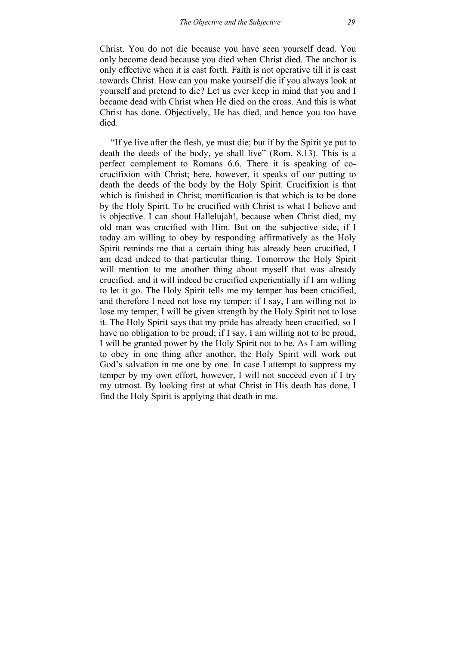Christ. You do not die because you have seen yourself dead. You only become dead because you died when Christ died. The anchor is only effective when it is cast forth. Faith is not operative till it is cast towards Christ. How can you make yourself die if you always look at yourself and pretend to die? Let us ever keep in mind that you and I became dead with Christ when He died on the cross. And this is what Christ has done. Objectively, He has died, and hence you too have died.

"If ye live after the flesh, ye must die; but if by the Spirit ye put to death the deeds of the body, ye shall live" (Rom. 8.13). This is a perfect complement to Romans 6.6. There it is speaking of cocrucifixion with Christ; here, however, it speaks of our putting to death the deeds of the body by the Holy Spirit. Crucifixion is that which is finished in Christ; mortification is that which is to be done by the Holy Spirit. To be crucified with Christ is what I believe and is objective. I can shout Hallelujah!, because when Christ died, my old man was crucified with Him. But on the subjective side, if I today am willing to obey by responding affirmatively as the Holy Spirit reminds me that a certain thing has already been crucified, I am dead indeed to that particular thing. Tomorrow the Holy Spirit will mention to me another thing about myself that was already crucified, and it will indeed be crucified experientially if I am willing to let it go. The Holy Spirit tells me my temper has been crucified, and therefore I need not lose my temper; if I say, I am willing not to lose my temper, I will be given strength by the Holy Spirit not to lose it. The Holy Spirit says that my pride has already been crucified, so I have no obligation to be proud; if I say, I am willing not to be proud, I will be granted power by the Holy Spirit not to be. As I am willing to obey in one thing after another, the Holy Spirit will work out God's salvation in me one by one. In case I attempt to suppress my temper by my own effort, however, I will not succeed even if I try my utmost. By looking first at what Christ in His death has done, I find the Holy Spirit is applying that death in me.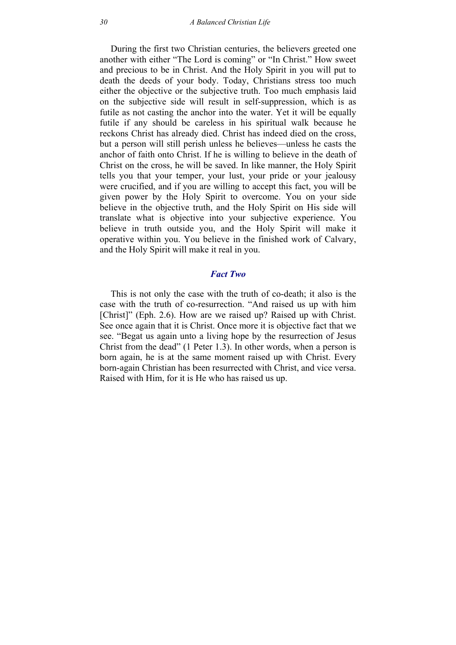During the first two Christian centuries, the believers greeted one another with either "The Lord is coming" or "In Christ." How sweet and precious to be in Christ. And the Holy Spirit in you will put to death the deeds of your body. Today, Christians stress too much either the objective or the subjective truth. Too much emphasis laid on the subjective side will result in self-suppression, which is as futile as not casting the anchor into the water. Yet it will be equally futile if any should be careless in his spiritual walk because he reckons Christ has already died. Christ has indeed died on the cross, but a person will still perish unless he believes—unless he casts the anchor of faith onto Christ. If he is willing to believe in the death of Christ on the cross, he will be saved. In like manner, the Holy Spirit tells you that your temper, your lust, your pride or your jealousy were crucified, and if you are willing to accept this fact, you will be given power by the Holy Spirit to overcome. You on your side believe in the objective truth, and the Holy Spirit on His side will translate what is objective into your subjective experience. You believe in truth outside you, and the Holy Spirit will make it operative within you. You believe in the finished work of Calvary, and the Holy Spirit will make it real in you.

### *Fact Two*

This is not only the case with the truth of co-death; it also is the case with the truth of co-resurrection. "And raised us up with him [Christ]" (Eph. 2.6). How are we raised up? Raised up with Christ. See once again that it is Christ. Once more it is objective fact that we see. "Begat us again unto a living hope by the resurrection of Jesus Christ from the dead" (1 Peter 1.3). In other words, when a person is born again, he is at the same moment raised up with Christ. Every born-again Christian has been resurrected with Christ, and vice versa. Raised with Him, for it is He who has raised us up.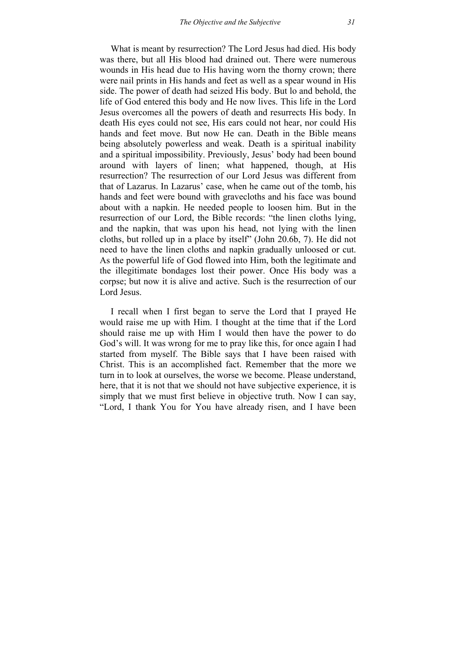What is meant by resurrection? The Lord Jesus had died. His body was there, but all His blood had drained out. There were numerous wounds in His head due to His having worn the thorny crown; there were nail prints in His hands and feet as well as a spear wound in His side. The power of death had seized His body. But lo and behold, the life of God entered this body and He now lives. This life in the Lord Jesus overcomes all the powers of death and resurrects His body. In death His eyes could not see, His ears could not hear, nor could His hands and feet move. But now He can. Death in the Bible means being absolutely powerless and weak. Death is a spiritual inability and a spiritual impossibility. Previously, Jesus' body had been bound around with layers of linen; what happened, though, at His resurrection? The resurrection of our Lord Jesus was different from that of Lazarus. In Lazarus' case, when he came out of the tomb, his hands and feet were bound with gravecloths and his face was bound about with a napkin. He needed people to loosen him. But in the resurrection of our Lord, the Bible records: "the linen cloths lying, and the napkin, that was upon his head, not lying with the linen cloths, but rolled up in a place by itself" (John 20.6b, 7). He did not need to have the linen cloths and napkin gradually unloosed or cut. As the powerful life of God flowed into Him, both the legitimate and the illegitimate bondages lost their power. Once His body was a corpse; but now it is alive and active. Such is the resurrection of our Lord Jesus.

I recall when I first began to serve the Lord that I prayed He would raise me up with Him. I thought at the time that if the Lord should raise me up with Him I would then have the power to do God's will. It was wrong for me to pray like this, for once again I had started from myself. The Bible says that I have been raised with Christ. This is an accomplished fact. Remember that the more we turn in to look at ourselves, the worse we become. Please understand, here, that it is not that we should not have subjective experience, it is simply that we must first believe in objective truth. Now I can say, "Lord, I thank You for You have already risen, and I have been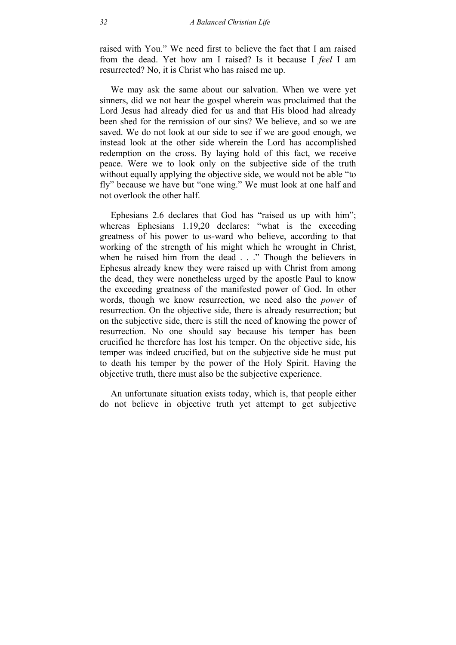raised with You." We need first to believe the fact that I am raised from the dead. Yet how am I raised? Is it because I *feel* I am resurrected? No, it is Christ who has raised me up.

We may ask the same about our salvation. When we were yet sinners, did we not hear the gospel wherein was proclaimed that the Lord Jesus had already died for us and that His blood had already been shed for the remission of our sins? We believe, and so we are saved. We do not look at our side to see if we are good enough, we instead look at the other side wherein the Lord has accomplished redemption on the cross. By laying hold of this fact, we receive peace. Were we to look only on the subjective side of the truth without equally applying the objective side, we would not be able "to" fly" because we have but "one wing." We must look at one half and not overlook the other half.

Ephesians 2.6 declares that God has "raised us up with him"; whereas Ephesians 1.19,20 declares: "what is the exceeding greatness of his power to us-ward who believe, according to that working of the strength of his might which he wrought in Christ, when he raised him from the dead . . ." Though the believers in Ephesus already knew they were raised up with Christ from among the dead, they were nonetheless urged by the apostle Paul to know the exceeding greatness of the manifested power of God. In other words, though we know resurrection, we need also the *power* of resurrection. On the objective side, there is already resurrection; but on the subjective side, there is still the need of knowing the power of resurrection. No one should say because his temper has been crucified he therefore has lost his temper. On the objective side, his temper was indeed crucified, but on the subjective side he must put to death his temper by the power of the Holy Spirit. Having the objective truth, there must also be the subjective experience.

An unfortunate situation exists today, which is, that people either do not believe in objective truth yet attempt to get subjective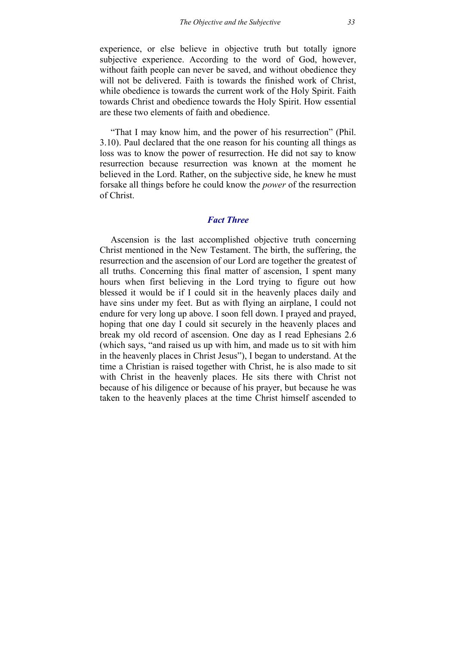experience, or else believe in objective truth but totally ignore subjective experience. According to the word of God, however, without faith people can never be saved, and without obedience they will not be delivered. Faith is towards the finished work of Christ, while obedience is towards the current work of the Holy Spirit. Faith towards Christ and obedience towards the Holy Spirit. How essential are these two elements of faith and obedience.

"That I may know him, and the power of his resurrection" (Phil. 3.10). Paul declared that the one reason for his counting all things as loss was to know the power of resurrection. He did not say to know resurrection because resurrection was known at the moment he believed in the Lord. Rather, on the subjective side, he knew he must forsake all things before he could know the *power* of the resurrection of Christ.

### *Fact Three*

Ascension is the last accomplished objective truth concerning Christ mentioned in the New Testament. The birth, the suffering, the resurrection and the ascension of our Lord are together the greatest of all truths. Concerning this final matter of ascension, I spent many hours when first believing in the Lord trying to figure out how blessed it would be if I could sit in the heavenly places daily and have sins under my feet. But as with flying an airplane, I could not endure for very long up above. I soon fell down. I prayed and prayed, hoping that one day I could sit securely in the heavenly places and break my old record of ascension. One day as I read Ephesians 2.6 (which says, "and raised us up with him, and made us to sit with him in the heavenly places in Christ Jesus"), I began to understand. At the time a Christian is raised together with Christ, he is also made to sit with Christ in the heavenly places. He sits there with Christ not because of his diligence or because of his prayer, but because he was taken to the heavenly places at the time Christ himself ascended to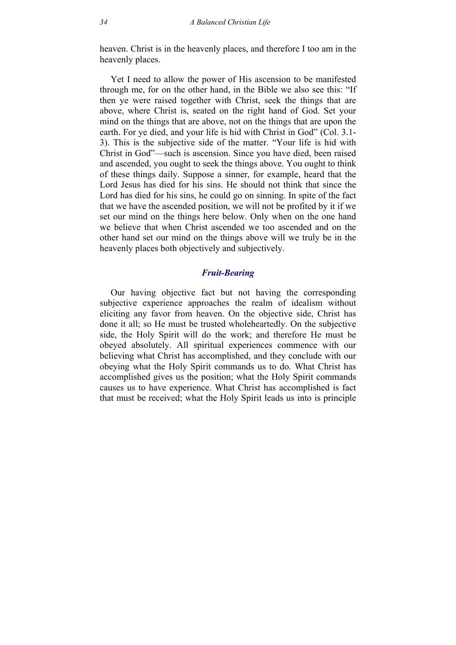heaven. Christ is in the heavenly places, and therefore I too am in the heavenly places.

Yet I need to allow the power of His ascension to be manifested through me, for on the other hand, in the Bible we also see this: "If then ye were raised together with Christ, seek the things that are above, where Christ is, seated on the right hand of God. Set your mind on the things that are above, not on the things that are upon the earth. For ye died, and your life is hid with Christ in God" (Col. 3.1- 3). This is the subjective side of the matter. "Your life is hid with Christ in God"—such is ascension. Since you have died, been raised and ascended, you ought to seek the things above. You ought to think of these things daily. Suppose a sinner, for example, heard that the Lord Jesus has died for his sins. He should not think that since the Lord has died for his sins, he could go on sinning. In spite of the fact that we have the ascended position, we will not be profited by it if we set our mind on the things here below. Only when on the one hand we believe that when Christ ascended we too ascended and on the other hand set our mind on the things above will we truly be in the heavenly places both objectively and subjectively.

### *Fruit-Bearing*

Our having objective fact but not having the corresponding subjective experience approaches the realm of idealism without eliciting any favor from heaven. On the objective side, Christ has done it all; so He must be trusted wholeheartedly. On the subjective side, the Holy Spirit will do the work; and therefore He must be obeyed absolutely. All spiritual experiences commence with our believing what Christ has accomplished, and they conclude with our obeying what the Holy Spirit commands us to do. What Christ has accomplished gives us the position; what the Holy Spirit commands causes us to have experience. What Christ has accomplished is fact that must be received; what the Holy Spirit leads us into is principle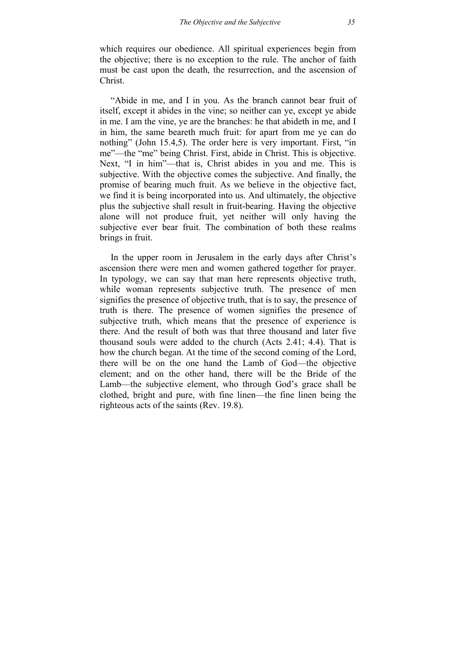which requires our obedience. All spiritual experiences begin from the objective; there is no exception to the rule. The anchor of faith must be cast upon the death, the resurrection, and the ascension of Christ.

"Abide in me, and I in you. As the branch cannot bear fruit of itself, except it abides in the vine; so neither can ye, except ye abide in me. I am the vine, ye are the branches: he that abideth in me, and I in him, the same beareth much fruit: for apart from me ye can do nothing" (John 15.4,5). The order here is very important. First, "in me"—the "me" being Christ. First, abide in Christ. This is objective. Next, "I in him"—that is, Christ abides in you and me. This is subjective. With the objective comes the subjective. And finally, the promise of bearing much fruit. As we believe in the objective fact, we find it is being incorporated into us. And ultimately, the objective plus the subjective shall result in fruit-bearing. Having the objective alone will not produce fruit, yet neither will only having the subjective ever bear fruit. The combination of both these realms brings in fruit.

In the upper room in Jerusalem in the early days after Christ's ascension there were men and women gathered together for prayer. In typology, we can say that man here represents objective truth, while woman represents subjective truth. The presence of men signifies the presence of objective truth, that is to say, the presence of truth is there. The presence of women signifies the presence of subjective truth, which means that the presence of experience is there. And the result of both was that three thousand and later five thousand souls were added to the church (Acts 2.41; 4.4). That is how the church began. At the time of the second coming of the Lord, there will be on the one hand the Lamb of God—the objective element; and on the other hand, there will be the Bride of the Lamb—the subjective element, who through God's grace shall be clothed, bright and pure, with fine linen—the fine linen being the righteous acts of the saints (Rev. 19.8).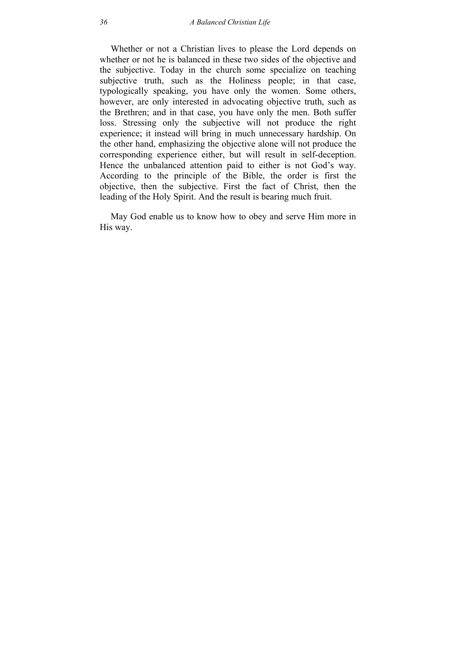Whether or not a Christian lives to please the Lord depends on whether or not he is balanced in these two sides of the objective and the subjective. Today in the church some specialize on teaching subjective truth, such as the Holiness people; in that case, typologically speaking, you have only the women. Some others, however, are only interested in advocating objective truth, such as the Brethren; and in that case, you have only the men. Both suffer loss. Stressing only the subjective will not produce the right experience; it instead will bring in much unnecessary hardship. On the other hand, emphasizing the objective alone will not produce the corresponding experience either, but will result in self-deception. Hence the unbalanced attention paid to either is not God's way. According to the principle of the Bible, the order is first the objective, then the subjective. First the fact of Christ, then the leading of the Holy Spirit. And the result is bearing much fruit.

May God enable us to know how to obey and serve Him more in His way.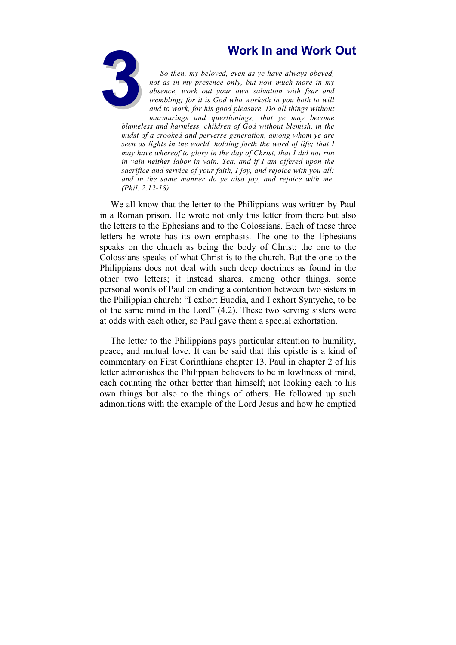**38 So then, my beloved, even as ye have always obeyed,**<br>
38 then, my beloved, even as ye have always obeyed,<br>
not as in my presence only, but now much more in my<br>
absence, work out your own salvation with fear and<br>
trembl *So then, my beloved, even as ye have always obeyed, not as in my presence only, but now much more in my absence, work out your own salvation with fear and trembling; for it is God who worketh in you both to will and to work, for his good pleasure. Do all things without murmurings and questionings; that ye may become blameless and harmless, children of God without blemish, in the midst of a crooked and perverse generation, among whom ye are seen as lights in the world, holding forth the word of life; that I may have whereof to glory in the day of Christ, that I did not run in vain neither labor in vain. Yea, and if I am offered upon the sacrifice and service of your faith, I joy, and rejoice with you all: and in the same manner do ye also joy, and rejoice with me. (Phil. 2.12-18)*

We all know that the letter to the Philippians was written by Paul in a Roman prison. He wrote not only this letter from there but also the letters to the Ephesians and to the Colossians. Each of these three letters he wrote has its own emphasis. The one to the Ephesians speaks on the church as being the body of Christ; the one to the Colossians speaks of what Christ is to the church. But the one to the Philippians does not deal with such deep doctrines as found in the other two letters; it instead shares, among other things, some personal words of Paul on ending a contention between two sisters in the Philippian church: "I exhort Euodia, and I exhort Syntyche, to be of the same mind in the Lord" (4.2). These two serving sisters were at odds with each other, so Paul gave them a special exhortation.

The letter to the Philippians pays particular attention to humility, peace, and mutual love. It can be said that this epistle is a kind of commentary on First Corinthians chapter 13. Paul in chapter 2 of his letter admonishes the Philippian believers to be in lowliness of mind, each counting the other better than himself; not looking each to his own things but also to the things of others. He followed up such admonitions with the example of the Lord Jesus and how he emptied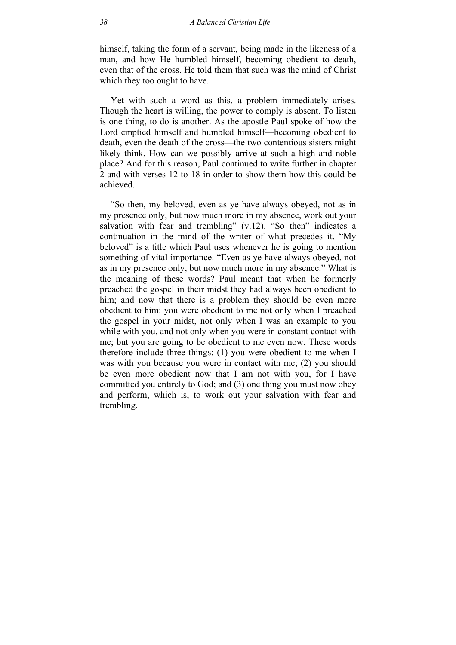himself, taking the form of a servant, being made in the likeness of a man, and how He humbled himself, becoming obedient to death, even that of the cross. He told them that such was the mind of Christ which they too ought to have.

Yet with such a word as this, a problem immediately arises. Though the heart is willing, the power to comply is absent. To listen is one thing, to do is another. As the apostle Paul spoke of how the Lord emptied himself and humbled himself—becoming obedient to death, even the death of the cross—the two contentious sisters might likely think, How can we possibly arrive at such a high and noble place? And for this reason, Paul continued to write further in chapter 2 and with verses 12 to 18 in order to show them how this could be achieved.

"So then, my beloved, even as ye have always obeyed, not as in my presence only, but now much more in my absence, work out your salvation with fear and trembling" (v.12). "So then" indicates a continuation in the mind of the writer of what precedes it. "My beloved" is a title which Paul uses whenever he is going to mention something of vital importance. "Even as ye have always obeyed, not as in my presence only, but now much more in my absence." What is the meaning of these words? Paul meant that when he formerly preached the gospel in their midst they had always been obedient to him; and now that there is a problem they should be even more obedient to him: you were obedient to me not only when I preached the gospel in your midst, not only when I was an example to you while with you, and not only when you were in constant contact with me; but you are going to be obedient to me even now. These words therefore include three things: (1) you were obedient to me when I was with you because you were in contact with me; (2) you should be even more obedient now that I am not with you, for I have committed you entirely to God; and (3) one thing you must now obey and perform, which is, to work out your salvation with fear and trembling.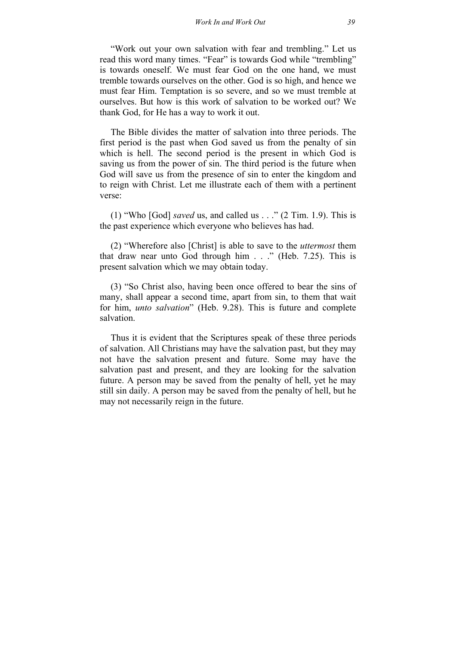"Work out your own salvation with fear and trembling." Let us read this word many times. "Fear" is towards God while "trembling" is towards oneself. We must fear God on the one hand, we must tremble towards ourselves on the other. God is so high, and hence we must fear Him. Temptation is so severe, and so we must tremble at ourselves. But how is this work of salvation to be worked out? We thank God, for He has a way to work it out.

The Bible divides the matter of salvation into three periods. The first period is the past when God saved us from the penalty of sin which is hell. The second period is the present in which God is saving us from the power of sin. The third period is the future when God will save us from the presence of sin to enter the kingdom and to reign with Christ. Let me illustrate each of them with a pertinent verse:

(1) "Who [God] *saved* us, and called us . . ." (2 Tim. 1.9). This is the past experience which everyone who believes has had.

(2) "Wherefore also [Christ] is able to save to the *uttermost* them that draw near unto God through him . . ." (Heb. 7.25). This is present salvation which we may obtain today.

(3) "So Christ also, having been once offered to bear the sins of many, shall appear a second time, apart from sin, to them that wait for him, *unto salvation*" (Heb. 9.28). This is future and complete salvation.

Thus it is evident that the Scriptures speak of these three periods of salvation. All Christians may have the salvation past, but they may not have the salvation present and future. Some may have the salvation past and present, and they are looking for the salvation future. A person may be saved from the penalty of hell, yet he may still sin daily. A person may be saved from the penalty of hell, but he may not necessarily reign in the future.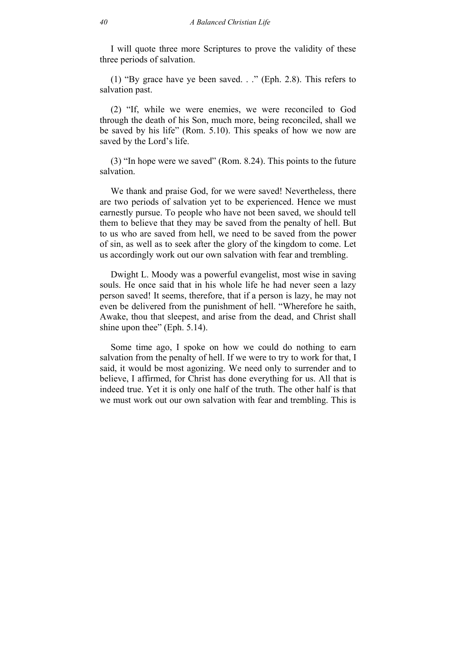I will quote three more Scriptures to prove the validity of these three periods of salvation.

(1) "By grace have ye been saved. . ." (Eph. 2.8). This refers to salvation past.

(2) "If, while we were enemies, we were reconciled to God through the death of his Son, much more, being reconciled, shall we be saved by his life" (Rom. 5.10). This speaks of how we now are saved by the Lord's life.

(3) "In hope were we saved" (Rom. 8.24). This points to the future salvation.

We thank and praise God, for we were saved! Nevertheless, there are two periods of salvation yet to be experienced. Hence we must earnestly pursue. To people who have not been saved, we should tell them to believe that they may be saved from the penalty of hell. But to us who are saved from hell, we need to be saved from the power of sin, as well as to seek after the glory of the kingdom to come. Let us accordingly work out our own salvation with fear and trembling.

Dwight L. Moody was a powerful evangelist, most wise in saving souls. He once said that in his whole life he had never seen a lazy person saved! It seems, therefore, that if a person is lazy, he may not even be delivered from the punishment of hell. "Wherefore he saith, Awake, thou that sleepest, and arise from the dead, and Christ shall shine upon thee" (Eph. 5.14).

Some time ago, I spoke on how we could do nothing to earn salvation from the penalty of hell. If we were to try to work for that, I said, it would be most agonizing. We need only to surrender and to believe, I affirmed, for Christ has done everything for us. All that is indeed true. Yet it is only one half of the truth. The other half is that we must work out our own salvation with fear and trembling. This is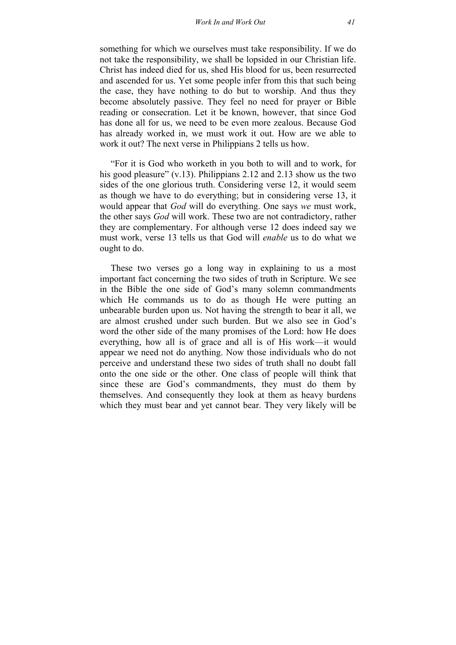something for which we ourselves must take responsibility. If we do not take the responsibility, we shall be lopsided in our Christian life. Christ has indeed died for us, shed His blood for us, been resurrected and ascended for us. Yet some people infer from this that such being the case, they have nothing to do but to worship. And thus they become absolutely passive. They feel no need for prayer or Bible reading or consecration. Let it be known, however, that since God has done all for us, we need to be even more zealous. Because God has already worked in, we must work it out. How are we able to work it out? The next verse in Philippians 2 tells us how.

"For it is God who worketh in you both to will and to work, for his good pleasure" (v.13). Philippians 2.12 and 2.13 show us the two sides of the one glorious truth. Considering verse 12, it would seem as though we have to do everything; but in considering verse 13, it would appear that *God* will do everything. One says *we* must work, the other says *God* will work. These two are not contradictory, rather they are complementary. For although verse 12 does indeed say we must work, verse 13 tells us that God will *enable* us to do what we ought to do.

These two verses go a long way in explaining to us a most important fact concerning the two sides of truth in Scripture. We see in the Bible the one side of God's many solemn commandments which He commands us to do as though He were putting an unbearable burden upon us. Not having the strength to bear it all, we are almost crushed under such burden. But we also see in God's word the other side of the many promises of the Lord: how He does everything, how all is of grace and all is of His work—it would appear we need not do anything. Now those individuals who do not perceive and understand these two sides of truth shall no doubt fall onto the one side or the other. One class of people will think that since these are God's commandments, they must do them by themselves. And consequently they look at them as heavy burdens which they must bear and yet cannot bear. They very likely will be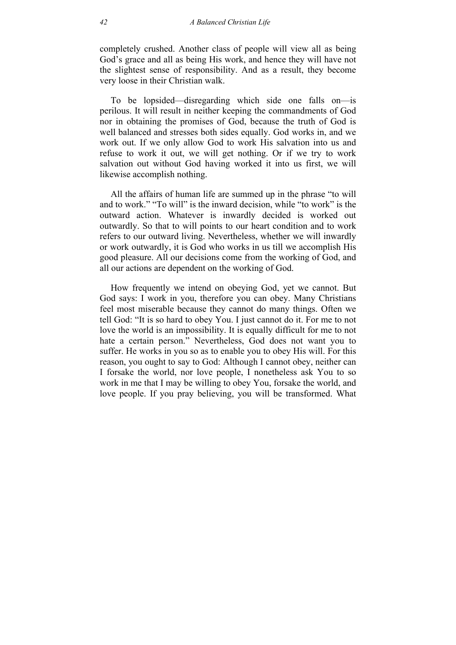completely crushed. Another class of people will view all as being God's grace and all as being His work, and hence they will have not the slightest sense of responsibility. And as a result, they become very loose in their Christian walk.

To be lopsided—disregarding which side one falls on—is perilous. It will result in neither keeping the commandments of God nor in obtaining the promises of God, because the truth of God is well balanced and stresses both sides equally. God works in, and we work out. If we only allow God to work His salvation into us and refuse to work it out, we will get nothing. Or if we try to work salvation out without God having worked it into us first, we will likewise accomplish nothing.

All the affairs of human life are summed up in the phrase "to will and to work." "To will" is the inward decision, while "to work" is the outward action. Whatever is inwardly decided is worked out outwardly. So that to will points to our heart condition and to work refers to our outward living. Nevertheless, whether we will inwardly or work outwardly, it is God who works in us till we accomplish His good pleasure. All our decisions come from the working of God, and all our actions are dependent on the working of God.

How frequently we intend on obeying God, yet we cannot. But God says: I work in you, therefore you can obey. Many Christians feel most miserable because they cannot do many things. Often we tell God: "It is so hard to obey You. I just cannot do it. For me to not love the world is an impossibility. It is equally difficult for me to not hate a certain person." Nevertheless, God does not want you to suffer. He works in you so as to enable you to obey His will. For this reason, you ought to say to God: Although I cannot obey, neither can I forsake the world, nor love people, I nonetheless ask You to so work in me that I may be willing to obey You, forsake the world, and love people. If you pray believing, you will be transformed. What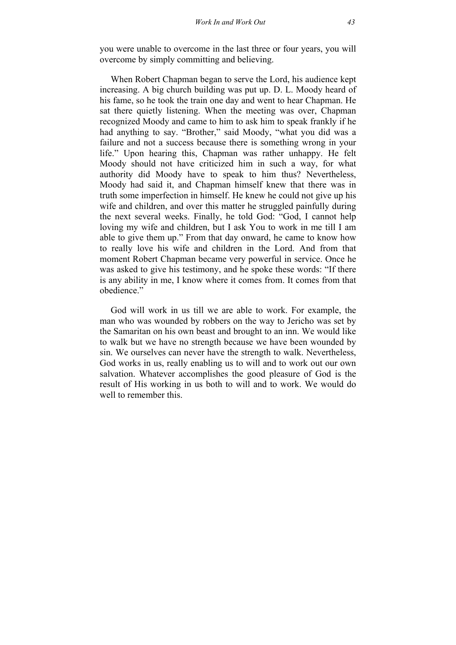you were unable to overcome in the last three or four years, you will overcome by simply committing and believing.

When Robert Chapman began to serve the Lord, his audience kept increasing. A big church building was put up. D. L. Moody heard of his fame, so he took the train one day and went to hear Chapman. He sat there quietly listening. When the meeting was over, Chapman recognized Moody and came to him to ask him to speak frankly if he had anything to say. "Brother," said Moody, "what you did was a failure and not a success because there is something wrong in your life." Upon hearing this, Chapman was rather unhappy. He felt Moody should not have criticized him in such a way, for what authority did Moody have to speak to him thus? Nevertheless, Moody had said it, and Chapman himself knew that there was in truth some imperfection in himself. He knew he could not give up his wife and children, and over this matter he struggled painfully during the next several weeks. Finally, he told God: "God, I cannot help loving my wife and children, but I ask You to work in me till I am able to give them up." From that day onward, he came to know how to really love his wife and children in the Lord. And from that moment Robert Chapman became very powerful in service. Once he was asked to give his testimony, and he spoke these words: "If there is any ability in me, I know where it comes from. It comes from that obedience."

God will work in us till we are able to work. For example, the man who was wounded by robbers on the way to Jericho was set by the Samaritan on his own beast and brought to an inn. We would like to walk but we have no strength because we have been wounded by sin. We ourselves can never have the strength to walk. Nevertheless, God works in us, really enabling us to will and to work out our own salvation. Whatever accomplishes the good pleasure of God is the result of His working in us both to will and to work. We would do well to remember this.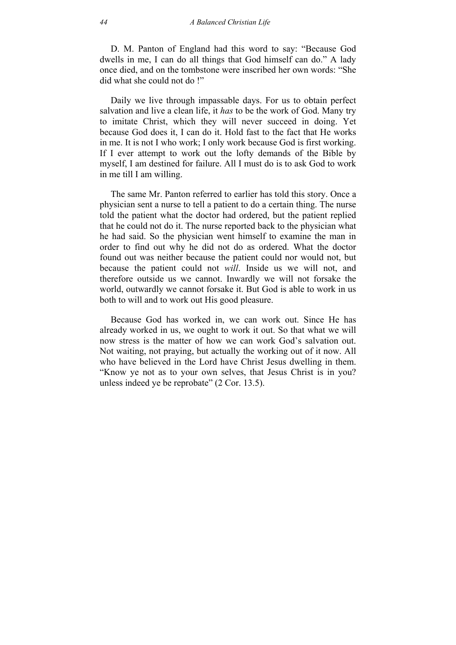D. M. Panton of England had this word to say: "Because God dwells in me, I can do all things that God himself can do." A lady once died, and on the tombstone were inscribed her own words: "She did what she could not do !"

Daily we live through impassable days. For us to obtain perfect salvation and live a clean life, it *has* to be the work of God. Many try to imitate Christ, which they will never succeed in doing. Yet because God does it, I can do it. Hold fast to the fact that He works in me. It is not I who work; I only work because God is first working. If I ever attempt to work out the lofty demands of the Bible by myself, I am destined for failure. All I must do is to ask God to work in me till I am willing.

The same Mr. Panton referred to earlier has told this story. Once a physician sent a nurse to tell a patient to do a certain thing. The nurse told the patient what the doctor had ordered, but the patient replied that he could not do it. The nurse reported back to the physician what he had said. So the physician went himself to examine the man in order to find out why he did not do as ordered. What the doctor found out was neither because the patient could nor would not, but because the patient could not *will*. Inside us we will not, and therefore outside us we cannot. Inwardly we will not forsake the world, outwardly we cannot forsake it. But God is able to work in us both to will and to work out His good pleasure.

Because God has worked in, we can work out. Since He has already worked in us, we ought to work it out. So that what we will now stress is the matter of how we can work God's salvation out. Not waiting, not praying, but actually the working out of it now. All who have believed in the Lord have Christ Jesus dwelling in them. "Know ye not as to your own selves, that Jesus Christ is in you? unless indeed ye be reprobate" (2 Cor. 13.5).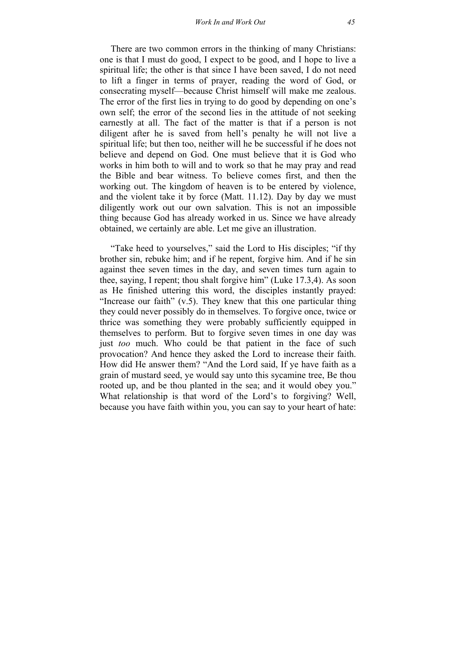There are two common errors in the thinking of many Christians: one is that I must do good, I expect to be good, and I hope to live a spiritual life; the other is that since I have been saved, I do not need to lift a finger in terms of prayer, reading the word of God, or consecrating myself—because Christ himself will make me zealous. The error of the first lies in trying to do good by depending on one's own self; the error of the second lies in the attitude of not seeking earnestly at all. The fact of the matter is that if a person is not diligent after he is saved from hell's penalty he will not live a spiritual life; but then too, neither will he be successful if he does not believe and depend on God. One must believe that it is God who works in him both to will and to work so that he may pray and read the Bible and bear witness. To believe comes first, and then the working out. The kingdom of heaven is to be entered by violence, and the violent take it by force (Matt. 11.12). Day by day we must diligently work out our own salvation. This is not an impossible thing because God has already worked in us. Since we have already obtained, we certainly are able. Let me give an illustration.

"Take heed to yourselves," said the Lord to His disciples; "if thy brother sin, rebuke him; and if he repent, forgive him. And if he sin against thee seven times in the day, and seven times turn again to thee, saying, I repent; thou shalt forgive him" (Luke 17.3,4). As soon as He finished uttering this word, the disciples instantly prayed: "Increase our faith"  $(v.5)$ . They knew that this one particular thing they could never possibly do in themselves. To forgive once, twice or thrice was something they were probably sufficiently equipped in themselves to perform. But to forgive seven times in one day was just *too* much. Who could be that patient in the face of such provocation? And hence they asked the Lord to increase their faith. How did He answer them? "And the Lord said, If ye have faith as a grain of mustard seed, ye would say unto this sycamine tree, Be thou rooted up, and be thou planted in the sea; and it would obey you." What relationship is that word of the Lord's to forgiving? Well, because you have faith within you, you can say to your heart of hate: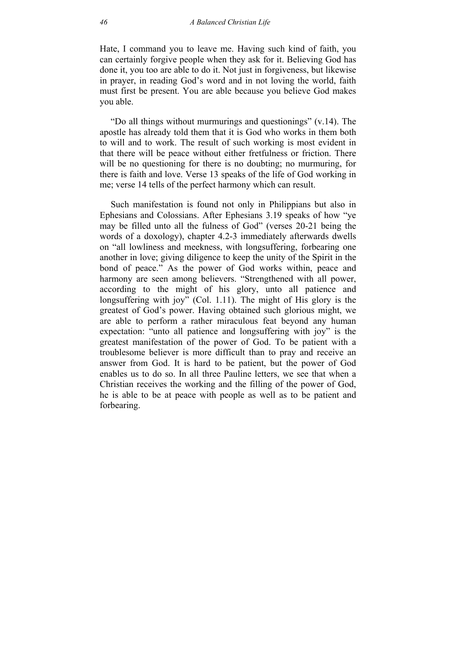Hate, I command you to leave me. Having such kind of faith, you can certainly forgive people when they ask for it. Believing God has done it, you too are able to do it. Not just in forgiveness, but likewise in prayer, in reading God's word and in not loving the world, faith must first be present. You are able because you believe God makes you able.

"Do all things without murmurings and questionings" (v.14). The apostle has already told them that it is God who works in them both to will and to work. The result of such working is most evident in that there will be peace without either fretfulness or friction. There will be no questioning for there is no doubting; no murmuring, for there is faith and love. Verse 13 speaks of the life of God working in me; verse 14 tells of the perfect harmony which can result.

Such manifestation is found not only in Philippians but also in Ephesians and Colossians. After Ephesians 3.19 speaks of how "ye may be filled unto all the fulness of God" (verses 20-21 being the words of a doxology), chapter 4.2-3 immediately afterwards dwells on "all lowliness and meekness, with longsuffering, forbearing one another in love; giving diligence to keep the unity of the Spirit in the bond of peace." As the power of God works within, peace and harmony are seen among believers. "Strengthened with all power, according to the might of his glory, unto all patience and longsuffering with joy" (Col. 1.11). The might of His glory is the greatest of God's power. Having obtained such glorious might, we are able to perform a rather miraculous feat beyond any human expectation: "unto all patience and longsuffering with joy" is the greatest manifestation of the power of God. To be patient with a troublesome believer is more difficult than to pray and receive an answer from God. It is hard to be patient, but the power of God enables us to do so. In all three Pauline letters, we see that when a Christian receives the working and the filling of the power of God, he is able to be at peace with people as well as to be patient and forbearing.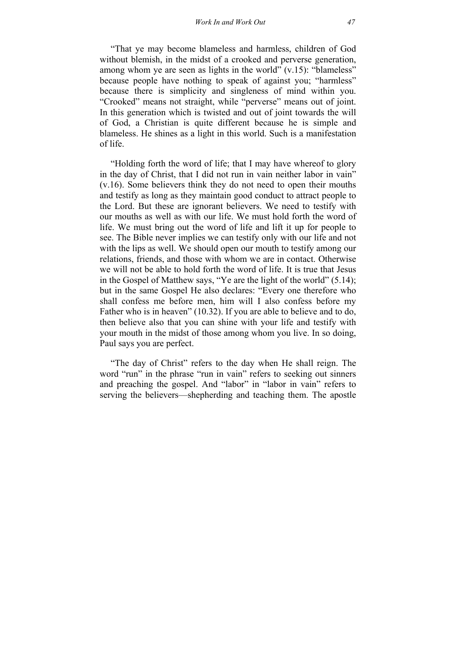"That ye may become blameless and harmless, children of God without blemish, in the midst of a crooked and perverse generation, among whom ye are seen as lights in the world" (v.15): "blameless" because people have nothing to speak of against you; "harmless" because there is simplicity and singleness of mind within you. "Crooked" means not straight, while "perverse" means out of joint. In this generation which is twisted and out of joint towards the will of God, a Christian is quite different because he is simple and blameless. He shines as a light in this world. Such is a manifestation of life.

"Holding forth the word of life; that I may have whereof to glory in the day of Christ, that I did not run in vain neither labor in vain" (v.16). Some believers think they do not need to open their mouths and testify as long as they maintain good conduct to attract people to the Lord. But these are ignorant believers. We need to testify with our mouths as well as with our life. We must hold forth the word of life. We must bring out the word of life and lift it up for people to see. The Bible never implies we can testify only with our life and not with the lips as well. We should open our mouth to testify among our relations, friends, and those with whom we are in contact. Otherwise we will not be able to hold forth the word of life. It is true that Jesus in the Gospel of Matthew says, "Ye are the light of the world" (5.14); but in the same Gospel He also declares: "Every one therefore who shall confess me before men, him will I also confess before my Father who is in heaven" (10.32). If you are able to believe and to do, then believe also that you can shine with your life and testify with your mouth in the midst of those among whom you live. In so doing, Paul says you are perfect.

"The day of Christ" refers to the day when He shall reign. The word "run" in the phrase "run in vain" refers to seeking out sinners and preaching the gospel. And "labor" in "labor in vain" refers to serving the believers—shepherding and teaching them. The apostle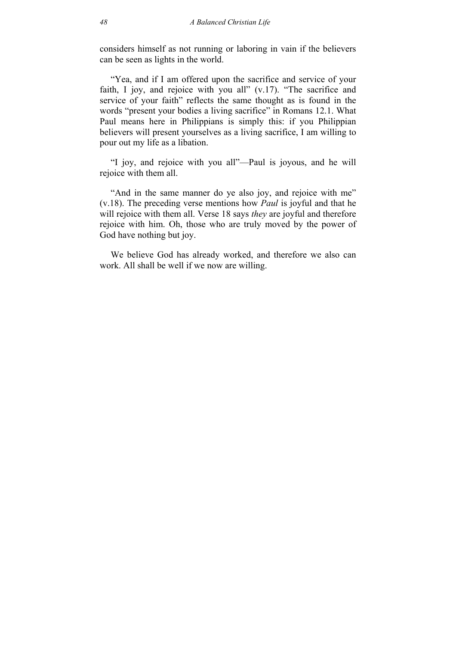considers himself as not running or laboring in vain if the believers can be seen as lights in the world.

"Yea, and if I am offered upon the sacrifice and service of your faith, I joy, and rejoice with you all" (v.17). "The sacrifice and service of your faith" reflects the same thought as is found in the words "present your bodies a living sacrifice" in Romans 12.1. What Paul means here in Philippians is simply this: if you Philippian believers will present yourselves as a living sacrifice, I am willing to pour out my life as a libation.

"I joy, and rejoice with you all"—Paul is joyous, and he will rejoice with them all.

"And in the same manner do ye also joy, and rejoice with me" (v.18). The preceding verse mentions how *Paul* is joyful and that he will rejoice with them all. Verse 18 says *they* are joyful and therefore rejoice with him. Oh, those who are truly moved by the power of God have nothing but joy.

We believe God has already worked, and therefore we also can work. All shall be well if we now are willing.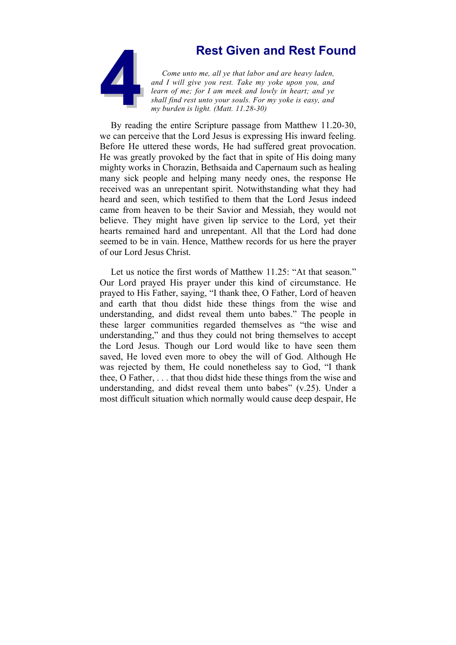

**4Rest Given and Rest Found Come unto me, all ye that labor and are heavy laden,**<br>and I will give you rest. Take my yoke upon you, and<br>learn of me; for I am meek and lowly in heart; and ye<br>shall find rest unto your souls. *Come unto me, all ye that labor and are heavy laden, and I will give you rest. Take my yoke upon you, and learn of me; for I am meek and lowly in heart; and ye shall find rest unto your souls. For my yoke is easy, and my burden is light. (Matt. 11.28-30)*

By reading the entire Scripture passage from Matthew 11.20-30, we can perceive that the Lord Jesus is expressing His inward feeling. Before He uttered these words, He had suffered great provocation. He was greatly provoked by the fact that in spite of His doing many mighty works in Chorazin, Bethsaida and Capernaum such as healing many sick people and helping many needy ones, the response He received was an unrepentant spirit. Notwithstanding what they had heard and seen, which testified to them that the Lord Jesus indeed came from heaven to be their Savior and Messiah, they would not believe. They might have given lip service to the Lord, yet their hearts remained hard and unrepentant. All that the Lord had done seemed to be in vain. Hence, Matthew records for us here the prayer of our Lord Jesus Christ.

Let us notice the first words of Matthew 11.25: "At that season." Our Lord prayed His prayer under this kind of circumstance. He prayed to His Father, saying, "I thank thee, O Father, Lord of heaven and earth that thou didst hide these things from the wise and understanding, and didst reveal them unto babes." The people in these larger communities regarded themselves as "the wise and understanding," and thus they could not bring themselves to accept the Lord Jesus. Though our Lord would like to have seen them saved, He loved even more to obey the will of God. Although He was rejected by them, He could nonetheless say to God, "I thank thee, O Father, . . . that thou didst hide these things from the wise and understanding, and didst reveal them unto babes" (v.25). Under a most difficult situation which normally would cause deep despair, He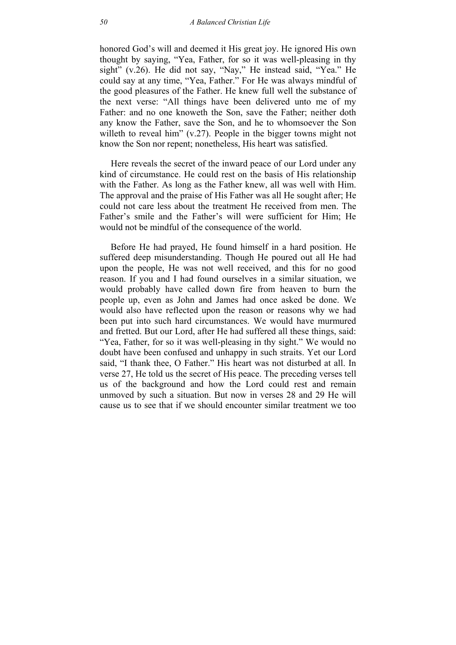honored God's will and deemed it His great joy. He ignored His own thought by saying, "Yea, Father, for so it was well-pleasing in thy sight" (v.26). He did not say, "Nay," He instead said, "Yea." He could say at any time, "Yea, Father." For He was always mindful of the good pleasures of the Father. He knew full well the substance of the next verse: "All things have been delivered unto me of my Father: and no one knoweth the Son, save the Father; neither doth any know the Father, save the Son, and he to whomsoever the Son willeth to reveal him" (v.27). People in the bigger towns might not know the Son nor repent; nonetheless, His heart was satisfied.

Here reveals the secret of the inward peace of our Lord under any kind of circumstance. He could rest on the basis of His relationship with the Father. As long as the Father knew, all was well with Him. The approval and the praise of His Father was all He sought after; He could not care less about the treatment He received from men. The Father's smile and the Father's will were sufficient for Him; He would not be mindful of the consequence of the world.

Before He had prayed, He found himself in a hard position. He suffered deep misunderstanding. Though He poured out all He had upon the people, He was not well received, and this for no good reason. If you and I had found ourselves in a similar situation, we would probably have called down fire from heaven to burn the people up, even as John and James had once asked be done. We would also have reflected upon the reason or reasons why we had been put into such hard circumstances. We would have murmured and fretted. But our Lord, after He had suffered all these things, said: "Yea, Father, for so it was well-pleasing in thy sight." We would no doubt have been confused and unhappy in such straits. Yet our Lord said, "I thank thee, O Father." His heart was not disturbed at all. In verse 27, He told us the secret of His peace. The preceding verses tell us of the background and how the Lord could rest and remain unmoved by such a situation. But now in verses 28 and 29 He will cause us to see that if we should encounter similar treatment we too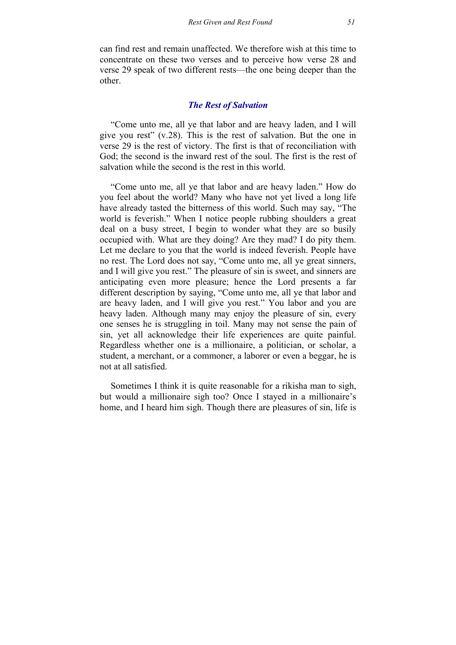can find rest and remain unaffected. We therefore wish at this time to concentrate on these two verses and to perceive how verse 28 and verse 29 speak of two different rests—the one being deeper than the other.

### *The Rest of Salvation*

"Come unto me, all ye that labor and are heavy laden, and I will give you rest" (v.28). This is the rest of salvation. But the one in verse 29 is the rest of victory. The first is that of reconciliation with God; the second is the inward rest of the soul. The first is the rest of salvation while the second is the rest in this world.

"Come unto me, all ye that labor and are heavy laden." How do you feel about the world? Many who have not yet lived a long life have already tasted the bitterness of this world. Such may say, "The world is feverish." When I notice people rubbing shoulders a great deal on a busy street, I begin to wonder what they are so busily occupied with. What are they doing? Are they mad? I do pity them. Let me declare to you that the world is indeed feverish. People have no rest. The Lord does not say, "Come unto me, all ye great sinners, and I will give you rest." The pleasure of sin is sweet, and sinners are anticipating even more pleasure; hence the Lord presents a far different description by saying, "Come unto me, all ye that labor and are heavy laden, and I will give you rest." You labor and you are heavy laden. Although many may enjoy the pleasure of sin, every one senses he is struggling in toil. Many may not sense the pain of sin, yet all acknowledge their life experiences are quite painful. Regardless whether one is a millionaire, a politician, or scholar, a student, a merchant, or a commoner, a laborer or even a beggar, he is not at all satisfied.

Sometimes I think it is quite reasonable for a rikisha man to sigh, but would a millionaire sigh too? Once I stayed in a millionaire's home, and I heard him sigh. Though there are pleasures of sin, life is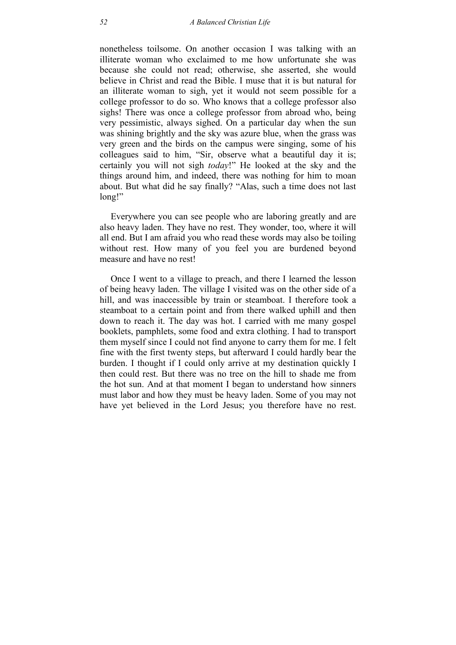nonetheless toilsome. On another occasion I was talking with an illiterate woman who exclaimed to me how unfortunate she was because she could not read; otherwise, she asserted, she would believe in Christ and read the Bible. I muse that it is but natural for an illiterate woman to sigh, yet it would not seem possible for a college professor to do so. Who knows that a college professor also sighs! There was once a college professor from abroad who, being very pessimistic, always sighed. On a particular day when the sun was shining brightly and the sky was azure blue, when the grass was very green and the birds on the campus were singing, some of his colleagues said to him, "Sir, observe what a beautiful day it is; certainly you will not sigh *today*!" He looked at the sky and the things around him, and indeed, there was nothing for him to moan about. But what did he say finally? "Alas, such a time does not last long!"

Everywhere you can see people who are laboring greatly and are also heavy laden. They have no rest. They wonder, too, where it will all end. But I am afraid you who read these words may also be toiling without rest. How many of you feel you are burdened beyond measure and have no rest!

Once I went to a village to preach, and there I learned the lesson of being heavy laden. The village I visited was on the other side of a hill, and was inaccessible by train or steamboat. I therefore took a steamboat to a certain point and from there walked uphill and then down to reach it. The day was hot. I carried with me many gospel booklets, pamphlets, some food and extra clothing. I had to transport them myself since I could not find anyone to carry them for me. I felt fine with the first twenty steps, but afterward I could hardly bear the burden. I thought if I could only arrive at my destination quickly I then could rest. But there was no tree on the hill to shade me from the hot sun. And at that moment I began to understand how sinners must labor and how they must be heavy laden. Some of you may not have yet believed in the Lord Jesus; you therefore have no rest.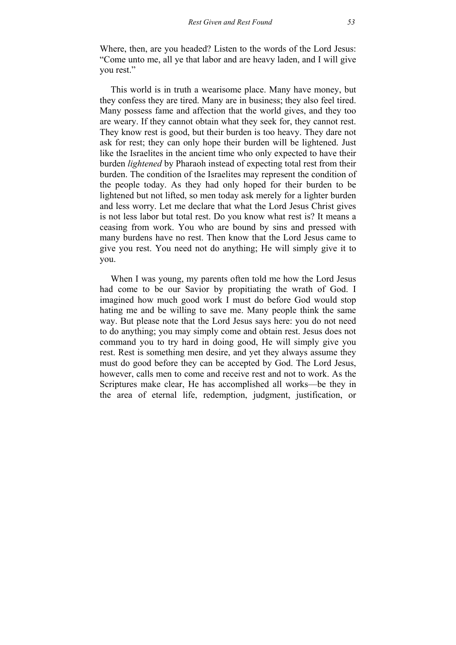Where, then, are you headed? Listen to the words of the Lord Jesus: "Come unto me, all ye that labor and are heavy laden, and I will give you rest."

This world is in truth a wearisome place. Many have money, but they confess they are tired. Many are in business; they also feel tired. Many possess fame and affection that the world gives, and they too are weary. If they cannot obtain what they seek for, they cannot rest. They know rest is good, but their burden is too heavy. They dare not ask for rest; they can only hope their burden will be lightened. Just like the Israelites in the ancient time who only expected to have their burden *lightened* by Pharaoh instead of expecting total rest from their burden. The condition of the Israelites may represent the condition of the people today. As they had only hoped for their burden to be lightened but not lifted, so men today ask merely for a lighter burden and less worry. Let me declare that what the Lord Jesus Christ gives is not less labor but total rest. Do you know what rest is? It means a ceasing from work. You who are bound by sins and pressed with many burdens have no rest. Then know that the Lord Jesus came to give you rest. You need not do anything; He will simply give it to you.

When I was young, my parents often told me how the Lord Jesus had come to be our Savior by propitiating the wrath of God. I imagined how much good work I must do before God would stop hating me and be willing to save me. Many people think the same way. But please note that the Lord Jesus says here: you do not need to do anything; you may simply come and obtain rest. Jesus does not command you to try hard in doing good, He will simply give you rest. Rest is something men desire, and yet they always assume they must do good before they can be accepted by God. The Lord Jesus, however, calls men to come and receive rest and not to work. As the Scriptures make clear, He has accomplished all works—be they in the area of eternal life, redemption, judgment, justification, or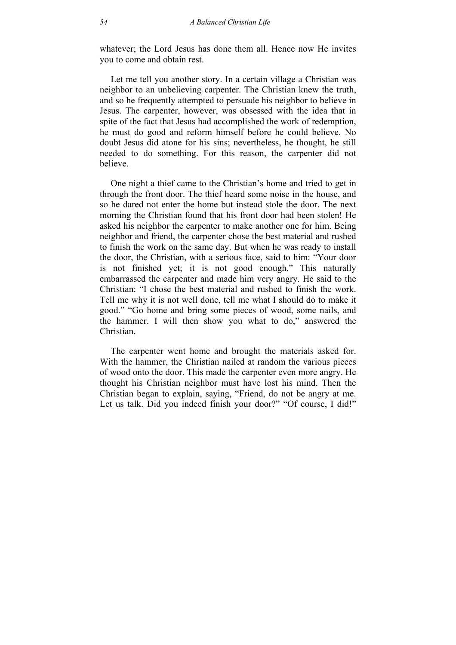whatever; the Lord Jesus has done them all. Hence now He invites you to come and obtain rest.

Let me tell you another story. In a certain village a Christian was neighbor to an unbelieving carpenter. The Christian knew the truth, and so he frequently attempted to persuade his neighbor to believe in Jesus. The carpenter, however, was obsessed with the idea that in spite of the fact that Jesus had accomplished the work of redemption, he must do good and reform himself before he could believe. No doubt Jesus did atone for his sins; nevertheless, he thought, he still needed to do something. For this reason, the carpenter did not believe.

One night a thief came to the Christian's home and tried to get in through the front door. The thief heard some noise in the house, and so he dared not enter the home but instead stole the door. The next morning the Christian found that his front door had been stolen! He asked his neighbor the carpenter to make another one for him. Being neighbor and friend, the carpenter chose the best material and rushed to finish the work on the same day. But when he was ready to install the door, the Christian, with a serious face, said to him: "Your door is not finished yet; it is not good enough." This naturally embarrassed the carpenter and made him very angry. He said to the Christian: "I chose the best material and rushed to finish the work. Tell me why it is not well done, tell me what I should do to make it good." "Go home and bring some pieces of wood, some nails, and the hammer. I will then show you what to do," answered the Christian.

The carpenter went home and brought the materials asked for. With the hammer, the Christian nailed at random the various pieces of wood onto the door. This made the carpenter even more angry. He thought his Christian neighbor must have lost his mind. Then the Christian began to explain, saying, "Friend, do not be angry at me. Let us talk. Did you indeed finish your door?" "Of course, I did!"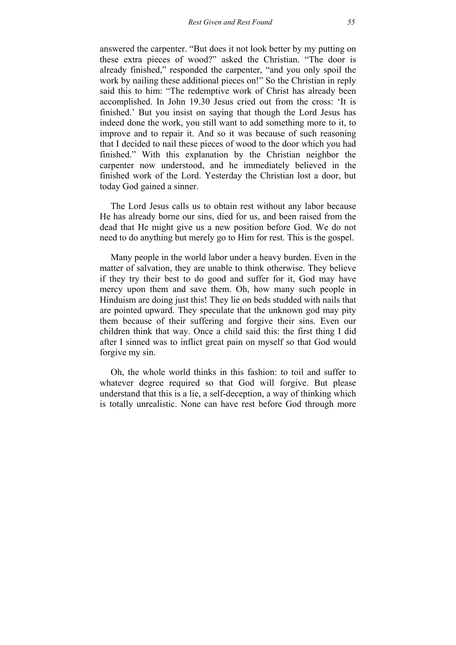answered the carpenter. "But does it not look better by my putting on these extra pieces of wood?" asked the Christian. "The door is already finished," responded the carpenter, "and you only spoil the work by nailing these additional pieces on!" So the Christian in reply said this to him: "The redemptive work of Christ has already been accomplished. In John 19.30 Jesus cried out from the cross: 'It is finished.' But you insist on saying that though the Lord Jesus has indeed done the work, you still want to add something more to it, to improve and to repair it. And so it was because of such reasoning that I decided to nail these pieces of wood to the door which you had finished." With this explanation by the Christian neighbor the carpenter now understood, and he immediately believed in the finished work of the Lord. Yesterday the Christian lost a door, but today God gained a sinner.

The Lord Jesus calls us to obtain rest without any labor because He has already borne our sins, died for us, and been raised from the dead that He might give us a new position before God. We do not need to do anything but merely go to Him for rest. This is the gospel.

Many people in the world labor under a heavy burden. Even in the matter of salvation, they are unable to think otherwise. They believe if they try their best to do good and suffer for it, God may have mercy upon them and save them. Oh, how many such people in Hinduism are doing just this! They lie on beds studded with nails that are pointed upward. They speculate that the unknown god may pity them because of their suffering and forgive their sins. Even our children think that way. Once a child said this: the first thing I did after I sinned was to inflict great pain on myself so that God would forgive my sin.

Oh, the whole world thinks in this fashion: to toil and suffer to whatever degree required so that God will forgive. But please understand that this is a lie, a self-deception, a way of thinking which is totally unrealistic. None can have rest before God through more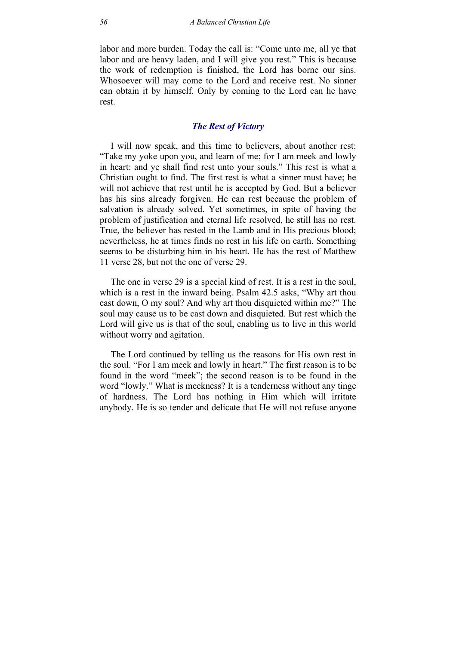labor and more burden. Today the call is: "Come unto me, all ye that labor and are heavy laden, and I will give you rest." This is because the work of redemption is finished, the Lord has borne our sins. Whosoever will may come to the Lord and receive rest. No sinner can obtain it by himself. Only by coming to the Lord can he have rest.

## *The Rest of Victory*

I will now speak, and this time to believers, about another rest: "Take my yoke upon you, and learn of me; for I am meek and lowly in heart: and ye shall find rest unto your souls." This rest is what a Christian ought to find. The first rest is what a sinner must have; he will not achieve that rest until he is accepted by God. But a believer has his sins already forgiven. He can rest because the problem of salvation is already solved. Yet sometimes, in spite of having the problem of justification and eternal life resolved, he still has no rest. True, the believer has rested in the Lamb and in His precious blood; nevertheless, he at times finds no rest in his life on earth. Something seems to be disturbing him in his heart. He has the rest of Matthew 11 verse 28, but not the one of verse 29.

The one in verse 29 is a special kind of rest. It is a rest in the soul, which is a rest in the inward being. Psalm 42.5 asks, "Why art thou cast down, O my soul? And why art thou disquieted within me?" The soul may cause us to be cast down and disquieted. But rest which the Lord will give us is that of the soul, enabling us to live in this world without worry and agitation.

The Lord continued by telling us the reasons for His own rest in the soul. "For I am meek and lowly in heart." The first reason is to be found in the word "meek"; the second reason is to be found in the word "lowly." What is meekness? It is a tenderness without any tinge of hardness. The Lord has nothing in Him which will irritate anybody. He is so tender and delicate that He will not refuse anyone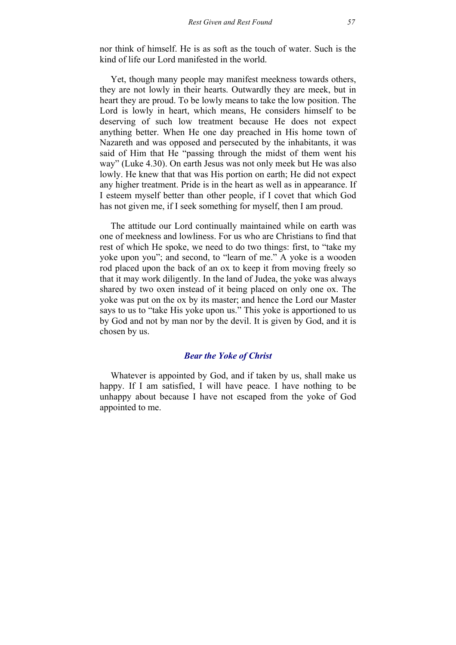nor think of himself. He is as soft as the touch of water. Such is the kind of life our Lord manifested in the world.

Yet, though many people may manifest meekness towards others, they are not lowly in their hearts. Outwardly they are meek, but in heart they are proud. To be lowly means to take the low position. The Lord is lowly in heart, which means, He considers himself to be deserving of such low treatment because He does not expect anything better. When He one day preached in His home town of Nazareth and was opposed and persecuted by the inhabitants, it was said of Him that He "passing through the midst of them went his way" (Luke 4.30). On earth Jesus was not only meek but He was also lowly. He knew that that was His portion on earth; He did not expect any higher treatment. Pride is in the heart as well as in appearance. If I esteem myself better than other people, if I covet that which God has not given me, if I seek something for myself, then I am proud.

The attitude our Lord continually maintained while on earth was one of meekness and lowliness. For us who are Christians to find that rest of which He spoke, we need to do two things: first, to "take my yoke upon you"; and second, to "learn of me." A yoke is a wooden rod placed upon the back of an ox to keep it from moving freely so that it may work diligently. In the land of Judea, the yoke was always shared by two oxen instead of it being placed on only one ox. The yoke was put on the ox by its master; and hence the Lord our Master says to us to "take His yoke upon us." This yoke is apportioned to us by God and not by man nor by the devil. It is given by God, and it is chosen by us.

## *Bear the Yoke of Christ*

Whatever is appointed by God, and if taken by us, shall make us happy. If I am satisfied, I will have peace. I have nothing to be unhappy about because I have not escaped from the yoke of God appointed to me.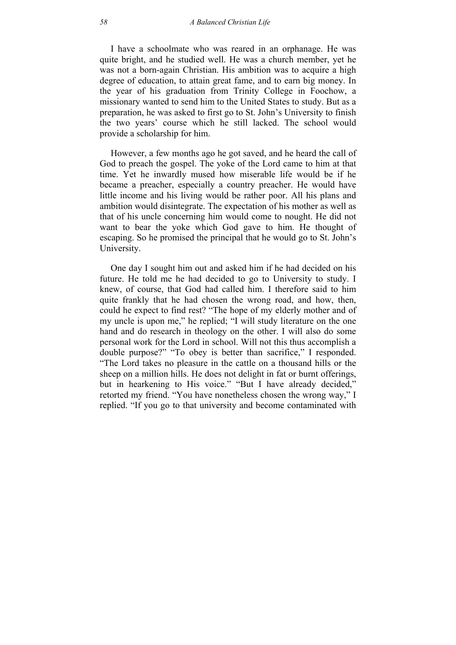I have a schoolmate who was reared in an orphanage. He was quite bright, and he studied well. He was a church member, yet he was not a born-again Christian. His ambition was to acquire a high degree of education, to attain great fame, and to earn big money. In the year of his graduation from Trinity College in Foochow, a missionary wanted to send him to the United States to study. But as a preparation, he was asked to first go to St. John's University to finish the two years' course which he still lacked. The school would provide a scholarship for him.

However, a few months ago he got saved, and he heard the call of God to preach the gospel. The yoke of the Lord came to him at that time. Yet he inwardly mused how miserable life would be if he became a preacher, especially a country preacher. He would have little income and his living would be rather poor. All his plans and ambition would disintegrate. The expectation of his mother as well as that of his uncle concerning him would come to nought. He did not want to bear the yoke which God gave to him. He thought of escaping. So he promised the principal that he would go to St. John's University.

One day I sought him out and asked him if he had decided on his future. He told me he had decided to go to University to study. I knew, of course, that God had called him. I therefore said to him quite frankly that he had chosen the wrong road, and how, then, could he expect to find rest? "The hope of my elderly mother and of my uncle is upon me," he replied; "I will study literature on the one hand and do research in theology on the other. I will also do some personal work for the Lord in school. Will not this thus accomplish a double purpose?" "To obey is better than sacrifice," I responded. "The Lord takes no pleasure in the cattle on a thousand hills or the sheep on a million hills. He does not delight in fat or burnt offerings, but in hearkening to His voice." "But I have already decided," retorted my friend. "You have nonetheless chosen the wrong way," I replied. "If you go to that university and become contaminated with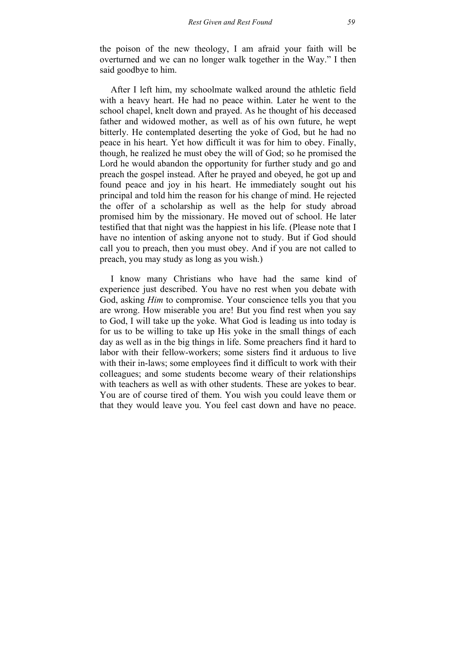the poison of the new theology, I am afraid your faith will be overturned and we can no longer walk together in the Way." I then said goodbye to him.

After I left him, my schoolmate walked around the athletic field with a heavy heart. He had no peace within. Later he went to the school chapel, knelt down and prayed. As he thought of his deceased father and widowed mother, as well as of his own future, he wept bitterly. He contemplated deserting the yoke of God, but he had no peace in his heart. Yet how difficult it was for him to obey. Finally, though, he realized he must obey the will of God; so he promised the Lord he would abandon the opportunity for further study and go and preach the gospel instead. After he prayed and obeyed, he got up and found peace and joy in his heart. He immediately sought out his principal and told him the reason for his change of mind. He rejected the offer of a scholarship as well as the help for study abroad promised him by the missionary. He moved out of school. He later testified that that night was the happiest in his life. (Please note that I have no intention of asking anyone not to study. But if God should call you to preach, then you must obey. And if you are not called to preach, you may study as long as you wish.)

I know many Christians who have had the same kind of experience just described. You have no rest when you debate with God, asking *Him* to compromise. Your conscience tells you that you are wrong. How miserable you are! But you find rest when you say to God, I will take up the yoke. What God is leading us into today is for us to be willing to take up His yoke in the small things of each day as well as in the big things in life. Some preachers find it hard to labor with their fellow-workers; some sisters find it arduous to live with their in-laws; some employees find it difficult to work with their colleagues; and some students become weary of their relationships with teachers as well as with other students. These are yokes to bear. You are of course tired of them. You wish you could leave them or that they would leave you. You feel cast down and have no peace.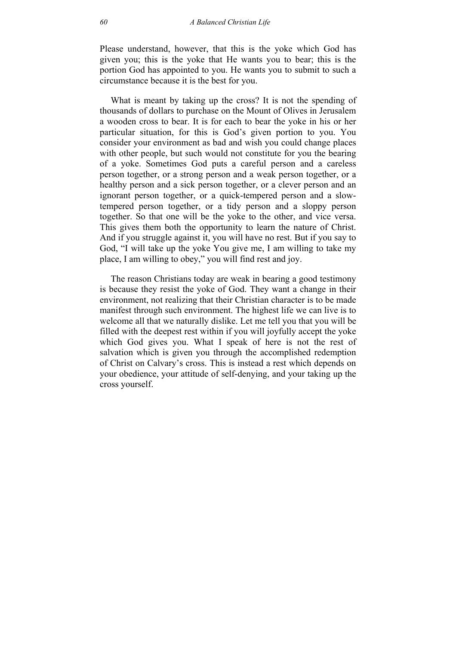Please understand, however, that this is the yoke which God has given you; this is the yoke that He wants you to bear; this is the portion God has appointed to you. He wants you to submit to such a circumstance because it is the best for you.

What is meant by taking up the cross? It is not the spending of thousands of dollars to purchase on the Mount of Olives in Jerusalem a wooden cross to bear. It is for each to bear the yoke in his or her particular situation, for this is God's given portion to you. You consider your environment as bad and wish you could change places with other people, but such would not constitute for you the bearing of a yoke. Sometimes God puts a careful person and a careless person together, or a strong person and a weak person together, or a healthy person and a sick person together, or a clever person and an ignorant person together, or a quick-tempered person and a slowtempered person together, or a tidy person and a sloppy person together. So that one will be the yoke to the other, and vice versa. This gives them both the opportunity to learn the nature of Christ. And if you struggle against it, you will have no rest. But if you say to God, "I will take up the yoke You give me, I am willing to take my place, I am willing to obey," you will find rest and joy.

The reason Christians today are weak in bearing a good testimony is because they resist the yoke of God. They want a change in their environment, not realizing that their Christian character is to be made manifest through such environment. The highest life we can live is to welcome all that we naturally dislike. Let me tell you that you will be filled with the deepest rest within if you will joyfully accept the yoke which God gives you. What I speak of here is not the rest of salvation which is given you through the accomplished redemption of Christ on Calvary's cross. This is instead a rest which depends on your obedience, your attitude of self-denying, and your taking up the cross yourself.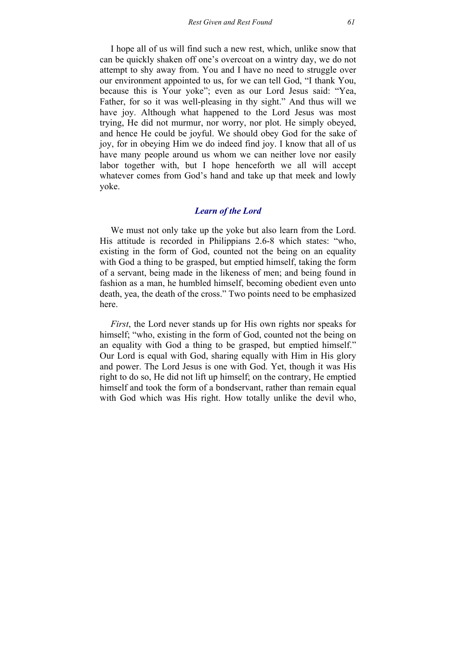I hope all of us will find such a new rest, which, unlike snow that can be quickly shaken off one's overcoat on a wintry day, we do not attempt to shy away from. You and I have no need to struggle over our environment appointed to us, for we can tell God, "I thank You, because this is Your yoke"; even as our Lord Jesus said: "Yea, Father, for so it was well-pleasing in thy sight." And thus will we have joy. Although what happened to the Lord Jesus was most trying, He did not murmur, nor worry, nor plot. He simply obeyed, and hence He could be joyful. We should obey God for the sake of joy, for in obeying Him we do indeed find joy. I know that all of us have many people around us whom we can neither love nor easily labor together with, but I hope henceforth we all will accept whatever comes from God's hand and take up that meek and lowly yoke.

### *Learn of the Lord*

We must not only take up the yoke but also learn from the Lord. His attitude is recorded in Philippians 2.6-8 which states: "who, existing in the form of God, counted not the being on an equality with God a thing to be grasped, but emptied himself, taking the form of a servant, being made in the likeness of men; and being found in fashion as a man, he humbled himself, becoming obedient even unto death, yea, the death of the cross." Two points need to be emphasized here.

*First*, the Lord never stands up for His own rights nor speaks for himself; "who, existing in the form of God, counted not the being on an equality with God a thing to be grasped, but emptied himself." Our Lord is equal with God, sharing equally with Him in His glory and power. The Lord Jesus is one with God. Yet, though it was His right to do so, He did not lift up himself; on the contrary, He emptied himself and took the form of a bondservant, rather than remain equal with God which was His right. How totally unlike the devil who,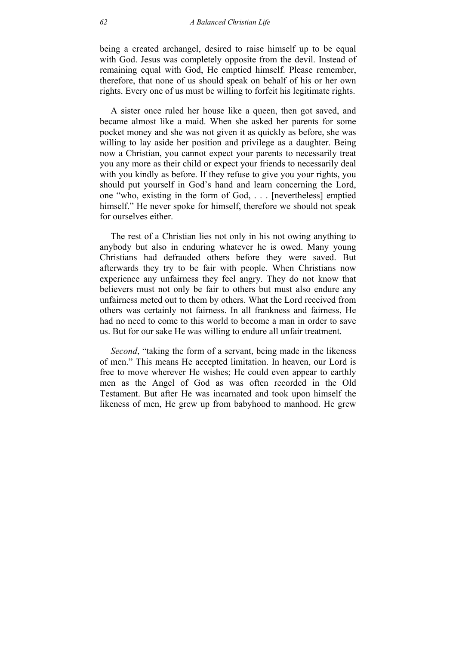being a created archangel, desired to raise himself up to be equal with God. Jesus was completely opposite from the devil. Instead of remaining equal with God, He emptied himself. Please remember, therefore, that none of us should speak on behalf of his or her own rights. Every one of us must be willing to forfeit his legitimate rights.

A sister once ruled her house like a queen, then got saved, and became almost like a maid. When she asked her parents for some pocket money and she was not given it as quickly as before, she was willing to lay aside her position and privilege as a daughter. Being now a Christian, you cannot expect your parents to necessarily treat you any more as their child or expect your friends to necessarily deal with you kindly as before. If they refuse to give you your rights, you should put yourself in God's hand and learn concerning the Lord, one "who, existing in the form of God, . . . [nevertheless] emptied himself." He never spoke for himself, therefore we should not speak for ourselves either.

The rest of a Christian lies not only in his not owing anything to anybody but also in enduring whatever he is owed. Many young Christians had defrauded others before they were saved. But afterwards they try to be fair with people. When Christians now experience any unfairness they feel angry. They do not know that believers must not only be fair to others but must also endure any unfairness meted out to them by others. What the Lord received from others was certainly not fairness. In all frankness and fairness, He had no need to come to this world to become a man in order to save us. But for our sake He was willing to endure all unfair treatment.

*Second*, "taking the form of a servant, being made in the likeness of men." This means He accepted limitation. In heaven, our Lord is free to move wherever He wishes; He could even appear to earthly men as the Angel of God as was often recorded in the Old Testament. But after He was incarnated and took upon himself the likeness of men, He grew up from babyhood to manhood. He grew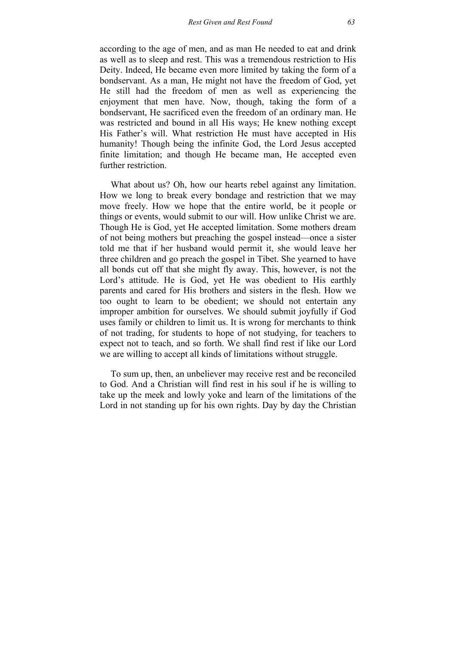according to the age of men, and as man He needed to eat and drink as well as to sleep and rest. This was a tremendous restriction to His Deity. Indeed, He became even more limited by taking the form of a bondservant. As a man, He might not have the freedom of God, yet He still had the freedom of men as well as experiencing the enjoyment that men have. Now, though, taking the form of a bondservant, He sacrificed even the freedom of an ordinary man. He was restricted and bound in all His ways; He knew nothing except His Father's will. What restriction He must have accepted in His humanity! Though being the infinite God, the Lord Jesus accepted finite limitation; and though He became man, He accepted even further restriction.

What about us? Oh, how our hearts rebel against any limitation. How we long to break every bondage and restriction that we may move freely. How we hope that the entire world, be it people or things or events, would submit to our will. How unlike Christ we are. Though He is God, yet He accepted limitation. Some mothers dream of not being mothers but preaching the gospel instead—once a sister told me that if her husband would permit it, she would leave her three children and go preach the gospel in Tibet. She yearned to have all bonds cut off that she might fly away. This, however, is not the Lord's attitude. He is God, yet He was obedient to His earthly parents and cared for His brothers and sisters in the flesh. How we too ought to learn to be obedient; we should not entertain any improper ambition for ourselves. We should submit joyfully if God uses family or children to limit us. It is wrong for merchants to think of not trading, for students to hope of not studying, for teachers to expect not to teach, and so forth. We shall find rest if like our Lord we are willing to accept all kinds of limitations without struggle.

To sum up, then, an unbeliever may receive rest and be reconciled to God. And a Christian will find rest in his soul if he is willing to take up the meek and lowly yoke and learn of the limitations of the Lord in not standing up for his own rights. Day by day the Christian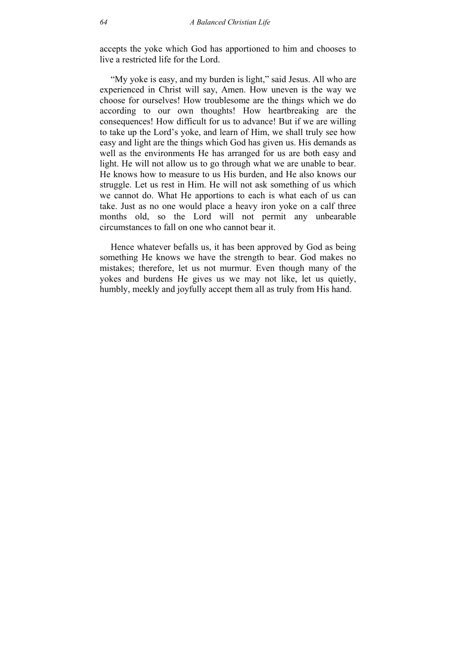accepts the yoke which God has apportioned to him and chooses to live a restricted life for the Lord.

"My yoke is easy, and my burden is light," said Jesus. All who are experienced in Christ will say, Amen. How uneven is the way we choose for ourselves! How troublesome are the things which we do according to our own thoughts! How heartbreaking are the consequences! How difficult for us to advance! But if we are willing to take up the Lord's yoke, and learn of Him, we shall truly see how easy and light are the things which God has given us. His demands as well as the environments He has arranged for us are both easy and light. He will not allow us to go through what we are unable to bear. He knows how to measure to us His burden, and He also knows our struggle. Let us rest in Him. He will not ask something of us which we cannot do. What He apportions to each is what each of us can take. Just as no one would place a heavy iron yoke on a calf three months old, so the Lord will not permit any unbearable circumstances to fall on one who cannot bear it.

Hence whatever befalls us, it has been approved by God as being something He knows we have the strength to bear. God makes no mistakes; therefore, let us not murmur. Even though many of the yokes and burdens He gives us we may not like, let us quietly, humbly, meekly and joyfully accept them all as truly from His hand.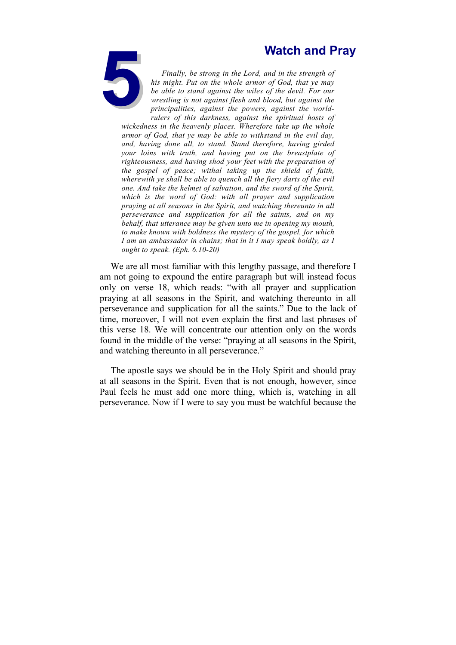

**5Watch and Pray**<br>
Finally, be strong in the Lord, and in the strength of<br>
his might. Put on the whole armor of God, that ye may<br>
be able to stand against the wiles of the devil. For our<br>
wrestling is not against flesh and *Finally, be strong in the Lord, and in the strength of his might. Put on the whole armor of God, that ye may be able to stand against the wiles of the devil. For our wrestling is not against flesh and blood, but against the principalities, against the powers, against the worldrulers of this darkness, against the spiritual hosts of*

*wickedness in the heavenly places. Wherefore take up the whole armor of God, that ye may be able to withstand in the evil day, and, having done all, to stand. Stand therefore, having girded your loins with truth, and having put on the breastplate of righteousness, and having shod your feet with the preparation of the gospel of peace; withal taking up the shield of faith, wherewith ye shall be able to quench all the fiery darts of the evil one. And take the helmet of salvation, and the sword of the Spirit, which is the word of God: with all prayer and supplication praying at all seasons in the Spirit, and watching thereunto in all perseverance and supplication for all the saints, and on my behalf, that utterance may be given unto me in opening my mouth, to make known with boldness the mystery of the gospel, for which I am an ambassador in chains; that in it I may speak boldly, as I ought to speak. (Eph. 6.10-20)*

We are all most familiar with this lengthy passage, and therefore I am not going to expound the entire paragraph but will instead focus only on verse 18, which reads: "with all prayer and supplication praying at all seasons in the Spirit, and watching thereunto in all perseverance and supplication for all the saints." Due to the lack of time, moreover, I will not even explain the first and last phrases of this verse 18. We will concentrate our attention only on the words found in the middle of the verse: "praying at all seasons in the Spirit, and watching thereunto in all perseverance."

The apostle says we should be in the Holy Spirit and should pray at all seasons in the Spirit. Even that is not enough, however, since Paul feels he must add one more thing, which is, watching in all perseverance. Now if I were to say you must be watchful because the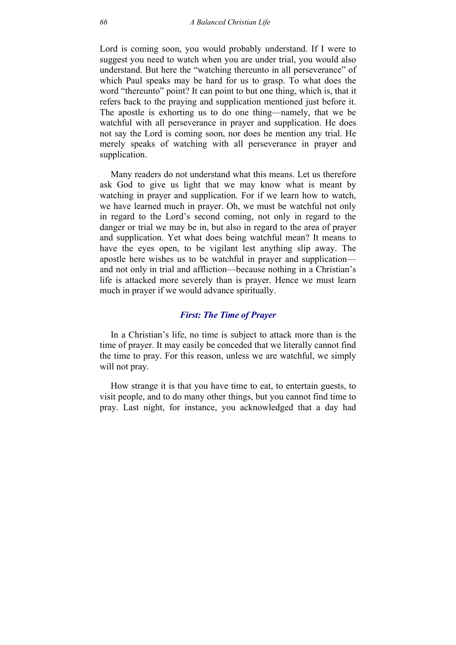Lord is coming soon, you would probably understand. If I were to suggest you need to watch when you are under trial, you would also understand. But here the "watching thereunto in all perseverance" of which Paul speaks may be hard for us to grasp. To what does the word "thereunto" point? It can point to but one thing, which is, that it refers back to the praying and supplication mentioned just before it. The apostle is exhorting us to do one thing—namely, that we be watchful with all perseverance in prayer and supplication. He does not say the Lord is coming soon, nor does he mention any trial. He merely speaks of watching with all perseverance in prayer and supplication.

Many readers do not understand what this means. Let us therefore ask God to give us light that we may know what is meant by watching in prayer and supplication. For if we learn how to watch, we have learned much in prayer. Oh, we must be watchful not only in regard to the Lord's second coming, not only in regard to the danger or trial we may be in, but also in regard to the area of prayer and supplication. Yet what does being watchful mean? It means to have the eyes open, to be vigilant lest anything slip away. The apostle here wishes us to be watchful in prayer and supplication and not only in trial and affliction—because nothing in a Christian's life is attacked more severely than is prayer. Hence we must learn much in prayer if we would advance spiritually.

## *First: The Time of Prayer*

In a Christian's life, no time is subject to attack more than is the time of prayer. It may easily be conceded that we literally cannot find the time to pray. For this reason, unless we are watchful, we simply will not pray.

How strange it is that you have time to eat, to entertain guests, to visit people, and to do many other things, but you cannot find time to pray. Last night, for instance, you acknowledged that a day had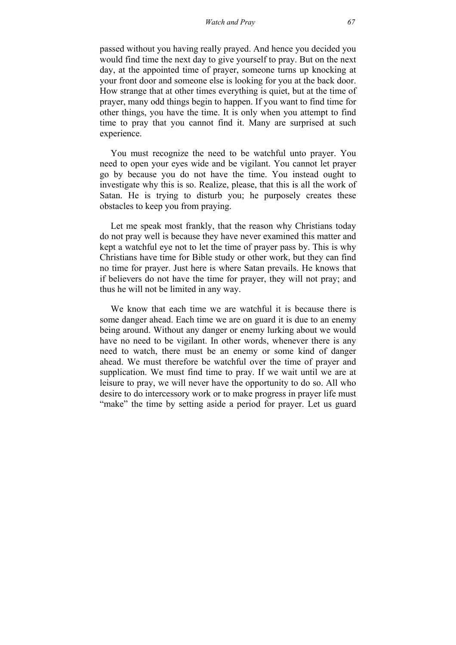passed without you having really prayed. And hence you decided you would find time the next day to give yourself to pray. But on the next day, at the appointed time of prayer, someone turns up knocking at your front door and someone else is looking for you at the back door. How strange that at other times everything is quiet, but at the time of prayer, many odd things begin to happen. If you want to find time for other things, you have the time. It is only when you attempt to find time to pray that you cannot find it. Many are surprised at such experience.

You must recognize the need to be watchful unto prayer. You need to open your eyes wide and be vigilant. You cannot let prayer go by because you do not have the time. You instead ought to investigate why this is so. Realize, please, that this is all the work of Satan. He is trying to disturb you; he purposely creates these obstacles to keep you from praying.

Let me speak most frankly, that the reason why Christians today do not pray well is because they have never examined this matter and kept a watchful eye not to let the time of prayer pass by. This is why Christians have time for Bible study or other work, but they can find no time for prayer. Just here is where Satan prevails. He knows that if believers do not have the time for prayer, they will not pray; and thus he will not be limited in any way.

We know that each time we are watchful it is because there is some danger ahead. Each time we are on guard it is due to an enemy being around. Without any danger or enemy lurking about we would have no need to be vigilant. In other words, whenever there is any need to watch, there must be an enemy or some kind of danger ahead. We must therefore be watchful over the time of prayer and supplication. We must find time to pray. If we wait until we are at leisure to pray, we will never have the opportunity to do so. All who desire to do intercessory work or to make progress in prayer life must "make" the time by setting aside a period for prayer. Let us guard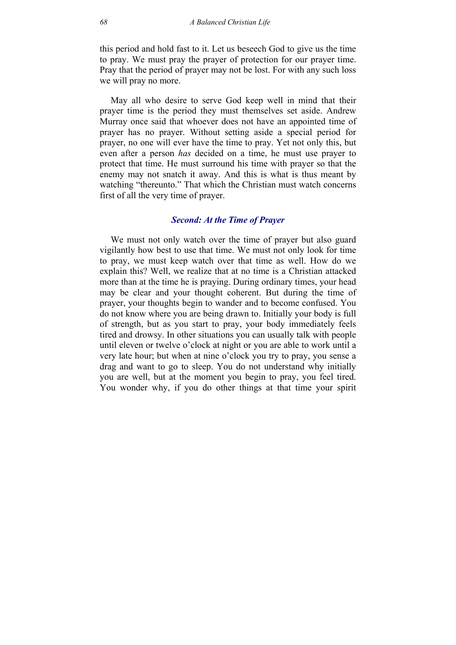this period and hold fast to it. Let us beseech God to give us the time to pray. We must pray the prayer of protection for our prayer time. Pray that the period of prayer may not be lost. For with any such loss we will pray no more.

May all who desire to serve God keep well in mind that their prayer time is the period they must themselves set aside. Andrew Murray once said that whoever does not have an appointed time of prayer has no prayer. Without setting aside a special period for prayer, no one will ever have the time to pray. Yet not only this, but even after a person *has* decided on a time, he must use prayer to protect that time. He must surround his time with prayer so that the enemy may not snatch it away. And this is what is thus meant by watching "thereunto." That which the Christian must watch concerns first of all the very time of prayer.

### *Second: At the Time of Prayer*

We must not only watch over the time of prayer but also guard vigilantly how best to use that time. We must not only look for time to pray, we must keep watch over that time as well. How do we explain this? Well, we realize that at no time is a Christian attacked more than at the time he is praying. During ordinary times, your head may be clear and your thought coherent. But during the time of prayer, your thoughts begin to wander and to become confused. You do not know where you are being drawn to. Initially your body is full of strength, but as you start to pray, your body immediately feels tired and drowsy. In other situations you can usually talk with people until eleven or twelve o'clock at night or you are able to work until a very late hour; but when at nine o'clock you try to pray, you sense a drag and want to go to sleep. You do not understand why initially you are well, but at the moment you begin to pray, you feel tired. You wonder why, if you do other things at that time your spirit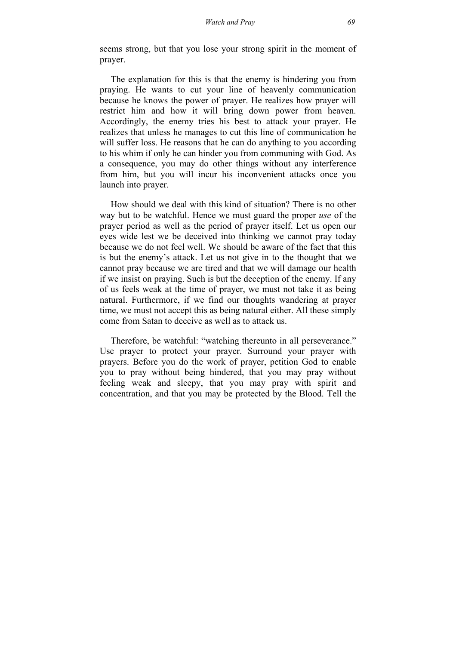seems strong, but that you lose your strong spirit in the moment of prayer.

The explanation for this is that the enemy is hindering you from praying. He wants to cut your line of heavenly communication because he knows the power of prayer. He realizes how prayer will restrict him and how it will bring down power from heaven. Accordingly, the enemy tries his best to attack your prayer. He realizes that unless he manages to cut this line of communication he will suffer loss. He reasons that he can do anything to you according to his whim if only he can hinder you from communing with God. As a consequence, you may do other things without any interference from him, but you will incur his inconvenient attacks once you launch into prayer.

How should we deal with this kind of situation? There is no other way but to be watchful. Hence we must guard the proper *use* of the prayer period as well as the period of prayer itself. Let us open our eyes wide lest we be deceived into thinking we cannot pray today because we do not feel well. We should be aware of the fact that this is but the enemy's attack. Let us not give in to the thought that we cannot pray because we are tired and that we will damage our health if we insist on praying. Such is but the deception of the enemy. If any of us feels weak at the time of prayer, we must not take it as being natural. Furthermore, if we find our thoughts wandering at prayer time, we must not accept this as being natural either. All these simply come from Satan to deceive as well as to attack us.

Therefore, be watchful: "watching thereunto in all perseverance." Use prayer to protect your prayer. Surround your prayer with prayers. Before you do the work of prayer, petition God to enable you to pray without being hindered, that you may pray without feeling weak and sleepy, that you may pray with spirit and concentration, and that you may be protected by the Blood. Tell the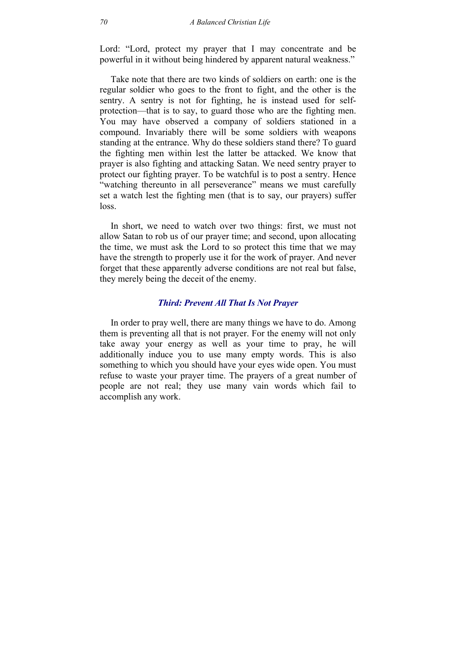Lord: "Lord, protect my prayer that I may concentrate and be powerful in it without being hindered by apparent natural weakness."

Take note that there are two kinds of soldiers on earth: one is the regular soldier who goes to the front to fight, and the other is the sentry. A sentry is not for fighting, he is instead used for selfprotection—that is to say, to guard those who are the fighting men. You may have observed a company of soldiers stationed in a compound. Invariably there will be some soldiers with weapons standing at the entrance. Why do these soldiers stand there? To guard the fighting men within lest the latter be attacked. We know that prayer is also fighting and attacking Satan. We need sentry prayer to protect our fighting prayer. To be watchful is to post a sentry. Hence "watching thereunto in all perseverance" means we must carefully set a watch lest the fighting men (that is to say, our prayers) suffer loss.

In short, we need to watch over two things: first, we must not allow Satan to rob us of our prayer time; and second, upon allocating the time, we must ask the Lord to so protect this time that we may have the strength to properly use it for the work of prayer. And never forget that these apparently adverse conditions are not real but false, they merely being the deceit of the enemy.

# *Third: Prevent All That Is Not Prayer*

In order to pray well, there are many things we have to do. Among them is preventing all that is not prayer. For the enemy will not only take away your energy as well as your time to pray, he will additionally induce you to use many empty words. This is also something to which you should have your eyes wide open. You must refuse to waste your prayer time. The prayers of a great number of people are not real; they use many vain words which fail to accomplish any work.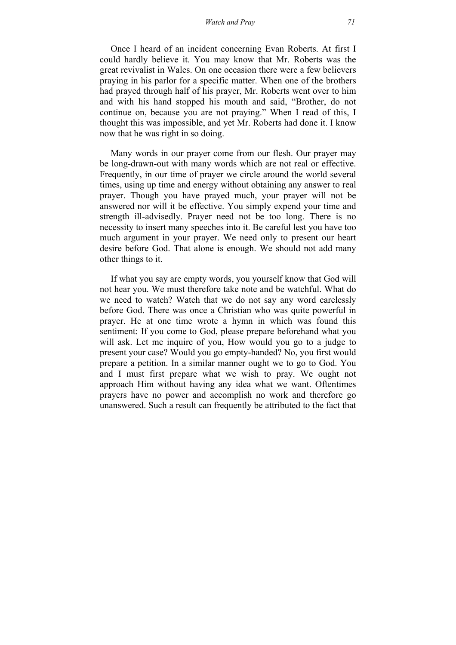Once I heard of an incident concerning Evan Roberts. At first I could hardly believe it. You may know that Mr. Roberts was the great revivalist in Wales. On one occasion there were a few believers praying in his parlor for a specific matter. When one of the brothers had prayed through half of his prayer, Mr. Roberts went over to him and with his hand stopped his mouth and said, "Brother, do not continue on, because you are not praying." When I read of this, I thought this was impossible, and yet Mr. Roberts had done it. I know now that he was right in so doing.

Many words in our prayer come from our flesh. Our prayer may be long-drawn-out with many words which are not real or effective. Frequently, in our time of prayer we circle around the world several times, using up time and energy without obtaining any answer to real prayer. Though you have prayed much, your prayer will not be answered nor will it be effective. You simply expend your time and strength ill-advisedly. Prayer need not be too long. There is no necessity to insert many speeches into it. Be careful lest you have too much argument in your prayer. We need only to present our heart desire before God. That alone is enough. We should not add many other things to it.

If what you say are empty words, you yourself know that God will not hear you. We must therefore take note and be watchful. What do we need to watch? Watch that we do not say any word carelessly before God. There was once a Christian who was quite powerful in prayer. He at one time wrote a hymn in which was found this sentiment: If you come to God, please prepare beforehand what you will ask. Let me inquire of you, How would you go to a judge to present your case? Would you go empty-handed? No, you first would prepare a petition. In a similar manner ought we to go to God. You and I must first prepare what we wish to pray. We ought not approach Him without having any idea what we want. Oftentimes prayers have no power and accomplish no work and therefore go unanswered. Such a result can frequently be attributed to the fact that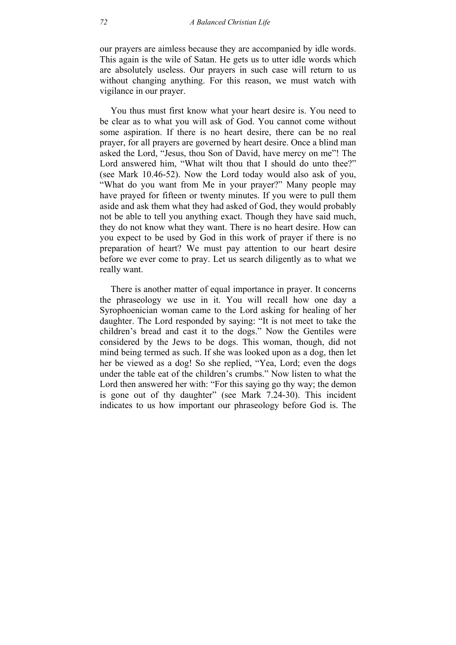our prayers are aimless because they are accompanied by idle words. This again is the wile of Satan. He gets us to utter idle words which are absolutely useless. Our prayers in such case will return to us without changing anything. For this reason, we must watch with vigilance in our prayer.

You thus must first know what your heart desire is. You need to be clear as to what you will ask of God. You cannot come without some aspiration. If there is no heart desire, there can be no real prayer, for all prayers are governed by heart desire. Once a blind man asked the Lord, "Jesus, thou Son of David, have mercy on me"! The Lord answered him, "What wilt thou that I should do unto thee?" (see Mark 10.46-52). Now the Lord today would also ask of you, "What do you want from Me in your prayer?" Many people may have prayed for fifteen or twenty minutes. If you were to pull them aside and ask them what they had asked of God, they would probably not be able to tell you anything exact. Though they have said much, they do not know what they want. There is no heart desire. How can you expect to be used by God in this work of prayer if there is no preparation of heart? We must pay attention to our heart desire before we ever come to pray. Let us search diligently as to what we really want.

There is another matter of equal importance in prayer. It concerns the phraseology we use in it. You will recall how one day a Syrophoenician woman came to the Lord asking for healing of her daughter. The Lord responded by saying: "It is not meet to take the children's bread and cast it to the dogs." Now the Gentiles were considered by the Jews to be dogs. This woman, though, did not mind being termed as such. If she was looked upon as a dog, then let her be viewed as a dog! So she replied, "Yea, Lord; even the dogs under the table eat of the children's crumbs." Now listen to what the Lord then answered her with: "For this saying go thy way; the demon is gone out of thy daughter" (see Mark 7.24-30). This incident indicates to us how important our phraseology before God is. The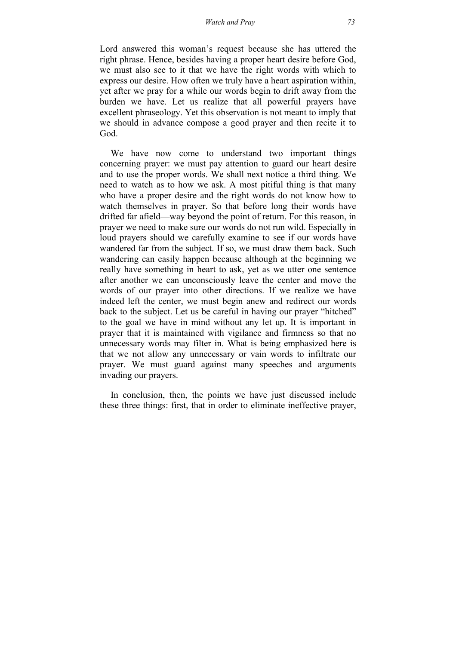Lord answered this woman's request because she has uttered the right phrase. Hence, besides having a proper heart desire before God, we must also see to it that we have the right words with which to express our desire. How often we truly have a heart aspiration within, yet after we pray for a while our words begin to drift away from the burden we have. Let us realize that all powerful prayers have excellent phraseology. Yet this observation is not meant to imply that we should in advance compose a good prayer and then recite it to God.

We have now come to understand two important things concerning prayer: we must pay attention to guard our heart desire and to use the proper words. We shall next notice a third thing. We need to watch as to how we ask. A most pitiful thing is that many who have a proper desire and the right words do not know how to watch themselves in prayer. So that before long their words have drifted far afield—way beyond the point of return. For this reason, in prayer we need to make sure our words do not run wild. Especially in loud prayers should we carefully examine to see if our words have wandered far from the subject. If so, we must draw them back. Such wandering can easily happen because although at the beginning we really have something in heart to ask, yet as we utter one sentence after another we can unconsciously leave the center and move the words of our prayer into other directions. If we realize we have indeed left the center, we must begin anew and redirect our words back to the subject. Let us be careful in having our prayer "hitched" to the goal we have in mind without any let up. It is important in prayer that it is maintained with vigilance and firmness so that no unnecessary words may filter in. What is being emphasized here is that we not allow any unnecessary or vain words to infiltrate our prayer. We must guard against many speeches and arguments invading our prayers.

In conclusion, then, the points we have just discussed include these three things: first, that in order to eliminate ineffective prayer,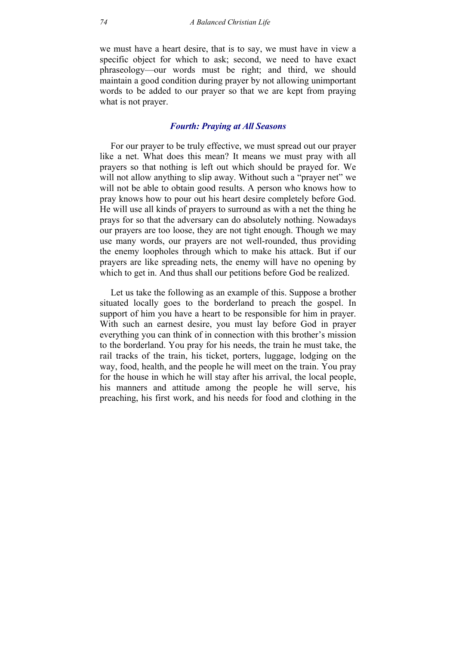we must have a heart desire, that is to say, we must have in view a specific object for which to ask; second, we need to have exact phraseology—our words must be right; and third, we should maintain a good condition during prayer by not allowing unimportant words to be added to our prayer so that we are kept from praying what is not prayer.

# *Fourth: Praying at All Seasons*

For our prayer to be truly effective, we must spread out our prayer like a net. What does this mean? It means we must pray with all prayers so that nothing is left out which should be prayed for. We will not allow anything to slip away. Without such a "prayer net" we will not be able to obtain good results. A person who knows how to pray knows how to pour out his heart desire completely before God. He will use all kinds of prayers to surround as with a net the thing he prays for so that the adversary can do absolutely nothing. Nowadays our prayers are too loose, they are not tight enough. Though we may use many words, our prayers are not well-rounded, thus providing the enemy loopholes through which to make his attack. But if our prayers are like spreading nets, the enemy will have no opening by which to get in. And thus shall our petitions before God be realized.

Let us take the following as an example of this. Suppose a brother situated locally goes to the borderland to preach the gospel. In support of him you have a heart to be responsible for him in prayer. With such an earnest desire, you must lay before God in prayer everything you can think of in connection with this brother's mission to the borderland. You pray for his needs, the train he must take, the rail tracks of the train, his ticket, porters, luggage, lodging on the way, food, health, and the people he will meet on the train. You pray for the house in which he will stay after his arrival, the local people, his manners and attitude among the people he will serve, his preaching, his first work, and his needs for food and clothing in the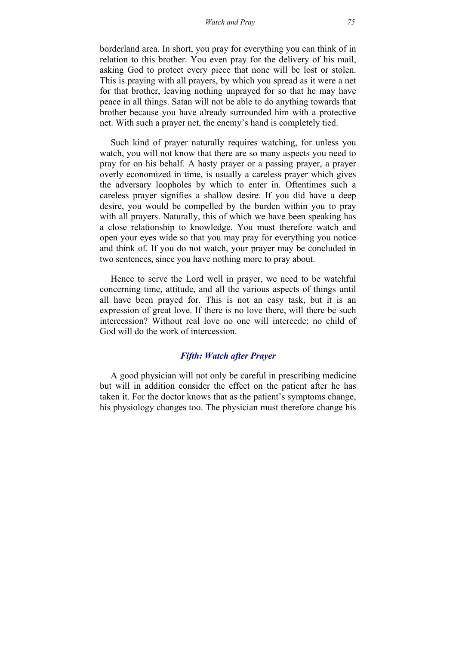borderland area. In short, you pray for everything you can think of in relation to this brother. You even pray for the delivery of his mail, asking God to protect every piece that none will be lost or stolen. This is praying with all prayers, by which you spread as it were a net for that brother, leaving nothing unprayed for so that he may have peace in all things. Satan will not be able to do anything towards that brother because you have already surrounded him with a protective net. With such a prayer net, the enemy's hand is completely tied.

Such kind of prayer naturally requires watching, for unless you watch, you will not know that there are so many aspects you need to pray for on his behalf. A hasty prayer or a passing prayer, a prayer overly economized in time, is usually a careless prayer which gives the adversary loopholes by which to enter in. Oftentimes such a careless prayer signifies a shallow desire. If you did have a deep desire, you would be compelled by the burden within you to pray with all prayers. Naturally, this of which we have been speaking has a close relationship to knowledge. You must therefore watch and open your eyes wide so that you may pray for everything you notice and think of. If you do not watch, your prayer may be concluded in two sentences, since you have nothing more to pray about.

Hence to serve the Lord well in prayer, we need to be watchful concerning time, attitude, and all the various aspects of things until all have been prayed for. This is not an easy task, but it is an expression of great love. If there is no love there, will there be such intercession? Without real love no one will intercede; no child of God will do the work of intercession.

# *Fifth: Watch after Prayer*

A good physician will not only be careful in prescribing medicine but will in addition consider the effect on the patient after he has taken it. For the doctor knows that as the patient's symptoms change, his physiology changes too. The physician must therefore change his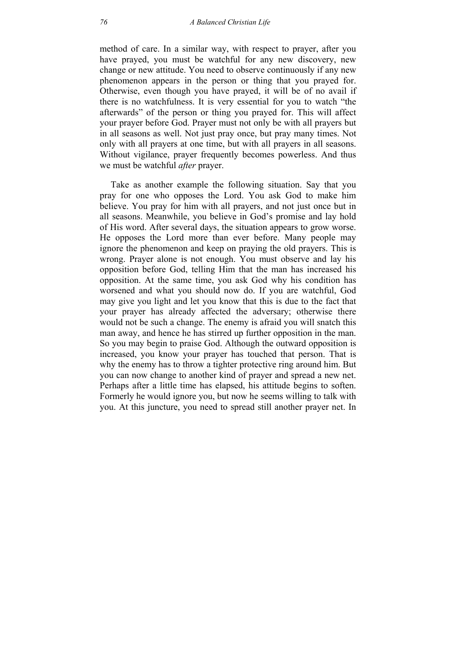method of care. In a similar way, with respect to prayer, after you have prayed, you must be watchful for any new discovery, new change or new attitude. You need to observe continuously if any new phenomenon appears in the person or thing that you prayed for. Otherwise, even though you have prayed, it will be of no avail if there is no watchfulness. It is very essential for you to watch "the afterwards" of the person or thing you prayed for. This will affect your prayer before God. Prayer must not only be with all prayers but in all seasons as well. Not just pray once, but pray many times. Not only with all prayers at one time, but with all prayers in all seasons. Without vigilance, prayer frequently becomes powerless. And thus we must be watchful *after* prayer.

Take as another example the following situation. Say that you pray for one who opposes the Lord. You ask God to make him believe. You pray for him with all prayers, and not just once but in all seasons. Meanwhile, you believe in God's promise and lay hold of His word. After several days, the situation appears to grow worse. He opposes the Lord more than ever before. Many people may ignore the phenomenon and keep on praying the old prayers. This is wrong. Prayer alone is not enough. You must observe and lay his opposition before God, telling Him that the man has increased his opposition. At the same time, you ask God why his condition has worsened and what you should now do. If you are watchful, God may give you light and let you know that this is due to the fact that your prayer has already affected the adversary; otherwise there would not be such a change. The enemy is afraid you will snatch this man away, and hence he has stirred up further opposition in the man. So you may begin to praise God. Although the outward opposition is increased, you know your prayer has touched that person. That is why the enemy has to throw a tighter protective ring around him. But you can now change to another kind of prayer and spread a new net. Perhaps after a little time has elapsed, his attitude begins to soften. Formerly he would ignore you, but now he seems willing to talk with you. At this juncture, you need to spread still another prayer net. In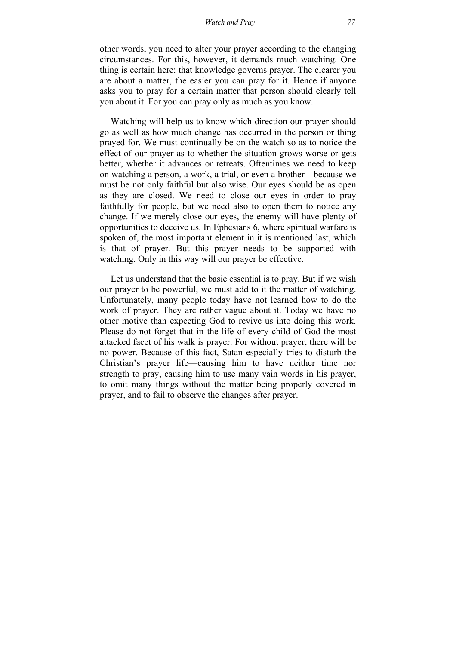other words, you need to alter your prayer according to the changing circumstances. For this, however, it demands much watching. One thing is certain here: that knowledge governs prayer. The clearer you are about a matter, the easier you can pray for it. Hence if anyone asks you to pray for a certain matter that person should clearly tell you about it. For you can pray only as much as you know.

Watching will help us to know which direction our prayer should go as well as how much change has occurred in the person or thing prayed for. We must continually be on the watch so as to notice the effect of our prayer as to whether the situation grows worse or gets better, whether it advances or retreats. Oftentimes we need to keep on watching a person, a work, a trial, or even a brother—because we must be not only faithful but also wise. Our eyes should be as open as they are closed. We need to close our eyes in order to pray faithfully for people, but we need also to open them to notice any change. If we merely close our eyes, the enemy will have plenty of opportunities to deceive us. In Ephesians 6, where spiritual warfare is spoken of, the most important element in it is mentioned last, which is that of prayer. But this prayer needs to be supported with watching. Only in this way will our prayer be effective.

Let us understand that the basic essential is to pray. But if we wish our prayer to be powerful, we must add to it the matter of watching. Unfortunately, many people today have not learned how to do the work of prayer. They are rather vague about it. Today we have no other motive than expecting God to revive us into doing this work. Please do not forget that in the life of every child of God the most attacked facet of his walk is prayer. For without prayer, there will be no power. Because of this fact, Satan especially tries to disturb the Christian's prayer life—causing him to have neither time nor strength to pray, causing him to use many vain words in his prayer, to omit many things without the matter being properly covered in prayer, and to fail to observe the changes after prayer.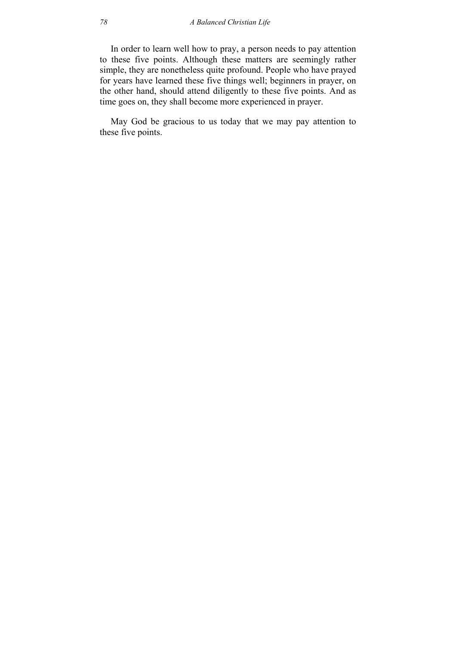In order to learn well how to pray, a person needs to pay attention to these five points. Although these matters are seemingly rather simple, they are nonetheless quite profound. People who have prayed for years have learned these five things well; beginners in prayer, on the other hand, should attend diligently to these five points. And as time goes on, they shall become more experienced in prayer.

May God be gracious to us today that we may pay attention to these five points.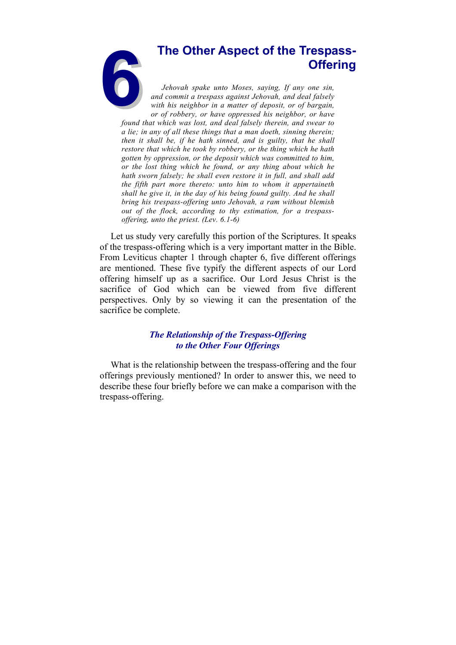# **6The Other Aspect of the Trespass-Offering**



*Jehovah spake unto Moses, saying, If any one sin, and commit a trespass against Jehovah, and deal falsely with his neighbor in a matter of deposit, or of bargain, or of robbery, or have oppressed his neighbor, or have*

*found that which was lost, and deal falsely therein, and swear to a lie; in any of all these things that a man doeth, sinning therein; then it shall be, if he hath sinned, and is guilty, that he shall restore that which he took by robbery, or the thing which he hath gotten by oppression, or the deposit which was committed to him, or the lost thing which he found, or any thing about which he hath sworn falsely; he shall even restore it in full, and shall add the fifth part more thereto: unto him to whom it appertaineth shall he give it, in the day of his being found guilty. And he shall bring his trespass-offering unto Jehovah, a ram without blemish out of the flock, according to thy estimation, for a trespassoffering, unto the priest. (Lev. 6.1-6)*

Let us study very carefully this portion of the Scriptures. It speaks of the trespass-offering which is a very important matter in the Bible. From Leviticus chapter 1 through chapter 6, five different offerings are mentioned. These five typify the different aspects of our Lord offering himself up as a sacrifice. Our Lord Jesus Christ is the sacrifice of God which can be viewed from five different perspectives. Only by so viewing it can the presentation of the sacrifice be complete.

# *The Relationship of the Trespass-Offering to the Other Four Offerings*

What is the relationship between the trespass-offering and the four offerings previously mentioned? In order to answer this, we need to describe these four briefly before we can make a comparison with the trespass-offering.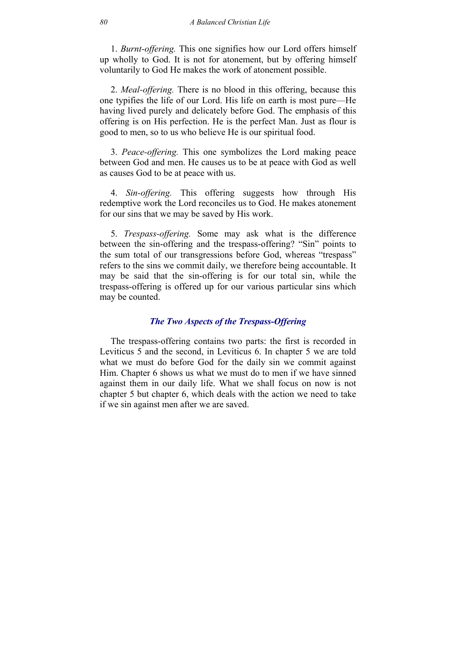1. *Burnt-offering.* This one signifies how our Lord offers himself up wholly to God. It is not for atonement, but by offering himself voluntarily to God He makes the work of atonement possible.

2. *Meal-offering.* There is no blood in this offering, because this one typifies the life of our Lord. His life on earth is most pure—He having lived purely and delicately before God. The emphasis of this offering is on His perfection. He is the perfect Man. Just as flour is good to men, so to us who believe He is our spiritual food.

3. *Peace-offering.* This one symbolizes the Lord making peace between God and men. He causes us to be at peace with God as well as causes God to be at peace with us.

4. *Sin-offering.* This offering suggests how through His redemptive work the Lord reconciles us to God. He makes atonement for our sins that we may be saved by His work.

5. *Trespass-offering.* Some may ask what is the difference between the sin-offering and the trespass-offering? "Sin" points to the sum total of our transgressions before God, whereas "trespass" refers to the sins we commit daily, we therefore being accountable. It may be said that the sin-offering is for our total sin, while the trespass-offering is offered up for our various particular sins which may be counted.

# *The Two Aspects of the Trespass-Offering*

The trespass-offering contains two parts: the first is recorded in Leviticus 5 and the second, in Leviticus 6. In chapter 5 we are told what we must do before God for the daily sin we commit against Him. Chapter 6 shows us what we must do to men if we have sinned against them in our daily life. What we shall focus on now is not chapter 5 but chapter 6, which deals with the action we need to take if we sin against men after we are saved.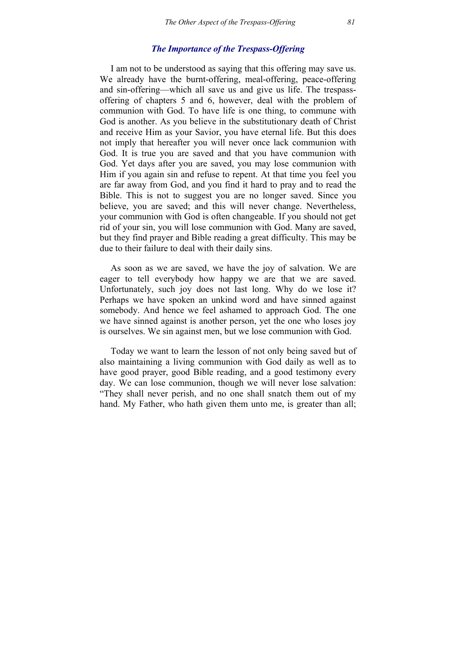# *The Importance of the Trespass-Offering*

I am not to be understood as saying that this offering may save us. We already have the burnt-offering, meal-offering, peace-offering and sin-offering—which all save us and give us life. The trespassoffering of chapters 5 and 6, however, deal with the problem of communion with God. To have life is one thing, to commune with God is another. As you believe in the substitutionary death of Christ and receive Him as your Savior, you have eternal life. But this does not imply that hereafter you will never once lack communion with God. It is true you are saved and that you have communion with God. Yet days after you are saved, you may lose communion with Him if you again sin and refuse to repent. At that time you feel you are far away from God, and you find it hard to pray and to read the Bible. This is not to suggest you are no longer saved. Since you believe, you are saved; and this will never change. Nevertheless, your communion with God is often changeable. If you should not get rid of your sin, you will lose communion with God. Many are saved, but they find prayer and Bible reading a great difficulty. This may be due to their failure to deal with their daily sins.

As soon as we are saved, we have the joy of salvation. We are eager to tell everybody how happy we are that we are saved. Unfortunately, such joy does not last long. Why do we lose it? Perhaps we have spoken an unkind word and have sinned against somebody. And hence we feel ashamed to approach God. The one we have sinned against is another person, yet the one who loses joy is ourselves. We sin against men, but we lose communion with God.

Today we want to learn the lesson of not only being saved but of also maintaining a living communion with God daily as well as to have good prayer, good Bible reading, and a good testimony every day. We can lose communion, though we will never lose salvation: "They shall never perish, and no one shall snatch them out of my hand. My Father, who hath given them unto me, is greater than all;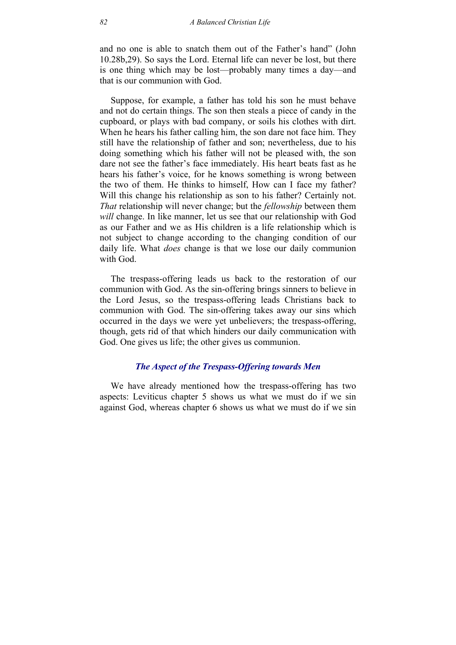and no one is able to snatch them out of the Father's hand" (John 10.28b,29). So says the Lord. Eternal life can never be lost, but there is one thing which may be lost—probably many times a day—and that is our communion with God.

Suppose, for example, a father has told his son he must behave and not do certain things. The son then steals a piece of candy in the cupboard, or plays with bad company, or soils his clothes with dirt. When he hears his father calling him, the son dare not face him. They still have the relationship of father and son; nevertheless, due to his doing something which his father will not be pleased with, the son dare not see the father's face immediately. His heart beats fast as he hears his father's voice, for he knows something is wrong between the two of them. He thinks to himself, How can I face my father? Will this change his relationship as son to his father? Certainly not. *That* relationship will never change; but the *fellowship* between them *will* change. In like manner, let us see that our relationship with God as our Father and we as His children is a life relationship which is not subject to change according to the changing condition of our daily life. What *does* change is that we lose our daily communion with God.

The trespass-offering leads us back to the restoration of our communion with God. As the sin-offering brings sinners to believe in the Lord Jesus, so the trespass-offering leads Christians back to communion with God. The sin-offering takes away our sins which occurred in the days we were yet unbelievers; the trespass-offering, though, gets rid of that which hinders our daily communication with God. One gives us life; the other gives us communion.

# *The Aspect of the Trespass-Offering towards Men*

We have already mentioned how the trespass-offering has two aspects: Leviticus chapter 5 shows us what we must do if we sin against God, whereas chapter 6 shows us what we must do if we sin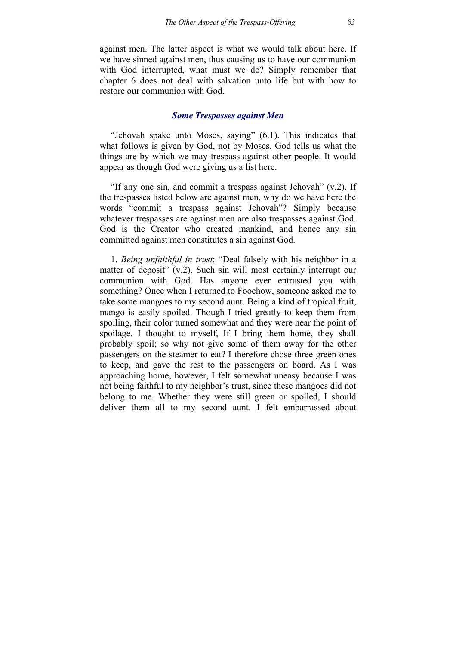against men. The latter aspect is what we would talk about here. If we have sinned against men, thus causing us to have our communion with God interrupted, what must we do? Simply remember that chapter 6 does not deal with salvation unto life but with how to restore our communion with God.

#### *Some Trespasses against Men*

"Jehovah spake unto Moses, saying" (6.1). This indicates that what follows is given by God, not by Moses. God tells us what the things are by which we may trespass against other people. It would appear as though God were giving us a list here.

"If any one sin, and commit a trespass against Jehovah" (v.2). If the trespasses listed below are against men, why do we have here the words "commit a trespass against Jehovah"? Simply because whatever trespasses are against men are also trespasses against God. God is the Creator who created mankind, and hence any sin committed against men constitutes a sin against God.

1. *Being unfaithful in trust*: "Deal falsely with his neighbor in a matter of deposit" (v.2). Such sin will most certainly interrupt our communion with God. Has anyone ever entrusted you with something? Once when I returned to Foochow, someone asked me to take some mangoes to my second aunt. Being a kind of tropical fruit, mango is easily spoiled. Though I tried greatly to keep them from spoiling, their color turned somewhat and they were near the point of spoilage. I thought to myself, If I bring them home, they shall probably spoil; so why not give some of them away for the other passengers on the steamer to eat? I therefore chose three green ones to keep, and gave the rest to the passengers on board. As I was approaching home, however, I felt somewhat uneasy because I was not being faithful to my neighbor's trust, since these mangoes did not belong to me. Whether they were still green or spoiled, I should deliver them all to my second aunt. I felt embarrassed about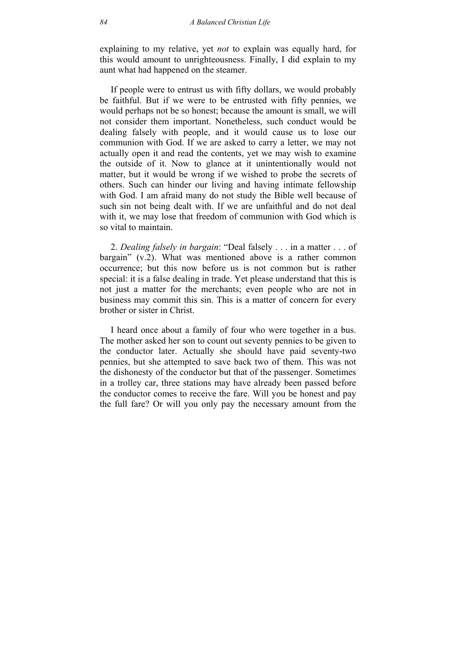explaining to my relative, yet *not* to explain was equally hard, for this would amount to unrighteousness. Finally, I did explain to my aunt what had happened on the steamer.

If people were to entrust us with fifty dollars, we would probably be faithful. But if we were to be entrusted with fifty pennies, we would perhaps not be so honest; because the amount is small, we will not consider them important. Nonetheless, such conduct would be dealing falsely with people, and it would cause us to lose our communion with God. If we are asked to carry a letter, we may not actually open it and read the contents, yet we may wish to examine the outside of it. Now to glance at it unintentionally would not matter, but it would be wrong if we wished to probe the secrets of others. Such can hinder our living and having intimate fellowship with God. I am afraid many do not study the Bible well because of such sin not being dealt with. If we are unfaithful and do not deal with it, we may lose that freedom of communion with God which is so vital to maintain.

2. *Dealing falsely in bargain*: "Deal falsely . . . in a matter . . . of bargain" (v.2). What was mentioned above is a rather common occurrence; but this now before us is not common but is rather special: it is a false dealing in trade. Yet please understand that this is not just a matter for the merchants; even people who are not in business may commit this sin. This is a matter of concern for every brother or sister in Christ.

I heard once about a family of four who were together in a bus. The mother asked her son to count out seventy pennies to be given to the conductor later. Actually she should have paid seventy-two pennies, but she attempted to save back two of them. This was not the dishonesty of the conductor but that of the passenger. Sometimes in a trolley car, three stations may have already been passed before the conductor comes to receive the fare. Will you be honest and pay the full fare? Or will you only pay the necessary amount from the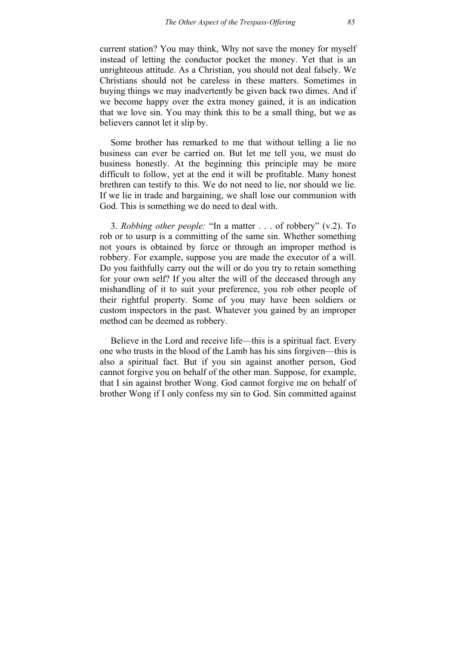current station? You may think, Why not save the money for myself instead of letting the conductor pocket the money. Yet that is an unrighteous attitude. As a Christian, you should not deal falsely. We Christians should not be careless in these matters. Sometimes in buying things we may inadvertently be given back two dimes. And if we become happy over the extra money gained, it is an indication that we love sin. You may think this to be a small thing, but we as believers cannot let it slip by.

Some brother has remarked to me that without telling a lie no business can ever be carried on. But let me tell you, we must do business honestly. At the beginning this principle may be more difficult to follow, yet at the end it will be profitable. Many honest brethren can testify to this. We do not need to lie, nor should we lie. If we lie in trade and bargaining, we shall lose our communion with God. This is something we do need to deal with.

3. *Robbing other people:* "In a matter . . . of robbery" (v.2). To rob or to usurp is a committing of the same sin. Whether something not yours is obtained by force or through an improper method is robbery. For example, suppose you are made the executor of a will. Do you faithfully carry out the will or do you try to retain something for your own self? If you alter the will of the deceased through any mishandling of it to suit your preference, you rob other people of their rightful property. Some of you may have been soldiers or custom inspectors in the past. Whatever you gained by an improper method can be deemed as robbery.

Believe in the Lord and receive life—this is a spiritual fact. Every one who trusts in the blood of the Lamb has his sins forgiven—this is also a spiritual fact. But if you sin against another person, God cannot forgive you on behalf of the other man. Suppose, for example, that I sin against brother Wong. God cannot forgive me on behalf of brother Wong if I only confess my sin to God. Sin committed against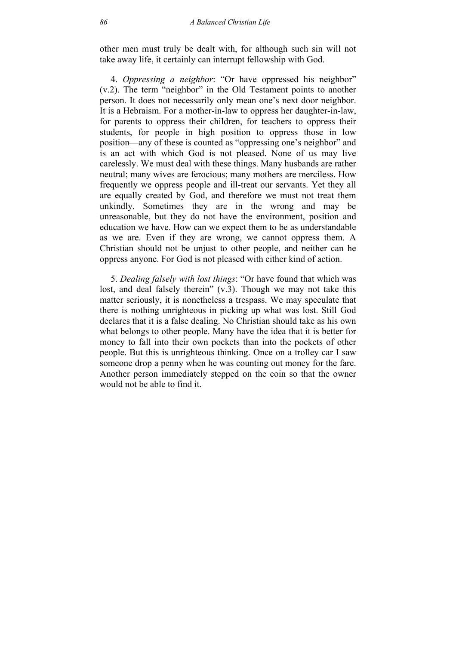other men must truly be dealt with, for although such sin will not take away life, it certainly can interrupt fellowship with God.

4. *Oppressing a neighbor*: "Or have oppressed his neighbor" (v.2). The term "neighbor" in the Old Testament points to another person. It does not necessarily only mean one's next door neighbor. It is a Hebraism. For a mother-in-law to oppress her daughter-in-law, for parents to oppress their children, for teachers to oppress their students, for people in high position to oppress those in low position—any of these is counted as "oppressing one's neighbor" and is an act with which God is not pleased. None of us may live carelessly. We must deal with these things. Many husbands are rather neutral; many wives are ferocious; many mothers are merciless. How frequently we oppress people and ill-treat our servants. Yet they all are equally created by God, and therefore we must not treat them unkindly. Sometimes they are in the wrong and may be unreasonable, but they do not have the environment, position and education we have. How can we expect them to be as understandable as we are. Even if they are wrong, we cannot oppress them. A Christian should not be unjust to other people, and neither can he oppress anyone. For God is not pleased with either kind of action.

5. *Dealing falsely with lost things*: "Or have found that which was lost, and deal falsely therein" (v.3). Though we may not take this matter seriously, it is nonetheless a trespass. We may speculate that there is nothing unrighteous in picking up what was lost. Still God declares that it is a false dealing. No Christian should take as his own what belongs to other people. Many have the idea that it is better for money to fall into their own pockets than into the pockets of other people. But this is unrighteous thinking. Once on a trolley car I saw someone drop a penny when he was counting out money for the fare. Another person immediately stepped on the coin so that the owner would not be able to find it.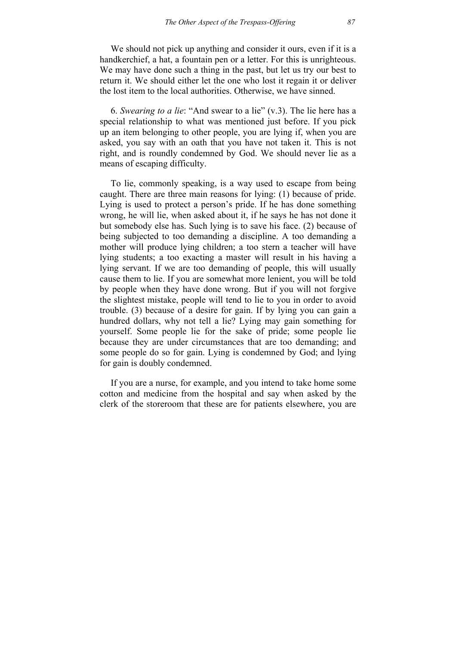We should not pick up anything and consider it ours, even if it is a handkerchief, a hat, a fountain pen or a letter. For this is unrighteous. We may have done such a thing in the past, but let us try our best to return it. We should either let the one who lost it regain it or deliver the lost item to the local authorities. Otherwise, we have sinned.

6. *Swearing to a lie*: "And swear to a lie" (v.3). The lie here has a special relationship to what was mentioned just before. If you pick up an item belonging to other people, you are lying if, when you are asked, you say with an oath that you have not taken it. This is not right, and is roundly condemned by God. We should never lie as a means of escaping difficulty.

To lie, commonly speaking, is a way used to escape from being caught. There are three main reasons for lying: (1) because of pride. Lying is used to protect a person's pride. If he has done something wrong, he will lie, when asked about it, if he says he has not done it but somebody else has. Such lying is to save his face. (2) because of being subjected to too demanding a discipline. A too demanding a mother will produce lying children; a too stern a teacher will have lying students; a too exacting a master will result in his having a lying servant. If we are too demanding of people, this will usually cause them to lie. If you are somewhat more lenient, you will be told by people when they have done wrong. But if you will not forgive the slightest mistake, people will tend to lie to you in order to avoid trouble. (3) because of a desire for gain. If by lying you can gain a hundred dollars, why not tell a lie? Lying may gain something for yourself. Some people lie for the sake of pride; some people lie because they are under circumstances that are too demanding; and some people do so for gain. Lying is condemned by God; and lying for gain is doubly condemned.

If you are a nurse, for example, and you intend to take home some cotton and medicine from the hospital and say when asked by the clerk of the storeroom that these are for patients elsewhere, you are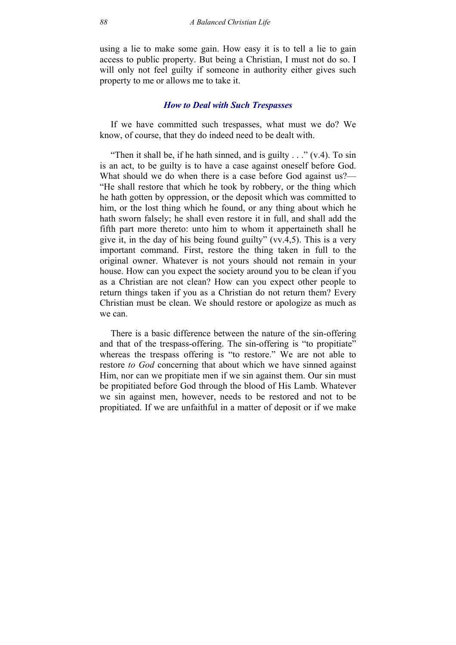using a lie to make some gain. How easy it is to tell a lie to gain access to public property. But being a Christian, I must not do so. I will only not feel guilty if someone in authority either gives such property to me or allows me to take it.

#### *How to Deal with Such Trespasses*

If we have committed such trespasses, what must we do? We know, of course, that they do indeed need to be dealt with.

"Then it shall be, if he hath sinned, and is guilty  $\ldots$  " (v.4). To sin is an act, to be guilty is to have a case against oneself before God. What should we do when there is a case before God against us?— "He shall restore that which he took by robbery, or the thing which he hath gotten by oppression, or the deposit which was committed to him, or the lost thing which he found, or any thing about which he hath sworn falsely; he shall even restore it in full, and shall add the fifth part more thereto: unto him to whom it appertaineth shall he give it, in the day of his being found guilty" (vv.4,5). This is a very important command. First, restore the thing taken in full to the original owner. Whatever is not yours should not remain in your house. How can you expect the society around you to be clean if you as a Christian are not clean? How can you expect other people to return things taken if you as a Christian do not return them? Every Christian must be clean. We should restore or apologize as much as we can.

There is a basic difference between the nature of the sin-offering and that of the trespass-offering. The sin-offering is "to propitiate" whereas the trespass offering is "to restore." We are not able to restore *to God* concerning that about which we have sinned against Him, nor can we propitiate men if we sin against them. Our sin must be propitiated before God through the blood of His Lamb. Whatever we sin against men, however, needs to be restored and not to be propitiated. If we are unfaithful in a matter of deposit or if we make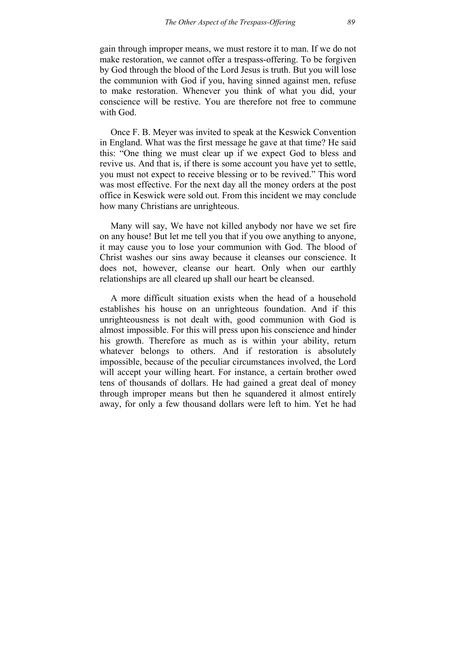gain through improper means, we must restore it to man. If we do not make restoration, we cannot offer a trespass-offering. To be forgiven by God through the blood of the Lord Jesus is truth. But you will lose the communion with God if you, having sinned against men, refuse to make restoration. Whenever you think of what you did, your conscience will be restive. You are therefore not free to commune with God.

Once F. B. Meyer was invited to speak at the Keswick Convention in England. What was the first message he gave at that time? He said this: "One thing we must clear up if we expect God to bless and revive us. And that is, if there is some account you have yet to settle, you must not expect to receive blessing or to be revived." This word was most effective. For the next day all the money orders at the post office in Keswick were sold out. From this incident we may conclude how many Christians are unrighteous.

Many will say, We have not killed anybody nor have we set fire on any house! But let me tell you that if you owe anything to anyone, it may cause you to lose your communion with God. The blood of Christ washes our sins away because it cleanses our conscience. It does not, however, cleanse our heart. Only when our earthly relationships are all cleared up shall our heart be cleansed.

A more difficult situation exists when the head of a household establishes his house on an unrighteous foundation. And if this unrighteousness is not dealt with, good communion with God is almost impossible. For this will press upon his conscience and hinder his growth. Therefore as much as is within your ability, return whatever belongs to others. And if restoration is absolutely impossible, because of the peculiar circumstances involved, the Lord will accept your willing heart. For instance, a certain brother owed tens of thousands of dollars. He had gained a great deal of money through improper means but then he squandered it almost entirely away, for only a few thousand dollars were left to him. Yet he had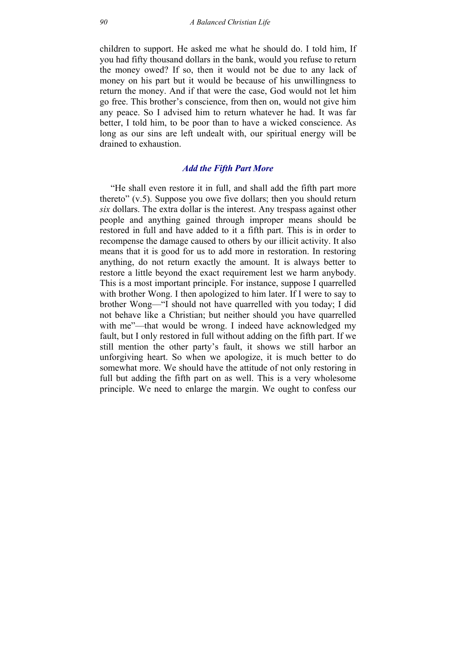children to support. He asked me what he should do. I told him, If you had fifty thousand dollars in the bank, would you refuse to return the money owed? If so, then it would not be due to any lack of money on his part but it would be because of his unwillingness to return the money. And if that were the case, God would not let him go free. This brother's conscience, from then on, would not give him any peace. So I advised him to return whatever he had. It was far better, I told him, to be poor than to have a wicked conscience. As long as our sins are left undealt with, our spiritual energy will be drained to exhaustion.

# *Add the Fifth Part More*

"He shall even restore it in full, and shall add the fifth part more thereto" (v.5). Suppose you owe five dollars; then you should return *six* dollars. The extra dollar is the interest. Any trespass against other people and anything gained through improper means should be restored in full and have added to it a fifth part. This is in order to recompense the damage caused to others by our illicit activity. It also means that it is good for us to add more in restoration. In restoring anything, do not return exactly the amount. It is always better to restore a little beyond the exact requirement lest we harm anybody. This is a most important principle. For instance, suppose I quarrelled with brother Wong. I then apologized to him later. If I were to say to brother Wong—"I should not have quarrelled with you today; I did not behave like a Christian; but neither should you have quarrelled with me"—that would be wrong. I indeed have acknowledged my fault, but I only restored in full without adding on the fifth part. If we still mention the other party's fault, it shows we still harbor an unforgiving heart. So when we apologize, it is much better to do somewhat more. We should have the attitude of not only restoring in full but adding the fifth part on as well. This is a very wholesome principle. We need to enlarge the margin. We ought to confess our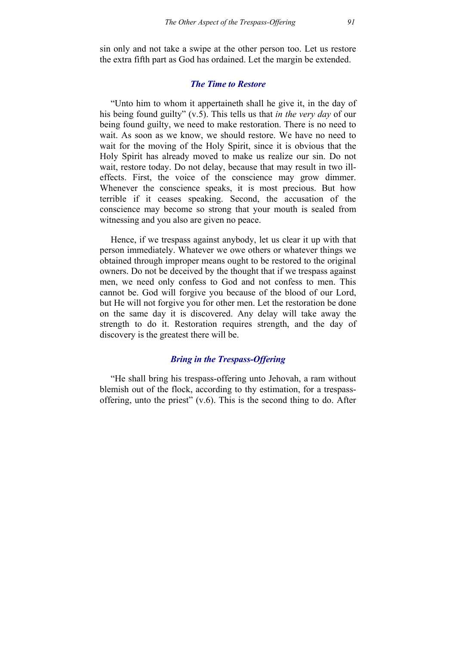sin only and not take a swipe at the other person too. Let us restore the extra fifth part as God has ordained. Let the margin be extended.

#### *The Time to Restore*

"Unto him to whom it appertaineth shall he give it, in the day of his being found guilty" (v.5). This tells us that *in the very day* of our being found guilty, we need to make restoration. There is no need to wait. As soon as we know, we should restore. We have no need to wait for the moving of the Holy Spirit, since it is obvious that the Holy Spirit has already moved to make us realize our sin. Do not wait, restore today. Do not delay, because that may result in two illeffects. First, the voice of the conscience may grow dimmer. Whenever the conscience speaks, it is most precious. But how terrible if it ceases speaking. Second, the accusation of the conscience may become so strong that your mouth is sealed from witnessing and you also are given no peace.

Hence, if we trespass against anybody, let us clear it up with that person immediately. Whatever we owe others or whatever things we obtained through improper means ought to be restored to the original owners. Do not be deceived by the thought that if we trespass against men, we need only confess to God and not confess to men. This cannot be. God will forgive you because of the blood of our Lord, but He will not forgive you for other men. Let the restoration be done on the same day it is discovered. Any delay will take away the strength to do it. Restoration requires strength, and the day of discovery is the greatest there will be.

#### *Bring in the Trespass-Offering*

"He shall bring his trespass-offering unto Jehovah, a ram without blemish out of the flock, according to thy estimation, for a trespassoffering, unto the priest"  $(v.6)$ . This is the second thing to do. After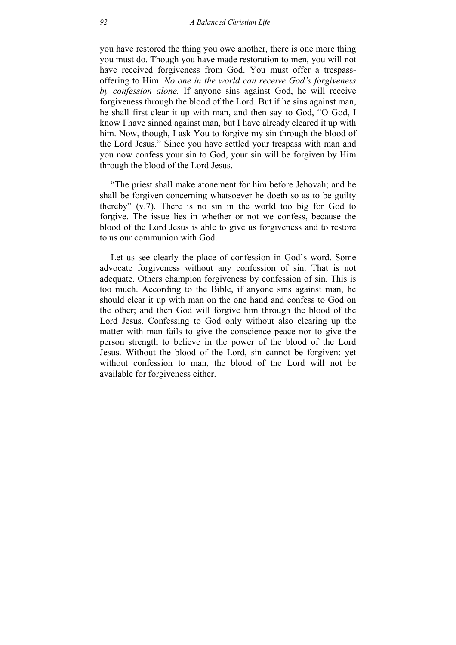you have restored the thing you owe another, there is one more thing you must do. Though you have made restoration to men, you will not have received forgiveness from God. You must offer a trespassoffering to Him. *No one in the world can receive God's forgiveness by confession alone.* If anyone sins against God, he will receive forgiveness through the blood of the Lord. But if he sins against man, he shall first clear it up with man, and then say to God, "O God, I know I have sinned against man, but I have already cleared it up with him. Now, though, I ask You to forgive my sin through the blood of the Lord Jesus." Since you have settled your trespass with man and you now confess your sin to God, your sin will be forgiven by Him through the blood of the Lord Jesus.

"The priest shall make atonement for him before Jehovah; and he shall be forgiven concerning whatsoever he doeth so as to be guilty thereby"  $(v.7)$ . There is no sin in the world too big for God to forgive. The issue lies in whether or not we confess, because the blood of the Lord Jesus is able to give us forgiveness and to restore to us our communion with God.

Let us see clearly the place of confession in God's word. Some advocate forgiveness without any confession of sin. That is not adequate. Others champion forgiveness by confession of sin. This is too much. According to the Bible, if anyone sins against man, he should clear it up with man on the one hand and confess to God on the other; and then God will forgive him through the blood of the Lord Jesus. Confessing to God only without also clearing up the matter with man fails to give the conscience peace nor to give the person strength to believe in the power of the blood of the Lord Jesus. Without the blood of the Lord, sin cannot be forgiven: yet without confession to man, the blood of the Lord will not be available for forgiveness either.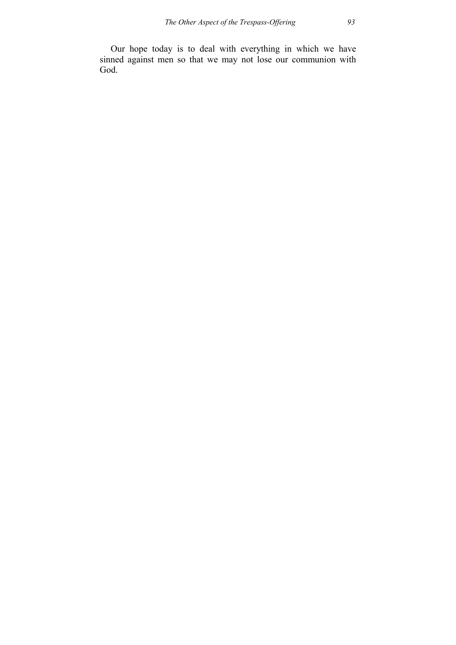Our hope today is to deal with everything in which we have sinned against men so that we may not lose our communion with God.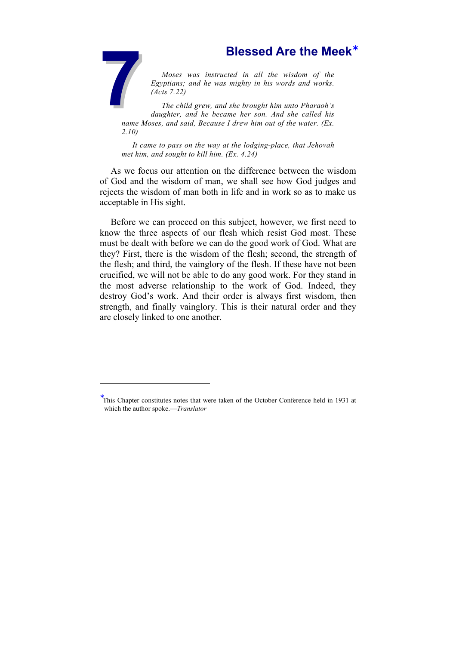**7Blessed Are the Meek\***<br>*Moses was instructed in all the wisdom of the*<br>*Egyptians; and he was mighty in his words and works.*<br>*(Acts 7.22)*<br>*The child grew, and she brought him unto Pharaoh's daughter, and he became her Moses was instructed in all the wisdom of the Egyptians; and he was mighty in his words and works. (Acts 7.22)*

*The child grew, and she brought him unto Pharaoh's daughter, and he became her son. And she called his name Moses, and said, Because I drew him out of the water. (Ex. 2.10)*

*It came to pass on the way at the lodging-place, that Jehovah met him, and sought to kill him. (Ex. 4.24)*

As we focus our attention on the difference between the wisdom of God and the wisdom of man, we shall see how God judges and rejects the wisdom of man both in life and in work so as to make us acceptable in His sight.

Before we can proceed on this subject, however, we first need to know the three aspects of our flesh which resist God most. These must be dealt with before we can do the good work of God. What are they? First, there is the wisdom of the flesh; second, the strength of the flesh; and third, the vainglory of the flesh. If these have not been crucified, we will not be able to do any good work. For they stand in the most adverse relationship to the work of God. Indeed, they destroy God's work. And their order is always first wisdom, then strength, and finally vainglory. This is their natural order and they are closely linked to one another.

1

<sup>∗</sup> This Chapter constitutes notes that were taken of the October Conference held in 1931 at which the author spoke.—*Translator*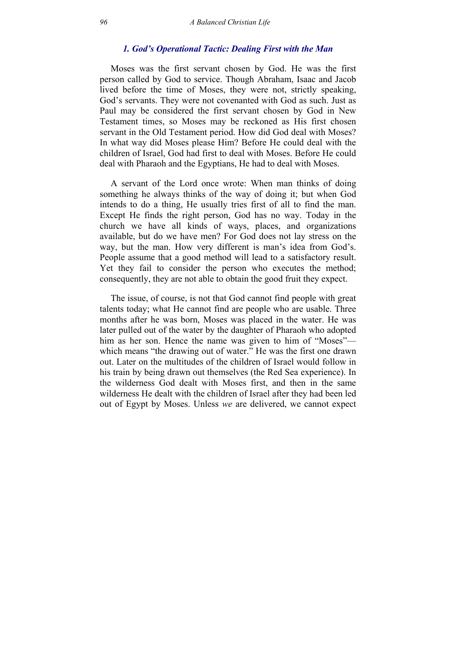#### *1. God's Operational Tactic: Dealing First with the Man*

Moses was the first servant chosen by God. He was the first person called by God to service. Though Abraham, Isaac and Jacob lived before the time of Moses, they were not, strictly speaking, God's servants. They were not covenanted with God as such. Just as Paul may be considered the first servant chosen by God in New Testament times, so Moses may be reckoned as His first chosen servant in the Old Testament period. How did God deal with Moses? In what way did Moses please Him? Before He could deal with the children of Israel, God had first to deal with Moses. Before He could deal with Pharaoh and the Egyptians, He had to deal with Moses.

A servant of the Lord once wrote: When man thinks of doing something he always thinks of the way of doing it; but when God intends to do a thing, He usually tries first of all to find the man. Except He finds the right person, God has no way. Today in the church we have all kinds of ways, places, and organizations available, but do we have men? For God does not lay stress on the way, but the man. How very different is man's idea from God's. People assume that a good method will lead to a satisfactory result. Yet they fail to consider the person who executes the method; consequently, they are not able to obtain the good fruit they expect.

The issue, of course, is not that God cannot find people with great talents today; what He cannot find are people who are usable. Three months after he was born, Moses was placed in the water. He was later pulled out of the water by the daughter of Pharaoh who adopted him as her son. Hence the name was given to him of "Moses" which means "the drawing out of water." He was the first one drawn out. Later on the multitudes of the children of Israel would follow in his train by being drawn out themselves (the Red Sea experience). In the wilderness God dealt with Moses first, and then in the same wilderness He dealt with the children of Israel after they had been led out of Egypt by Moses. Unless *we* are delivered, we cannot expect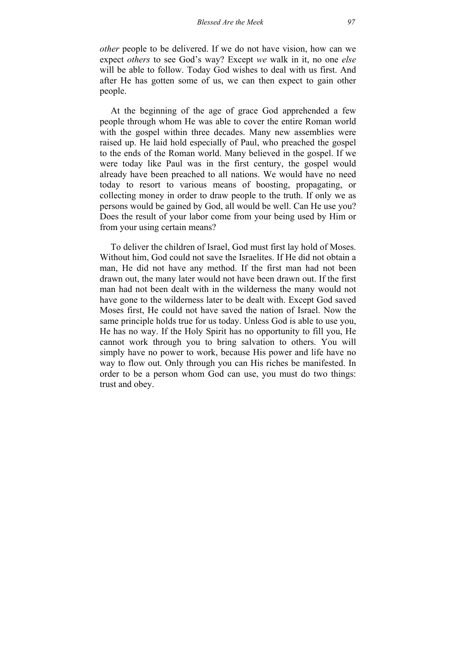*other* people to be delivered. If we do not have vision, how can we expect *others* to see God's way? Except *we* walk in it, no one *else*  will be able to follow. Today God wishes to deal with us first. And after He has gotten some of us, we can then expect to gain other people.

At the beginning of the age of grace God apprehended a few people through whom He was able to cover the entire Roman world with the gospel within three decades. Many new assemblies were raised up. He laid hold especially of Paul, who preached the gospel to the ends of the Roman world. Many believed in the gospel. If we were today like Paul was in the first century, the gospel would already have been preached to all nations. We would have no need today to resort to various means of boosting, propagating, or collecting money in order to draw people to the truth. If only we as persons would be gained by God, all would be well. Can He use you? Does the result of your labor come from your being used by Him or from your using certain means?

To deliver the children of Israel, God must first lay hold of Moses. Without him, God could not save the Israelites. If He did not obtain a man, He did not have any method. If the first man had not been drawn out, the many later would not have been drawn out. If the first man had not been dealt with in the wilderness the many would not have gone to the wilderness later to be dealt with. Except God saved Moses first, He could not have saved the nation of Israel. Now the same principle holds true for us today. Unless God is able to use you, He has no way. If the Holy Spirit has no opportunity to fill you, He cannot work through you to bring salvation to others. You will simply have no power to work, because His power and life have no way to flow out. Only through you can His riches be manifested. In order to be a person whom God can use, you must do two things: trust and obey.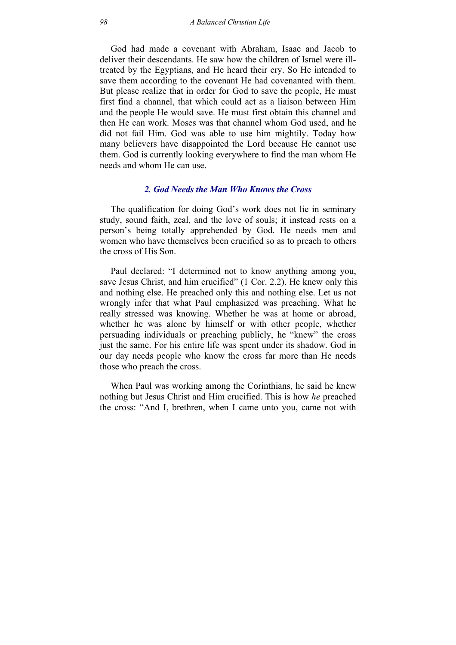God had made a covenant with Abraham, Isaac and Jacob to deliver their descendants. He saw how the children of Israel were illtreated by the Egyptians, and He heard their cry. So He intended to save them according to the covenant He had covenanted with them. But please realize that in order for God to save the people, He must first find a channel, that which could act as a liaison between Him and the people He would save. He must first obtain this channel and then He can work. Moses was that channel whom God used, and he did not fail Him. God was able to use him mightily. Today how many believers have disappointed the Lord because He cannot use them. God is currently looking everywhere to find the man whom He needs and whom He can use.

#### *2. God Needs the Man Who Knows the Cross*

The qualification for doing God's work does not lie in seminary study, sound faith, zeal, and the love of souls; it instead rests on a person's being totally apprehended by God. He needs men and women who have themselves been crucified so as to preach to others the cross of His Son.

Paul declared: "I determined not to know anything among you, save Jesus Christ, and him crucified" (1 Cor. 2.2). He knew only this and nothing else. He preached only this and nothing else. Let us not wrongly infer that what Paul emphasized was preaching. What he really stressed was knowing. Whether he was at home or abroad, whether he was alone by himself or with other people, whether persuading individuals or preaching publicly, he "knew" the cross just the same. For his entire life was spent under its shadow. God in our day needs people who know the cross far more than He needs those who preach the cross.

When Paul was working among the Corinthians, he said he knew nothing but Jesus Christ and Him crucified. This is how *he* preached the cross: "And I, brethren, when I came unto you, came not with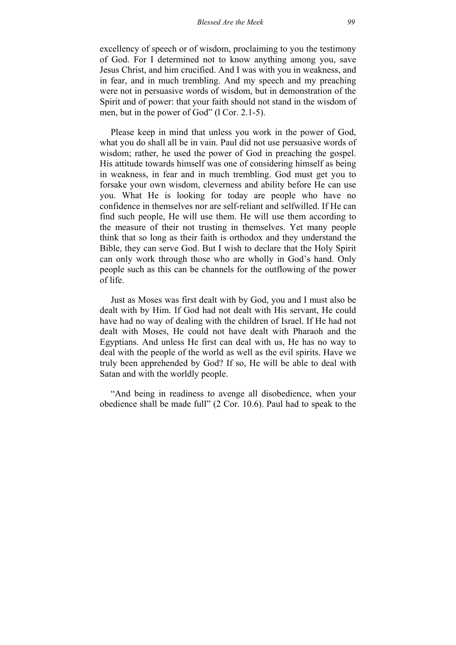excellency of speech or of wisdom, proclaiming to you the testimony of God. For I determined not to know anything among you, save Jesus Christ, and him crucified. And I was with you in weakness, and in fear, and in much trembling. And my speech and my preaching were not in persuasive words of wisdom, but in demonstration of the Spirit and of power: that your faith should not stand in the wisdom of men, but in the power of God" (l Cor. 2.1-5).

Please keep in mind that unless you work in the power of God, what you do shall all be in vain. Paul did not use persuasive words of wisdom; rather, he used the power of God in preaching the gospel. His attitude towards himself was one of considering himself as being in weakness, in fear and in much trembling. God must get you to forsake your own wisdom, cleverness and ability before He can use you. What He is looking for today are people who have no confidence in themselves nor are self-reliant and selfwilled. If He can find such people, He will use them. He will use them according to the measure of their not trusting in themselves. Yet many people think that so long as their faith is orthodox and they understand the Bible, they can serve God. But I wish to declare that the Holy Spirit can only work through those who are wholly in God's hand. Only people such as this can be channels for the outflowing of the power of life.

Just as Moses was first dealt with by God, you and I must also be dealt with by Him. If God had not dealt with His servant, He could have had no way of dealing with the children of Israel. If He had not dealt with Moses, He could not have dealt with Pharaoh and the Egyptians. And unless He first can deal with us, He has no way to deal with the people of the world as well as the evil spirits. Have we truly been apprehended by God? If so, He will be able to deal with Satan and with the worldly people.

"And being in readiness to avenge all disobedience, when your obedience shall be made full" (2 Cor. 10.6). Paul had to speak to the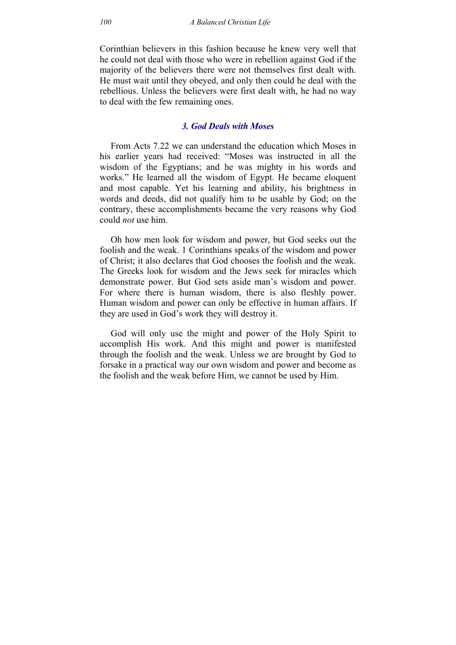Corinthian believers in this fashion because he knew very well that he could not deal with those who were in rebellion against God if the majority of the believers there were not themselves first dealt with. He must wait until they obeyed, and only then could he deal with the rebellious. Unless the believers were first dealt with, he had no way to deal with the few remaining ones.

# *3. God Deals with Moses*

From Acts 7.22 we can understand the education which Moses in his earlier years had received: "Moses was instructed in all the wisdom of the Egyptians; and he was mighty in his words and works." He learned all the wisdom of Egypt. He became eloquent and most capable. Yet his learning and ability, his brightness in words and deeds, did not qualify him to be usable by God; on the contrary, these accomplishments became the very reasons why God could *not* use him.

Oh how men look for wisdom and power, but God seeks out the foolish and the weak. 1 Corinthians speaks of the wisdom and power of Christ; it also declares that God chooses the foolish and the weak. The Greeks look for wisdom and the Jews seek for miracles which demonstrate power. But God sets aside man's wisdom and power. For where there is human wisdom, there is also fleshly power. Human wisdom and power can only be effective in human affairs. If they are used in God's work they will destroy it.

God will only use the might and power of the Holy Spirit to accomplish His work. And this might and power is manifested through the foolish and the weak. Unless we are brought by God to forsake in a practical way our own wisdom and power and become as the foolish and the weak before Him, we cannot be used by Him.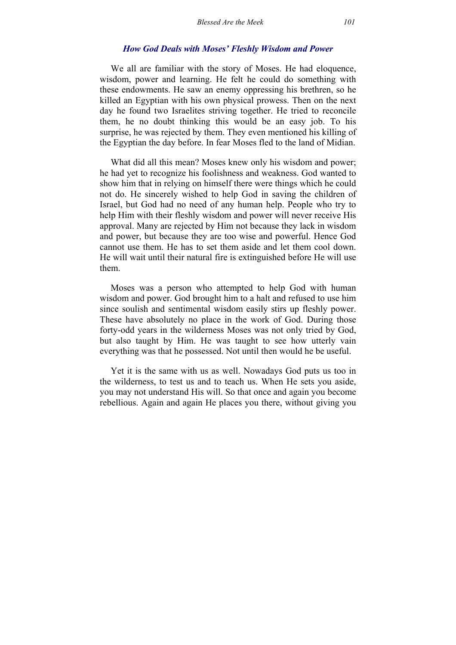#### *How God Deals with Moses' Fleshly Wisdom and Power*

We all are familiar with the story of Moses. He had eloquence, wisdom, power and learning. He felt he could do something with these endowments. He saw an enemy oppressing his brethren, so he killed an Egyptian with his own physical prowess. Then on the next day he found two Israelites striving together. He tried to reconcile them, he no doubt thinking this would be an easy job. To his surprise, he was rejected by them. They even mentioned his killing of the Egyptian the day before. In fear Moses fled to the land of Midian.

What did all this mean? Moses knew only his wisdom and power; he had yet to recognize his foolishness and weakness. God wanted to show him that in relying on himself there were things which he could not do. He sincerely wished to help God in saving the children of Israel, but God had no need of any human help. People who try to help Him with their fleshly wisdom and power will never receive His approval. Many are rejected by Him not because they lack in wisdom and power, but because they are too wise and powerful. Hence God cannot use them. He has to set them aside and let them cool down. He will wait until their natural fire is extinguished before He will use them.

Moses was a person who attempted to help God with human wisdom and power. God brought him to a halt and refused to use him since soulish and sentimental wisdom easily stirs up fleshly power. These have absolutely no place in the work of God. During those forty-odd years in the wilderness Moses was not only tried by God, but also taught by Him. He was taught to see how utterly vain everything was that he possessed. Not until then would he be useful.

Yet it is the same with us as well. Nowadays God puts us too in the wilderness, to test us and to teach us. When He sets you aside, you may not understand His will. So that once and again you become rebellious. Again and again He places you there, without giving you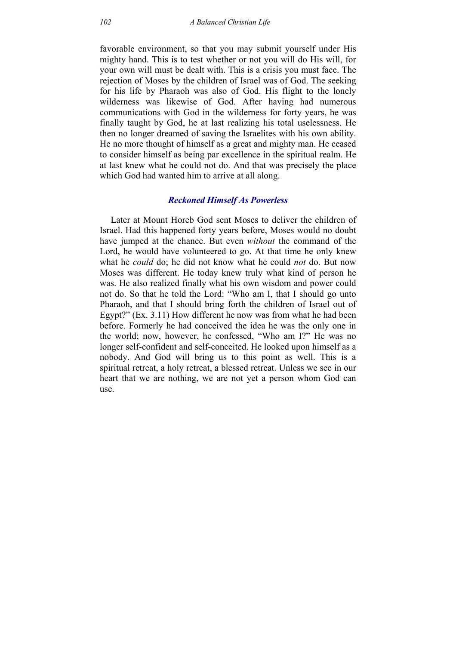favorable environment, so that you may submit yourself under His mighty hand. This is to test whether or not you will do His will, for your own will must be dealt with. This is a crisis you must face. The rejection of Moses by the children of Israel was of God. The seeking for his life by Pharaoh was also of God. His flight to the lonely wilderness was likewise of God. After having had numerous communications with God in the wilderness for forty years, he was finally taught by God, he at last realizing his total uselessness. He then no longer dreamed of saving the Israelites with his own ability. He no more thought of himself as a great and mighty man. He ceased to consider himself as being par excellence in the spiritual realm. He at last knew what he could not do. And that was precisely the place which God had wanted him to arrive at all along.

# *Reckoned Himself As Powerless*

Later at Mount Horeb God sent Moses to deliver the children of Israel. Had this happened forty years before, Moses would no doubt have jumped at the chance. But even *without* the command of the Lord, he would have volunteered to go. At that time he only knew what he *could* do; he did not know what he could *not* do. But now Moses was different. He today knew truly what kind of person he was. He also realized finally what his own wisdom and power could not do. So that he told the Lord: "Who am I, that I should go unto Pharaoh, and that I should bring forth the children of Israel out of Egypt?" (Ex. 3.11) How different he now was from what he had been before. Formerly he had conceived the idea he was the only one in the world; now, however, he confessed, "Who am I?" He was no longer self-confident and self-conceited. He looked upon himself as a nobody. And God will bring us to this point as well. This is a spiritual retreat, a holy retreat, a blessed retreat. Unless we see in our heart that we are nothing, we are not yet a person whom God can use.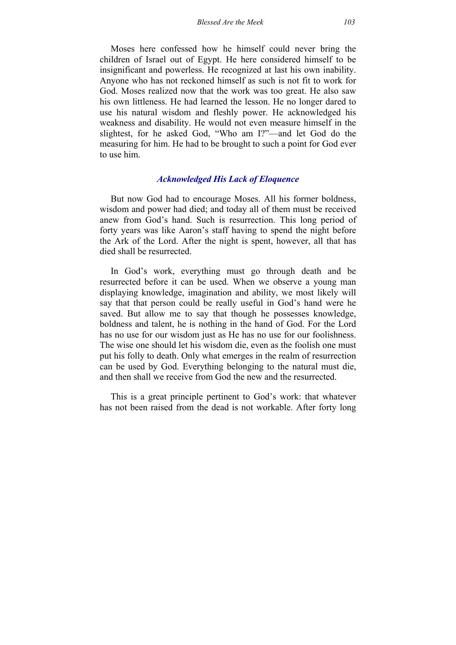Moses here confessed how he himself could never bring the children of Israel out of Egypt. He here considered himself to be insignificant and powerless. He recognized at last his own inability. Anyone who has not reckoned himself as such is not fit to work for God. Moses realized now that the work was too great. He also saw his own littleness. He had learned the lesson. He no longer dared to use his natural wisdom and fleshly power. He acknowledged his weakness and disability. He would not even measure himself in the slightest, for he asked God, "Who am I?"—and let God do the measuring for him. He had to be brought to such a point for God ever to use him.

# *Acknowledged His Lack of Eloquence*

But now God had to encourage Moses. All his former boldness, wisdom and power had died; and today all of them must be received anew from God's hand. Such is resurrection. This long period of forty years was like Aaron's staff having to spend the night before the Ark of the Lord. After the night is spent, however, all that has died shall be resurrected.

In God's work, everything must go through death and be resurrected before it can be used. When we observe a young man displaying knowledge, imagination and ability, we most likely will say that that person could be really useful in God's hand were he saved. But allow me to say that though he possesses knowledge, boldness and talent, he is nothing in the hand of God. For the Lord has no use for our wisdom just as He has no use for our foolishness. The wise one should let his wisdom die, even as the foolish one must put his folly to death. Only what emerges in the realm of resurrection can be used by God. Everything belonging to the natural must die, and then shall we receive from God the new and the resurrected.

This is a great principle pertinent to God's work: that whatever has not been raised from the dead is not workable. After forty long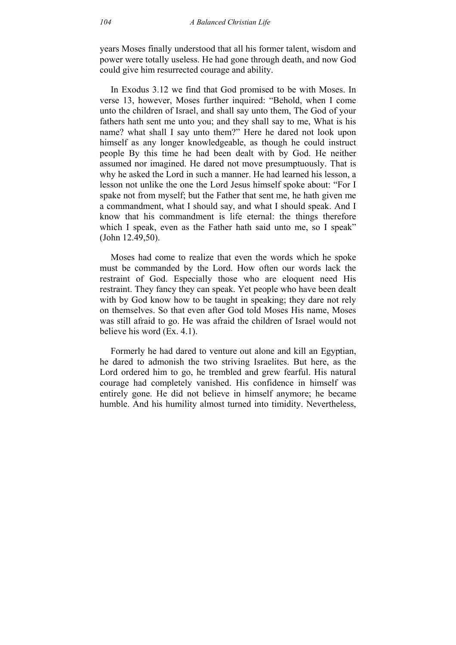years Moses finally understood that all his former talent, wisdom and power were totally useless. He had gone through death, and now God could give him resurrected courage and ability.

In Exodus 3.12 we find that God promised to be with Moses. In verse 13, however, Moses further inquired: "Behold, when I come unto the children of Israel, and shall say unto them, The God of your fathers hath sent me unto you; and they shall say to me, What is his name? what shall I say unto them?" Here he dared not look upon himself as any longer knowledgeable, as though he could instruct people By this time he had been dealt with by God. He neither assumed nor imagined. He dared not move presumptuously. That is why he asked the Lord in such a manner. He had learned his lesson, a lesson not unlike the one the Lord Jesus himself spoke about: "For I spake not from myself; but the Father that sent me, he hath given me a commandment, what I should say, and what I should speak. And I know that his commandment is life eternal: the things therefore which I speak, even as the Father hath said unto me, so I speak" (John 12.49,50).

Moses had come to realize that even the words which he spoke must be commanded by the Lord. How often our words lack the restraint of God. Especially those who are eloquent need His restraint. They fancy they can speak. Yet people who have been dealt with by God know how to be taught in speaking; they dare not rely on themselves. So that even after God told Moses His name, Moses was still afraid to go. He was afraid the children of Israel would not believe his word (Ex. 4.1).

Formerly he had dared to venture out alone and kill an Egyptian, he dared to admonish the two striving Israelites. But here, as the Lord ordered him to go, he trembled and grew fearful. His natural courage had completely vanished. His confidence in himself was entirely gone. He did not believe in himself anymore; he became humble. And his humility almost turned into timidity. Nevertheless,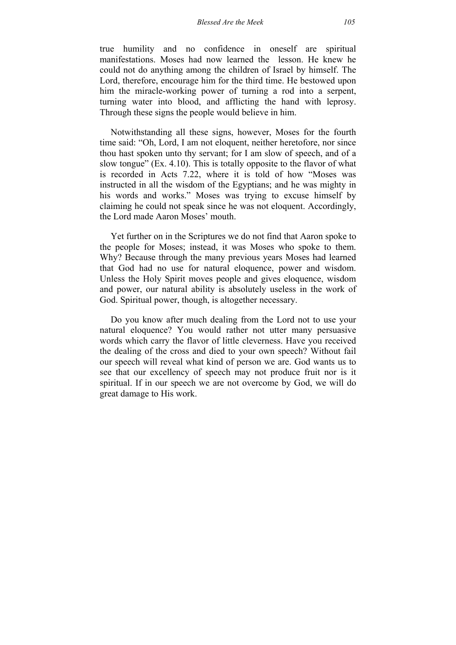true humility and no confidence in oneself are spiritual manifestations. Moses had now learned the lesson. He knew he could not do anything among the children of Israel by himself. The Lord, therefore, encourage him for the third time. He bestowed upon him the miracle-working power of turning a rod into a serpent, turning water into blood, and afflicting the hand with leprosy. Through these signs the people would believe in him.

Notwithstanding all these signs, however, Moses for the fourth time said: "Oh, Lord, I am not eloquent, neither heretofore, nor since thou hast spoken unto thy servant; for I am slow of speech, and of a slow tongue" (Ex. 4.10). This is totally opposite to the flavor of what is recorded in Acts 7.22, where it is told of how "Moses was instructed in all the wisdom of the Egyptians; and he was mighty in his words and works." Moses was trying to excuse himself by claiming he could not speak since he was not eloquent. Accordingly, the Lord made Aaron Moses' mouth.

Yet further on in the Scriptures we do not find that Aaron spoke to the people for Moses; instead, it was Moses who spoke to them. Why? Because through the many previous years Moses had learned that God had no use for natural eloquence, power and wisdom. Unless the Holy Spirit moves people and gives eloquence, wisdom and power, our natural ability is absolutely useless in the work of God. Spiritual power, though, is altogether necessary.

Do you know after much dealing from the Lord not to use your natural eloquence? You would rather not utter many persuasive words which carry the flavor of little cleverness. Have you received the dealing of the cross and died to your own speech? Without fail our speech will reveal what kind of person we are. God wants us to see that our excellency of speech may not produce fruit nor is it spiritual. If in our speech we are not overcome by God, we will do great damage to His work.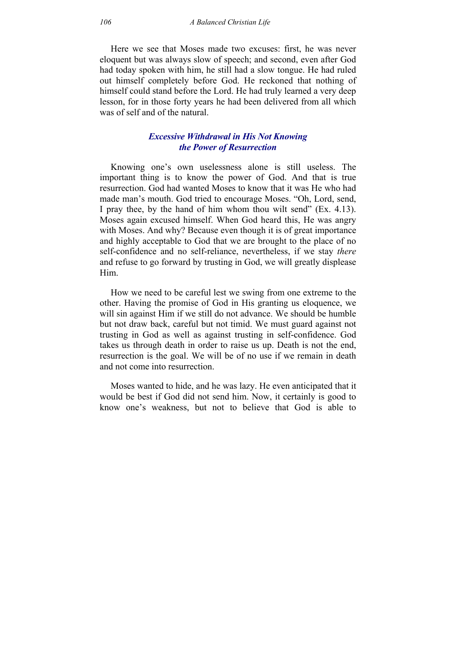Here we see that Moses made two excuses: first, he was never eloquent but was always slow of speech; and second, even after God had today spoken with him, he still had a slow tongue. He had ruled out himself completely before God. He reckoned that nothing of himself could stand before the Lord. He had truly learned a very deep lesson, for in those forty years he had been delivered from all which was of self and of the natural.

# *Excessive Withdrawal in His Not Knowing the Power of Resurrection*

Knowing one's own uselessness alone is still useless. The important thing is to know the power of God. And that is true resurrection. God had wanted Moses to know that it was He who had made man's mouth. God tried to encourage Moses. "Oh, Lord, send, I pray thee, by the hand of him whom thou wilt send" (Ex. 4.13). Moses again excused himself. When God heard this, He was angry with Moses. And why? Because even though it is of great importance and highly acceptable to God that we are brought to the place of no self-confidence and no self-reliance, nevertheless, if we stay *there*  and refuse to go forward by trusting in God, we will greatly displease Him.

How we need to be careful lest we swing from one extreme to the other. Having the promise of God in His granting us eloquence, we will sin against Him if we still do not advance. We should be humble but not draw back, careful but not timid. We must guard against not trusting in God as well as against trusting in self-confidence. God takes us through death in order to raise us up. Death is not the end, resurrection is the goal. We will be of no use if we remain in death and not come into resurrection.

Moses wanted to hide, and he was lazy. He even anticipated that it would be best if God did not send him. Now, it certainly is good to know one's weakness, but not to believe that God is able to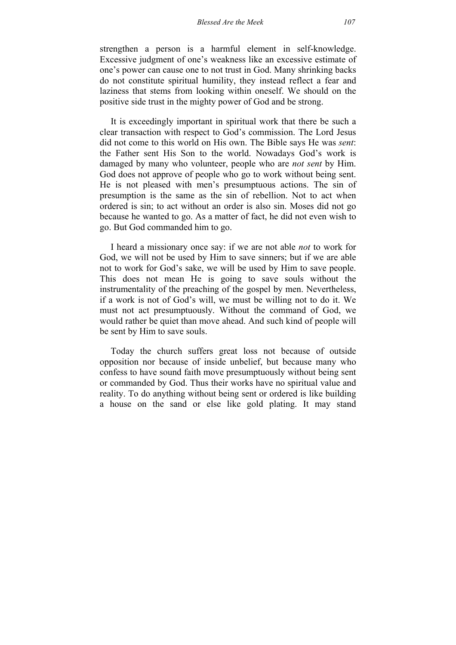strengthen a person is a harmful element in self-knowledge. Excessive judgment of one's weakness like an excessive estimate of one's power can cause one to not trust in God. Many shrinking backs do not constitute spiritual humility, they instead reflect a fear and laziness that stems from looking within oneself. We should on the positive side trust in the mighty power of God and be strong.

It is exceedingly important in spiritual work that there be such a clear transaction with respect to God's commission. The Lord Jesus did not come to this world on His own. The Bible says He was *sent*: the Father sent His Son to the world. Nowadays God's work is damaged by many who volunteer, people who are *not sent* by Him. God does not approve of people who go to work without being sent. He is not pleased with men's presumptuous actions. The sin of presumption is the same as the sin of rebellion. Not to act when ordered is sin; to act without an order is also sin. Moses did not go because he wanted to go. As a matter of fact, he did not even wish to go. But God commanded him to go.

I heard a missionary once say: if we are not able *not* to work for God, we will not be used by Him to save sinners; but if we are able not to work for God's sake, we will be used by Him to save people. This does not mean He is going to save souls without the instrumentality of the preaching of the gospel by men. Nevertheless, if a work is not of God's will, we must be willing not to do it. We must not act presumptuously. Without the command of God, we would rather be quiet than move ahead. And such kind of people will be sent by Him to save souls.

Today the church suffers great loss not because of outside opposition nor because of inside unbelief, but because many who confess to have sound faith move presumptuously without being sent or commanded by God. Thus their works have no spiritual value and reality. To do anything without being sent or ordered is like building a house on the sand or else like gold plating. It may stand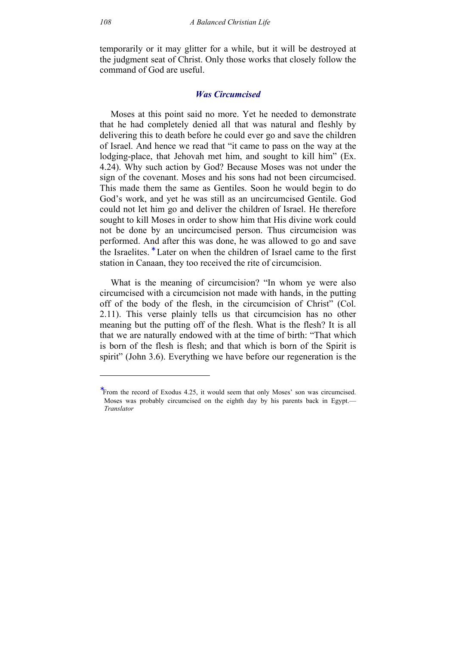temporarily or it may glitter for a while, but it will be destroyed at the judgment seat of Christ. Only those works that closely follow the command of God are useful.

# *Was Circumcised*

Moses at this point said no more. Yet he needed to demonstrate that he had completely denied all that was natural and fleshly by delivering this to death before he could ever go and save the children of Israel. And hence we read that "it came to pass on the way at the lodging-place, that Jehovah met him, and sought to kill him" (Ex. 4.24). Why such action by God? Because Moses was not under the sign of the covenant. Moses and his sons had not been circumcised. This made them the same as Gentiles. Soon he would begin to do God's work, and yet he was still as an uncircumcised Gentile. God could not let him go and deliver the children of Israel. He therefore sought to kill Moses in order to show him that His divine work could not be done by an uncircumcised person. Thus circumcision was performed. And after this was done, he was allowed to go and save the Israelites.<sup>∗</sup> Later on when the children of Israel came to the first station in Canaan, they too received the rite of circumcision.

What is the meaning of circumcision? "In whom ye were also circumcised with a circumcision not made with hands, in the putting off of the body of the flesh, in the circumcision of Christ" (Col. 2.11). This verse plainly tells us that circumcision has no other meaning but the putting off of the flesh. What is the flesh? It is all that we are naturally endowed with at the time of birth: "That which is born of the flesh is flesh; and that which is born of the Spirit is spirit" (John 3.6). Everything we have before our regeneration is the

-

<sup>∗</sup> From the record of Exodus 4.25, it would seem that only Moses' son was circumcised. Moses was probably circumcised on the eighth day by his parents back in Egypt.— *Translator*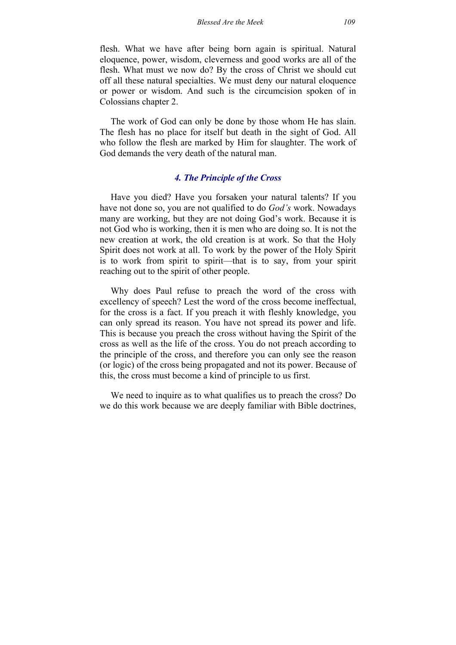flesh. What we have after being born again is spiritual. Natural eloquence, power, wisdom, cleverness and good works are all of the flesh. What must we now do? By the cross of Christ we should cut off all these natural specialties. We must deny our natural eloquence or power or wisdom. And such is the circumcision spoken of in Colossians chapter 2.

The work of God can only be done by those whom He has slain. The flesh has no place for itself but death in the sight of God. All who follow the flesh are marked by Him for slaughter. The work of God demands the very death of the natural man.

## *4. The Principle of the Cross*

Have you died? Have you forsaken your natural talents? If you have not done so, you are not qualified to do *God's* work. Nowadays many are working, but they are not doing God's work. Because it is not God who is working, then it is men who are doing so. It is not the new creation at work, the old creation is at work. So that the Holy Spirit does not work at all. To work by the power of the Holy Spirit is to work from spirit to spirit—that is to say, from your spirit reaching out to the spirit of other people.

Why does Paul refuse to preach the word of the cross with excellency of speech? Lest the word of the cross become ineffectual, for the cross is a fact. If you preach it with fleshly knowledge, you can only spread its reason. You have not spread its power and life. This is because you preach the cross without having the Spirit of the cross as well as the life of the cross. You do not preach according to the principle of the cross, and therefore you can only see the reason (or logic) of the cross being propagated and not its power. Because of this, the cross must become a kind of principle to us first.

We need to inquire as to what qualifies us to preach the cross? Do we do this work because we are deeply familiar with Bible doctrines,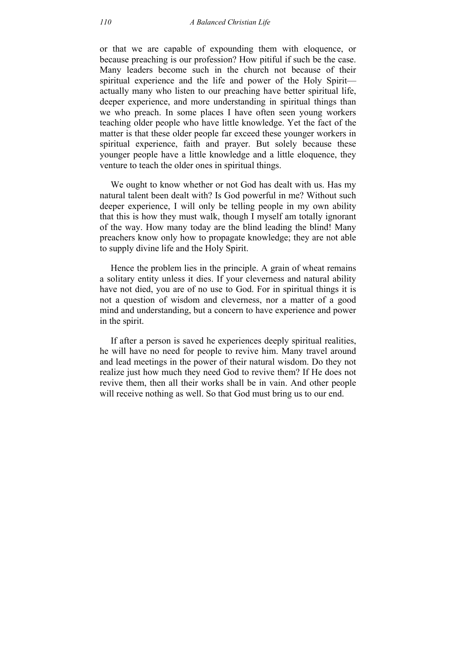or that we are capable of expounding them with eloquence, or because preaching is our profession? How pitiful if such be the case. Many leaders become such in the church not because of their spiritual experience and the life and power of the Holy Spirit actually many who listen to our preaching have better spiritual life, deeper experience, and more understanding in spiritual things than we who preach. In some places I have often seen young workers teaching older people who have little knowledge. Yet the fact of the matter is that these older people far exceed these younger workers in spiritual experience, faith and prayer. But solely because these younger people have a little knowledge and a little eloquence, they venture to teach the older ones in spiritual things.

We ought to know whether or not God has dealt with us. Has my natural talent been dealt with? Is God powerful in me? Without such deeper experience, I will only be telling people in my own ability that this is how they must walk, though I myself am totally ignorant of the way. How many today are the blind leading the blind! Many preachers know only how to propagate knowledge; they are not able to supply divine life and the Holy Spirit.

Hence the problem lies in the principle. A grain of wheat remains a solitary entity unless it dies. If your cleverness and natural ability have not died, you are of no use to God. For in spiritual things it is not a question of wisdom and cleverness, nor a matter of a good mind and understanding, but a concern to have experience and power in the spirit.

If after a person is saved he experiences deeply spiritual realities, he will have no need for people to revive him. Many travel around and lead meetings in the power of their natural wisdom. Do they not realize just how much they need God to revive them? If He does not revive them, then all their works shall be in vain. And other people will receive nothing as well. So that God must bring us to our end.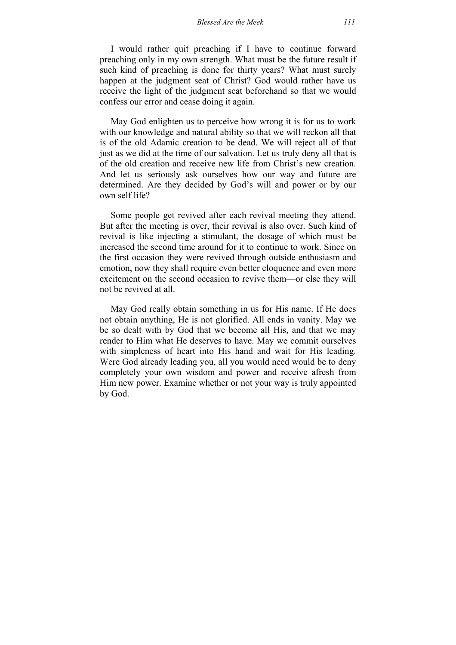I would rather quit preaching if I have to continue forward preaching only in my own strength. What must be the future result if such kind of preaching is done for thirty years? What must surely happen at the judgment seat of Christ? God would rather have us receive the light of the judgment seat beforehand so that we would confess our error and cease doing it again.

May God enlighten us to perceive how wrong it is for us to work with our knowledge and natural ability so that we will reckon all that is of the old Adamic creation to be dead. We will reject all of that just as we did at the time of our salvation. Let us truly deny all that is of the old creation and receive new life from Christ's new creation. And let us seriously ask ourselves how our way and future are determined. Are they decided by God's will and power or by our own self life?

Some people get revived after each revival meeting they attend. But after the meeting is over, their revival is also over. Such kind of revival is like injecting a stimulant, the dosage of which must be increased the second time around for it to continue to work. Since on the first occasion they were revived through outside enthusiasm and emotion, now they shall require even better eloquence and even more excitement on the second occasion to revive them—or else they will not be revived at all.

May God really obtain something in us for His name. If He does not obtain anything, He is not glorified. All ends in vanity. May we be so dealt with by God that we become all His, and that we may render to Him what He deserves to have. May we commit ourselves with simpleness of heart into His hand and wait for His leading. Were God already leading you, all you would need would be to deny completely your own wisdom and power and receive afresh from Him new power. Examine whether or not your way is truly appointed by God.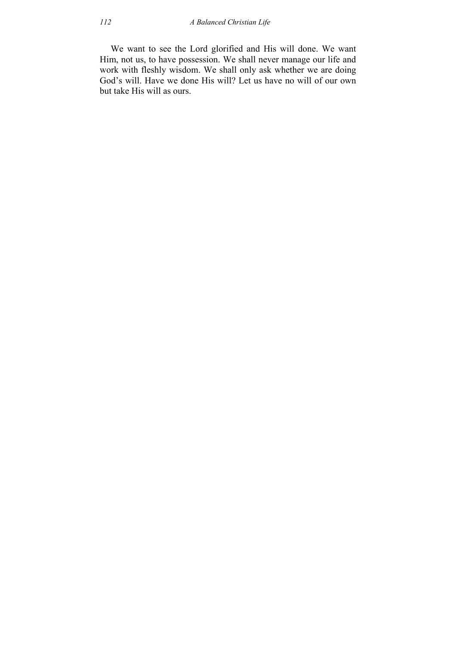We want to see the Lord glorified and His will done. We want Him, not us, to have possession. We shall never manage our life and work with fleshly wisdom. We shall only ask whether we are doing God's will. Have we done His will? Let us have no will of our own but take His will as ours.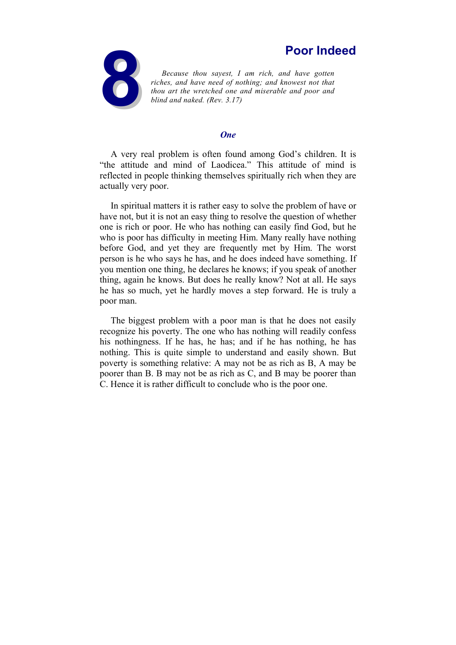

**8POOR Indeed**<br>Because thou sayest, I am rich, and have gotten<br>riches, and have need of nothing; and knowest not that<br>thou art the wretched one and miserable and poor and<br>blind and naked. (Rev. 3.17) *Because thou sayest, I am rich, and have gotten riches, and have need of nothing; and knowest not that thou art the wretched one and miserable and poor and blind and naked. (Rev. 3.17)*

## *One*

A very real problem is often found among God's children. It is "the attitude and mind of Laodicea." This attitude of mind is reflected in people thinking themselves spiritually rich when they are actually very poor.

In spiritual matters it is rather easy to solve the problem of have or have not, but it is not an easy thing to resolve the question of whether one is rich or poor. He who has nothing can easily find God, but he who is poor has difficulty in meeting Him. Many really have nothing before God, and yet they are frequently met by Him. The worst person is he who says he has, and he does indeed have something. If you mention one thing, he declares he knows; if you speak of another thing, again he knows. But does he really know? Not at all. He says he has so much, yet he hardly moves a step forward. He is truly a poor man.

The biggest problem with a poor man is that he does not easily recognize his poverty. The one who has nothing will readily confess his nothingness. If he has, he has; and if he has nothing, he has nothing. This is quite simple to understand and easily shown. But poverty is something relative: A may not be as rich as B, A may be poorer than B. B may not be as rich as C, and B may be poorer than C. Hence it is rather difficult to conclude who is the poor one.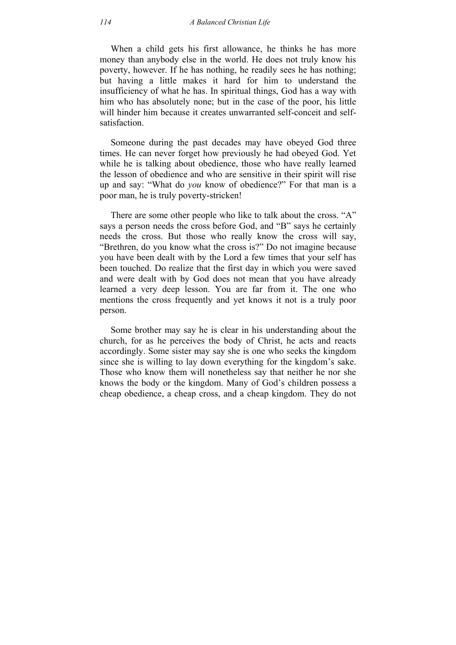When a child gets his first allowance, he thinks he has more money than anybody else in the world. He does not truly know his poverty, however. If he has nothing, he readily sees he has nothing; but having a little makes it hard for him to understand the insufficiency of what he has. In spiritual things, God has a way with him who has absolutely none; but in the case of the poor, his little will hinder him because it creates unwarranted self-conceit and selfsatisfaction.

Someone during the past decades may have obeyed God three times. He can never forget how previously he had obeyed God. Yet while he is talking about obedience, those who have really learned the lesson of obedience and who are sensitive in their spirit will rise up and say: "What do *you* know of obedience?" For that man is a poor man, he is truly poverty-stricken!

There are some other people who like to talk about the cross. "A" says a person needs the cross before God, and "B" says he certainly needs the cross. But those who really know the cross will say, "Brethren, do you know what the cross is?" Do not imagine because you have been dealt with by the Lord a few times that your self has been touched. Do realize that the first day in which you were saved and were dealt with by God does not mean that you have already learned a very deep lesson. You are far from it. The one who mentions the cross frequently and yet knows it not is a truly poor person.

Some brother may say he is clear in his understanding about the church, for as he perceives the body of Christ, he acts and reacts accordingly. Some sister may say she is one who seeks the kingdom since she is willing to lay down everything for the kingdom's sake. Those who know them will nonetheless say that neither he nor she knows the body or the kingdom. Many of God's children possess a cheap obedience, a cheap cross, and a cheap kingdom. They do not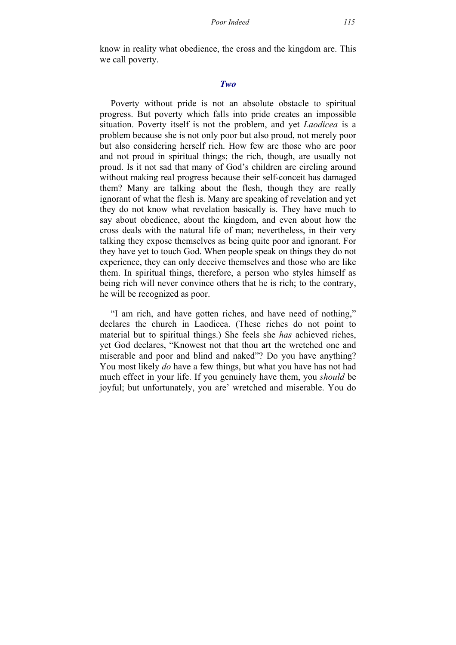know in reality what obedience, the cross and the kingdom are. This we call poverty.

## *Two*

Poverty without pride is not an absolute obstacle to spiritual progress. But poverty which falls into pride creates an impossible situation. Poverty itself is not the problem, and yet *Laodicea* is a problem because she is not only poor but also proud, not merely poor but also considering herself rich. How few are those who are poor and not proud in spiritual things; the rich, though, are usually not proud. Is it not sad that many of God's children are circling around without making real progress because their self-conceit has damaged them? Many are talking about the flesh, though they are really ignorant of what the flesh is. Many are speaking of revelation and yet they do not know what revelation basically is. They have much to say about obedience, about the kingdom, and even about how the cross deals with the natural life of man; nevertheless, in their very talking they expose themselves as being quite poor and ignorant. For they have yet to touch God. When people speak on things they do not experience, they can only deceive themselves and those who are like them. In spiritual things, therefore, a person who styles himself as being rich will never convince others that he is rich; to the contrary, he will be recognized as poor.

"I am rich, and have gotten riches, and have need of nothing," declares the church in Laodicea. (These riches do not point to material but to spiritual things.) She feels she *has* achieved riches, yet God declares, "Knowest not that thou art the wretched one and miserable and poor and blind and naked"? Do you have anything? You most likely *do* have a few things, but what you have has not had much effect in your life. If you genuinely have them, you *should* be joyful; but unfortunately, you are' wretched and miserable. You do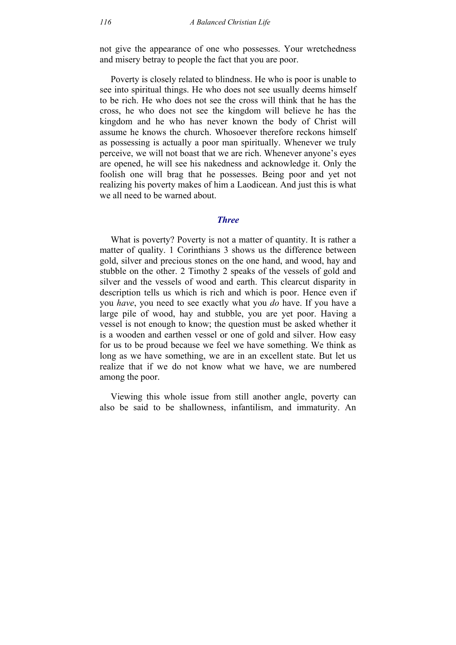not give the appearance of one who possesses. Your wretchedness and misery betray to people the fact that you are poor.

Poverty is closely related to blindness. He who is poor is unable to see into spiritual things. He who does not see usually deems himself to be rich. He who does not see the cross will think that he has the cross, he who does not see the kingdom will believe he has the kingdom and he who has never known the body of Christ will assume he knows the church. Whosoever therefore reckons himself as possessing is actually a poor man spiritually. Whenever we truly perceive, we will not boast that we are rich. Whenever anyone's eyes are opened, he will see his nakedness and acknowledge it. Only the foolish one will brag that he possesses. Being poor and yet not realizing his poverty makes of him a Laodicean. And just this is what we all need to be warned about.

## *Three*

What is poverty? Poverty is not a matter of quantity. It is rather a matter of quality. 1 Corinthians 3 shows us the difference between gold, silver and precious stones on the one hand, and wood, hay and stubble on the other. 2 Timothy 2 speaks of the vessels of gold and silver and the vessels of wood and earth. This clearcut disparity in description tells us which is rich and which is poor. Hence even if you *have*, you need to see exactly what you *do* have. If you have a large pile of wood, hay and stubble, you are yet poor. Having a vessel is not enough to know; the question must be asked whether it is a wooden and earthen vessel or one of gold and silver. How easy for us to be proud because we feel we have something. We think as long as we have something, we are in an excellent state. But let us realize that if we do not know what we have, we are numbered among the poor.

Viewing this whole issue from still another angle, poverty can also be said to be shallowness, infantilism, and immaturity. An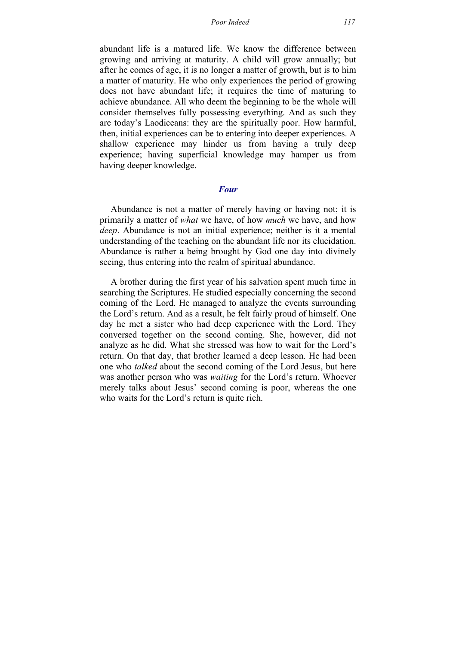abundant life is a matured life. We know the difference between growing and arriving at maturity. A child will grow annually; but after he comes of age, it is no longer a matter of growth, but is to him a matter of maturity. He who only experiences the period of growing does not have abundant life; it requires the time of maturing to achieve abundance. All who deem the beginning to be the whole will consider themselves fully possessing everything. And as such they are today's Laodiceans: they are the spiritually poor. How harmful, then, initial experiences can be to entering into deeper experiences. A shallow experience may hinder us from having a truly deep experience; having superficial knowledge may hamper us from having deeper knowledge.

## *Four*

Abundance is not a matter of merely having or having not; it is primarily a matter of *what* we have, of how *much* we have, and how *deep*. Abundance is not an initial experience; neither is it a mental understanding of the teaching on the abundant life nor its elucidation. Abundance is rather a being brought by God one day into divinely seeing, thus entering into the realm of spiritual abundance.

A brother during the first year of his salvation spent much time in searching the Scriptures. He studied especially concerning the second coming of the Lord. He managed to analyze the events surrounding the Lord's return. And as a result, he felt fairly proud of himself. One day he met a sister who had deep experience with the Lord. They conversed together on the second coming. She, however, did not analyze as he did. What she stressed was how to wait for the Lord's return. On that day, that brother learned a deep lesson. He had been one who *talked* about the second coming of the Lord Jesus, but here was another person who was *waiting* for the Lord's return. Whoever merely talks about Jesus' second coming is poor, whereas the one who waits for the Lord's return is quite rich.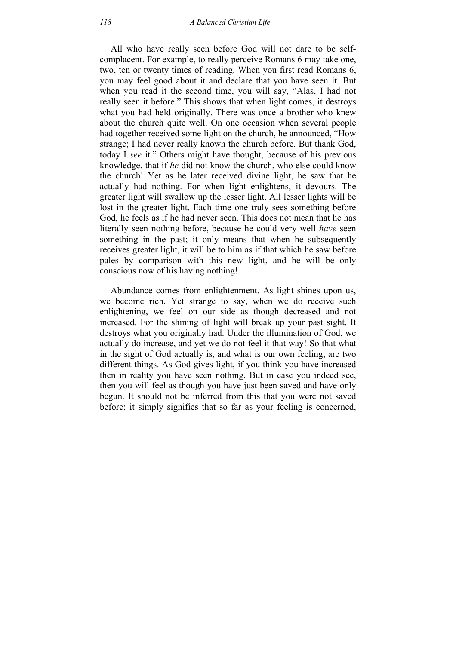All who have really seen before God will not dare to be selfcomplacent. For example, to really perceive Romans 6 may take one, two, ten or twenty times of reading. When you first read Romans 6, you may feel good about it and declare that you have seen it. But when you read it the second time, you will say, "Alas, I had not really seen it before." This shows that when light comes, it destroys what you had held originally. There was once a brother who knew about the church quite well. On one occasion when several people had together received some light on the church, he announced, "How strange; I had never really known the church before. But thank God, today I *see* it." Others might have thought, because of his previous knowledge, that if *he* did not know the church, who else could know the church! Yet as he later received divine light, he saw that he actually had nothing. For when light enlightens, it devours. The greater light will swallow up the lesser light. All lesser lights will be lost in the greater light. Each time one truly sees something before God, he feels as if he had never seen. This does not mean that he has literally seen nothing before, because he could very well *have* seen something in the past; it only means that when he subsequently receives greater light, it will be to him as if that which he saw before pales by comparison with this new light, and he will be only conscious now of his having nothing!

Abundance comes from enlightenment. As light shines upon us, we become rich. Yet strange to say, when we do receive such enlightening, we feel on our side as though decreased and not increased. For the shining of light will break up your past sight. It destroys what you originally had. Under the illumination of God, we actually do increase, and yet we do not feel it that way! So that what in the sight of God actually is, and what is our own feeling, are two different things. As God gives light, if you think you have increased then in reality you have seen nothing. But in case you indeed see, then you will feel as though you have just been saved and have only begun. It should not be inferred from this that you were not saved before; it simply signifies that so far as your feeling is concerned,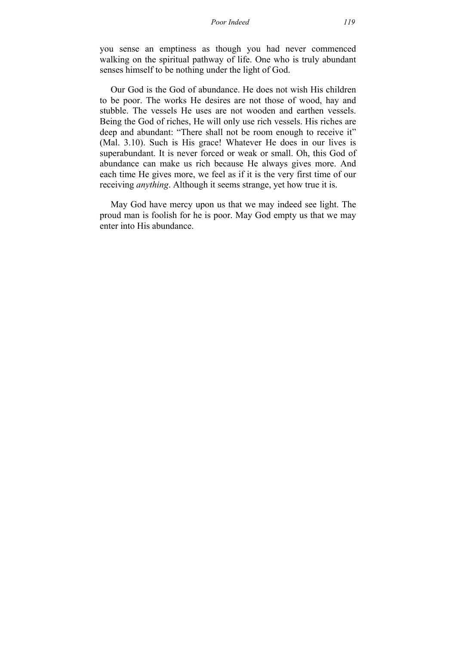you sense an emptiness as though you had never commenced walking on the spiritual pathway of life. One who is truly abundant senses himself to be nothing under the light of God.

Our God is the God of abundance. He does not wish His children to be poor. The works He desires are not those of wood, hay and stubble. The vessels He uses are not wooden and earthen vessels. Being the God of riches, He will only use rich vessels. His riches are deep and abundant: "There shall not be room enough to receive it" (Mal. 3.10). Such is His grace! Whatever He does in our lives is superabundant. It is never forced or weak or small. Oh, this God of abundance can make us rich because He always gives more. And each time He gives more, we feel as if it is the very first time of our receiving *anything*. Although it seems strange, yet how true it is.

May God have mercy upon us that we may indeed see light. The proud man is foolish for he is poor. May God empty us that we may enter into His abundance.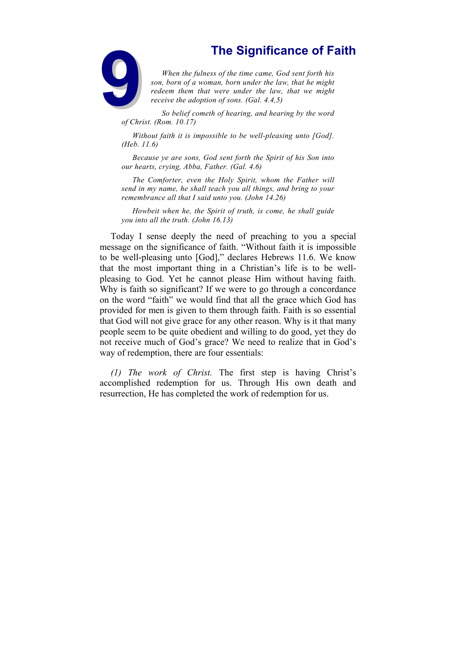

**9The Significance of Faith**<br>When the fulness of the time came, God sent forth his<br>son, born of a woman, born under the law, that he might<br>redeem them that were under the law, that we might<br>receive the adoption of sons. (G *When the fulness of the time came, God sent forth his son, born of a woman, born under the law, that he might redeem them that were under the law, that we might receive the adoption of sons. (Gal. 4.4,5)*

*So belief cometh of hearing, and hearing by the word of Christ. (Rom. 10.17)*

*Without faith it is impossible to be well-pleasing unto [God]. (Heb. 11.6)*

*Because ye are sons, God sent forth the Spirit of his Son into our hearts, crying, Abba, Father. (Gal. 4.6)* 

*The Comforter, even the Holy Spirit, whom the Father will send in my name, he shall teach you all things, and bring to your remembrance all that I said unto you. (John 14.26)*

*Howbeit when he, the Spirit of truth, is come, he shall guide you into all the truth. (John 16.13)*

Today I sense deeply the need of preaching to you a special message on the significance of faith. "Without faith it is impossible to be well-pleasing unto [God]," declares Hebrews 11.6. We know that the most important thing in a Christian's life is to be wellpleasing to God. Yet he cannot please Him without having faith. Why is faith so significant? If we were to go through a concordance on the word "faith" we would find that all the grace which God has provided for men is given to them through faith. Faith is so essential that God will not give grace for any other reason. Why is it that many people seem to be quite obedient and willing to do good, yet they do not receive much of God's grace? We need to realize that in God's way of redemption, there are four essentials:

*(1) The work of Christ.* The first step is having Christ's accomplished redemption for us. Through His own death and resurrection, He has completed the work of redemption for us.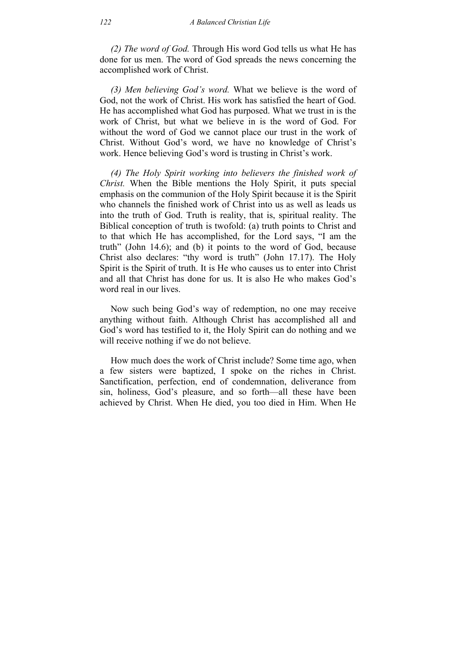*(2) The word of God.* Through His word God tells us what He has done for us men. The word of God spreads the news concerning the accomplished work of Christ.

*(3) Men believing God's word.* What we believe is the word of God, not the work of Christ. His work has satisfied the heart of God. He has accomplished what God has purposed. What we trust in is the work of Christ, but what we believe in is the word of God. For without the word of God we cannot place our trust in the work of Christ. Without God's word, we have no knowledge of Christ's work. Hence believing God's word is trusting in Christ's work.

*(4) The Holy Spirit working into believers the finished work of Christ.* When the Bible mentions the Holy Spirit, it puts special emphasis on the communion of the Holy Spirit because it is the Spirit who channels the finished work of Christ into us as well as leads us into the truth of God. Truth is reality, that is, spiritual reality. The Biblical conception of truth is twofold: (a) truth points to Christ and to that which He has accomplished, for the Lord says, "I am the truth" (John 14.6); and (b) it points to the word of God, because Christ also declares: "thy word is truth" (John 17.17). The Holy Spirit is the Spirit of truth. It is He who causes us to enter into Christ and all that Christ has done for us. It is also He who makes God's word real in our lives.

Now such being God's way of redemption, no one may receive anything without faith. Although Christ has accomplished all and God's word has testified to it, the Holy Spirit can do nothing and we will receive nothing if we do not believe.

How much does the work of Christ include? Some time ago, when a few sisters were baptized, I spoke on the riches in Christ. Sanctification, perfection, end of condemnation, deliverance from sin, holiness, God's pleasure, and so forth—all these have been achieved by Christ. When He died, you too died in Him. When He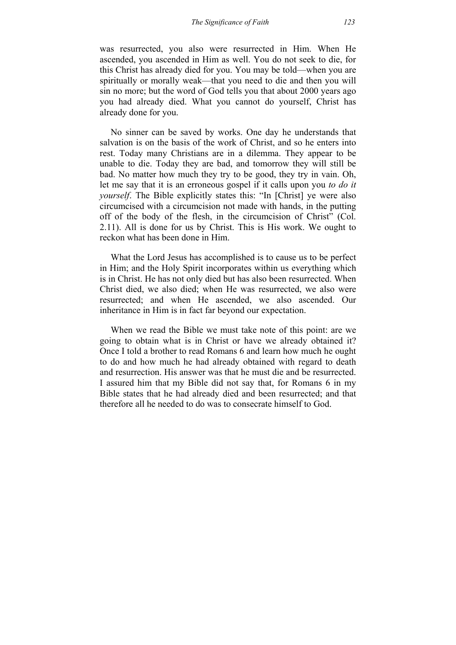was resurrected, you also were resurrected in Him. When He ascended, you ascended in Him as well. You do not seek to die, for this Christ has already died for you. You may be told—when you are spiritually or morally weak—that you need to die and then you will sin no more; but the word of God tells you that about 2000 years ago you had already died. What you cannot do yourself, Christ has already done for you.

No sinner can be saved by works. One day he understands that salvation is on the basis of the work of Christ, and so he enters into rest. Today many Christians are in a dilemma. They appear to be unable to die. Today they are bad, and tomorrow they will still be bad. No matter how much they try to be good, they try in vain. Oh, let me say that it is an erroneous gospel if it calls upon you *to do it yourself*. The Bible explicitly states this: "In [Christ] ye were also circumcised with a circumcision not made with hands, in the putting off of the body of the flesh, in the circumcision of Christ" (Col. 2.11). All is done for us by Christ. This is His work. We ought to reckon what has been done in Him.

What the Lord Jesus has accomplished is to cause us to be perfect in Him; and the Holy Spirit incorporates within us everything which is in Christ. He has not only died but has also been resurrected. When Christ died, we also died; when He was resurrected, we also were resurrected; and when He ascended, we also ascended. Our inheritance in Him is in fact far beyond our expectation.

When we read the Bible we must take note of this point: are we going to obtain what is in Christ or have we already obtained it? Once I told a brother to read Romans 6 and learn how much he ought to do and how much he had already obtained with regard to death and resurrection. His answer was that he must die and be resurrected. I assured him that my Bible did not say that, for Romans 6 in my Bible states that he had already died and been resurrected; and that therefore all he needed to do was to consecrate himself to God.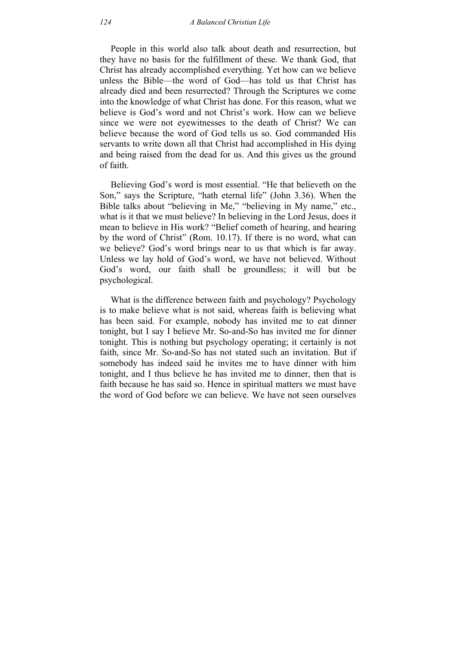People in this world also talk about death and resurrection, but they have no basis for the fulfillment of these. We thank God, that Christ has already accomplished everything. Yet how can we believe unless the Bible—the word of God—has told us that Christ has already died and been resurrected? Through the Scriptures we come into the knowledge of what Christ has done. For this reason, what we believe is God's word and not Christ's work. How can we believe since we were not eyewitnesses to the death of Christ? We can believe because the word of God tells us so. God commanded His servants to write down all that Christ had accomplished in His dying and being raised from the dead for us. And this gives us the ground of faith.

Believing God's word is most essential. "He that believeth on the Son," says the Scripture, "hath eternal life" (John 3.36). When the Bible talks about "believing in Me," "believing in My name," etc., what is it that we must believe? In believing in the Lord Jesus, does it mean to believe in His work? "Belief cometh of hearing, and hearing by the word of Christ" (Rom. 10.17). If there is no word, what can we believe? God's word brings near to us that which is far away. Unless we lay hold of God's word, we have not believed. Without God's word, our faith shall be groundless; it will but be psychological.

What is the difference between faith and psychology? Psychology is to make believe what is not said, whereas faith is believing what has been said. For example, nobody has invited me to eat dinner tonight, but I say I believe Mr. So-and-So has invited me for dinner tonight. This is nothing but psychology operating; it certainly is not faith, since Mr. So-and-So has not stated such an invitation. But if somebody has indeed said he invites me to have dinner with him tonight, and I thus believe he has invited me to dinner, then that is faith because he has said so. Hence in spiritual matters we must have the word of God before we can believe. We have not seen ourselves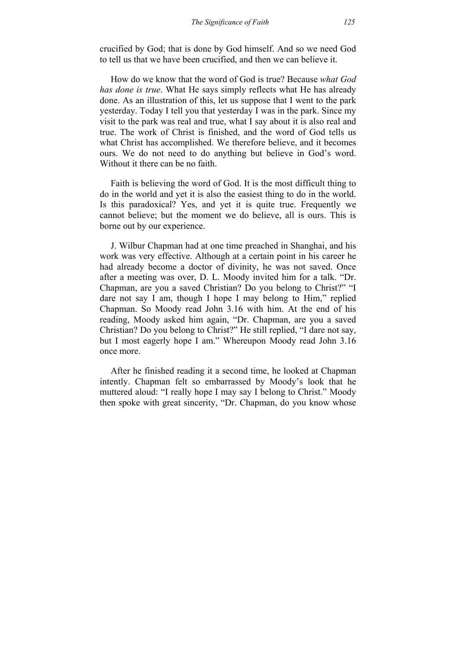crucified by God; that is done by God himself. And so we need God to tell us that we have been crucified, and then we can believe it.

How do we know that the word of God is true? Because *what God has done is true*. What He says simply reflects what He has already done. As an illustration of this, let us suppose that I went to the park yesterday. Today I tell you that yesterday I was in the park. Since my visit to the park was real and true, what I say about it is also real and true. The work of Christ is finished, and the word of God tells us what Christ has accomplished. We therefore believe, and it becomes ours. We do not need to do anything but believe in God's word. Without it there can be no faith.

Faith is believing the word of God. It is the most difficult thing to do in the world and yet it is also the easiest thing to do in the world. Is this paradoxical? Yes, and yet it is quite true. Frequently we cannot believe; but the moment we do believe, all is ours. This is borne out by our experience.

J. Wilbur Chapman had at one time preached in Shanghai, and his work was very effective. Although at a certain point in his career he had already become a doctor of divinity, he was not saved. Once after a meeting was over, D. L. Moody invited him for a talk. "Dr. Chapman, are you a saved Christian? Do you belong to Christ?" "I dare not say I am, though I hope I may belong to Him," replied Chapman. So Moody read John 3.16 with him. At the end of his reading, Moody asked him again, "Dr. Chapman, are you a saved Christian? Do you belong to Christ?" He still replied, "I dare not say, but I most eagerly hope I am." Whereupon Moody read John 3.16 once more.

After he finished reading it a second time, he looked at Chapman intently. Chapman felt so embarrassed by Moody's look that he muttered aloud: "I really hope I may say I belong to Christ." Moody then spoke with great sincerity, "Dr. Chapman, do you know whose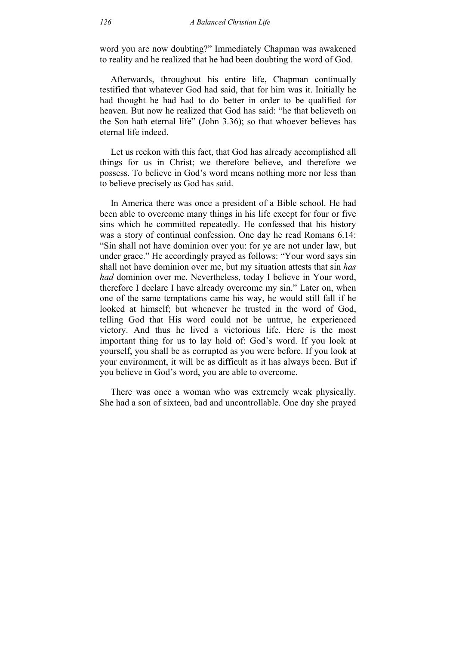word you are now doubting?" Immediately Chapman was awakened to reality and he realized that he had been doubting the word of God.

Afterwards, throughout his entire life, Chapman continually testified that whatever God had said, that for him was it. Initially he had thought he had had to do better in order to be qualified for heaven. But now he realized that God has said: "he that believeth on the Son hath eternal life" (John 3.36); so that whoever believes has eternal life indeed.

Let us reckon with this fact, that God has already accomplished all things for us in Christ; we therefore believe, and therefore we possess. To believe in God's word means nothing more nor less than to believe precisely as God has said.

In America there was once a president of a Bible school. He had been able to overcome many things in his life except for four or five sins which he committed repeatedly. He confessed that his history was a story of continual confession. One day he read Romans 6.14: "Sin shall not have dominion over you: for ye are not under law, but under grace." He accordingly prayed as follows: "Your word says sin shall not have dominion over me, but my situation attests that sin *has had* dominion over me. Nevertheless, today I believe in Your word, therefore I declare I have already overcome my sin." Later on, when one of the same temptations came his way, he would still fall if he looked at himself; but whenever he trusted in the word of God, telling God that His word could not be untrue, he experienced victory. And thus he lived a victorious life. Here is the most important thing for us to lay hold of: God's word. If you look at yourself, you shall be as corrupted as you were before. If you look at your environment, it will be as difficult as it has always been. But if you believe in God's word, you are able to overcome.

There was once a woman who was extremely weak physically. She had a son of sixteen, bad and uncontrollable. One day she prayed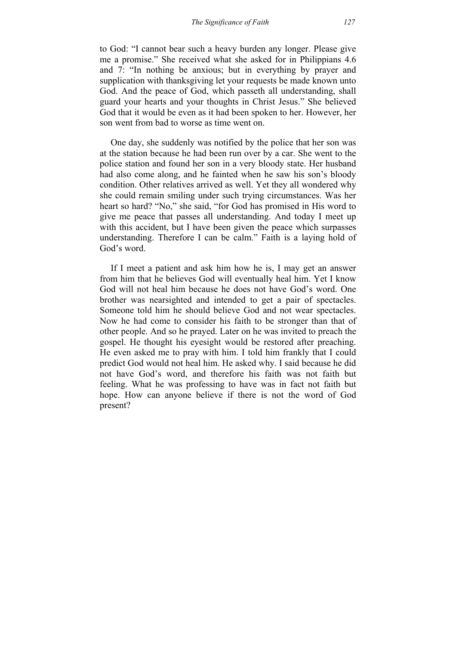to God: "I cannot bear such a heavy burden any longer. Please give me a promise." She received what she asked for in Philippians 4.6 and 7: "In nothing be anxious; but in everything by prayer and supplication with thanksgiving let your requests be made known unto God. And the peace of God, which passeth all understanding, shall guard your hearts and your thoughts in Christ Jesus." She believed God that it would be even as it had been spoken to her. However, her son went from bad to worse as time went on.

One day, she suddenly was notified by the police that her son was at the station because he had been run over by a car. She went to the police station and found her son in a very bloody state. Her husband had also come along, and he fainted when he saw his son's bloody condition. Other relatives arrived as well. Yet they all wondered why she could remain smiling under such trying circumstances. Was her heart so hard? "No," she said, "for God has promised in His word to give me peace that passes all understanding. And today I meet up with this accident, but I have been given the peace which surpasses understanding. Therefore I can be calm." Faith is a laying hold of God's word.

If I meet a patient and ask him how he is, I may get an answer from him that he believes God will eventually heal him. Yet I know God will not heal him because he does not have God's word. One brother was nearsighted and intended to get a pair of spectacles. Someone told him he should believe God and not wear spectacles. Now he had come to consider his faith to be stronger than that of other people. And so he prayed. Later on he was invited to preach the gospel. He thought his eyesight would be restored after preaching. He even asked me to pray with him. I told him frankly that I could predict God would not heal him. He asked why. I said because he did not have God's word, and therefore his faith was not faith but feeling. What he was professing to have was in fact not faith but hope. How can anyone believe if there is not the word of God present?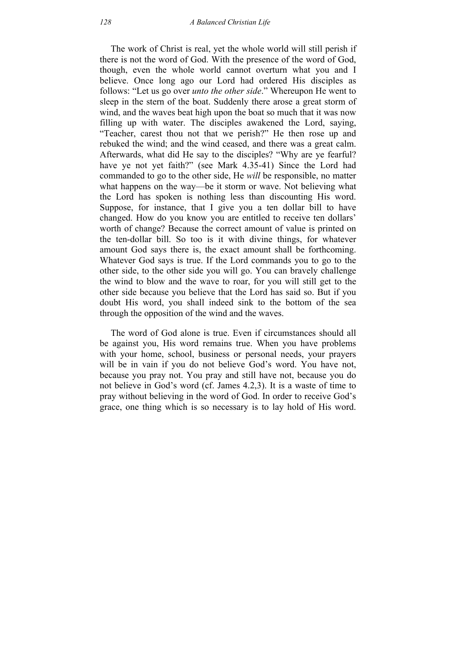The work of Christ is real, yet the whole world will still perish if there is not the word of God. With the presence of the word of God, though, even the whole world cannot overturn what you and I believe. Once long ago our Lord had ordered His disciples as follows: "Let us go over *unto the other side*." Whereupon He went to sleep in the stern of the boat. Suddenly there arose a great storm of wind, and the waves beat high upon the boat so much that it was now filling up with water. The disciples awakened the Lord, saying, "Teacher, carest thou not that we perish?" He then rose up and rebuked the wind; and the wind ceased, and there was a great calm. Afterwards, what did He say to the disciples? "Why are ye fearful? have ye not yet faith?" (see Mark 4.35-41) Since the Lord had commanded to go to the other side, He *will* be responsible, no matter what happens on the way—be it storm or wave. Not believing what the Lord has spoken is nothing less than discounting His word. Suppose, for instance, that I give you a ten dollar bill to have changed. How do you know you are entitled to receive ten dollars' worth of change? Because the correct amount of value is printed on the ten-dollar bill. So too is it with divine things, for whatever amount God says there is, the exact amount shall be forthcoming. Whatever God says is true. If the Lord commands you to go to the other side, to the other side you will go. You can bravely challenge the wind to blow and the wave to roar, for you will still get to the other side because you believe that the Lord has said so. But if you doubt His word, you shall indeed sink to the bottom of the sea through the opposition of the wind and the waves.

The word of God alone is true. Even if circumstances should all be against you, His word remains true. When you have problems with your home, school, business or personal needs, your prayers will be in vain if you do not believe God's word. You have not, because you pray not. You pray and still have not, because you do not believe in God's word (cf. James 4.2,3). It is a waste of time to pray without believing in the word of God. In order to receive God's grace, one thing which is so necessary is to lay hold of His word.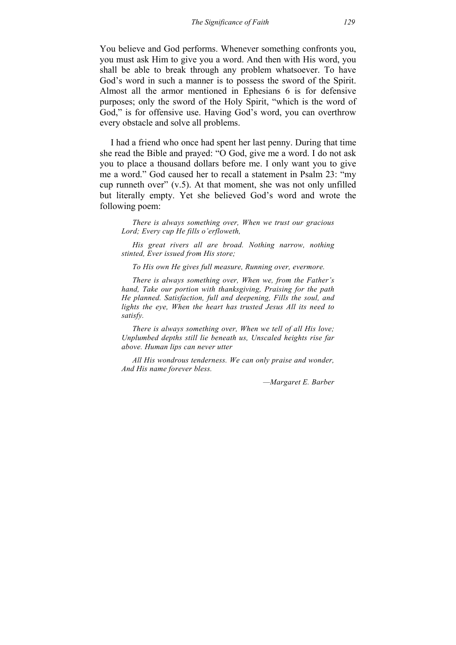You believe and God performs. Whenever something confronts you, you must ask Him to give you a word. And then with His word, you shall be able to break through any problem whatsoever. To have God's word in such a manner is to possess the sword of the Spirit. Almost all the armor mentioned in Ephesians 6 is for defensive purposes; only the sword of the Holy Spirit, "which is the word of God," is for offensive use. Having God's word, you can overthrow every obstacle and solve all problems.

I had a friend who once had spent her last penny. During that time she read the Bible and prayed: "O God, give me a word. I do not ask you to place a thousand dollars before me. I only want you to give me a word." God caused her to recall a statement in Psalm 23: "my cup runneth over" (v.5). At that moment, she was not only unfilled but literally empty. Yet she believed God's word and wrote the following poem:

*There is always something over, When we trust our gracious Lord; Every cup He fills o'erfloweth,* 

*His great rivers all are broad. Nothing narrow, nothing stinted, Ever issued from His store;* 

*To His own He gives full measure, Running over, evermore.* 

*There is always something over, When we, from the Father's hand, Take our portion with thanksgiving, Praising for the path He planned. Satisfaction, full and deepening, Fills the soul, and lights the eye, When the heart has trusted Jesus All its need to satisfy.* 

*There is always something over, When we tell of all His love; Unplumbed depths still lie beneath us, Unscaled heights rise far above. Human lips can never utter* 

*All His wondrous tenderness. We can only praise and wonder, And His name forever bless.* 

*—Margaret E. Barber*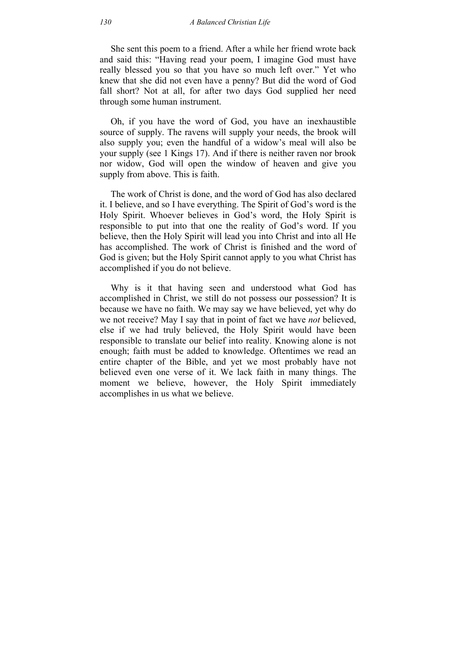She sent this poem to a friend. After a while her friend wrote back and said this: "Having read your poem, I imagine God must have really blessed you so that you have so much left over." Yet who knew that she did not even have a penny? But did the word of God fall short? Not at all, for after two days God supplied her need through some human instrument.

Oh, if you have the word of God, you have an inexhaustible source of supply. The ravens will supply your needs, the brook will also supply you; even the handful of a widow's meal will also be your supply (see 1 Kings 17). And if there is neither raven nor brook nor widow, God will open the window of heaven and give you supply from above. This is faith.

The work of Christ is done, and the word of God has also declared it. I believe, and so I have everything. The Spirit of God's word is the Holy Spirit. Whoever believes in God's word, the Holy Spirit is responsible to put into that one the reality of God's word. If you believe, then the Holy Spirit will lead you into Christ and into all He has accomplished. The work of Christ is finished and the word of God is given; but the Holy Spirit cannot apply to you what Christ has accomplished if you do not believe.

Why is it that having seen and understood what God has accomplished in Christ, we still do not possess our possession? It is because we have no faith. We may say we have believed, yet why do we not receive? May I say that in point of fact we have *not* believed, else if we had truly believed, the Holy Spirit would have been responsible to translate our belief into reality. Knowing alone is not enough; faith must be added to knowledge. Oftentimes we read an entire chapter of the Bible, and yet we most probably have not believed even one verse of it. We lack faith in many things. The moment we believe, however, the Holy Spirit immediately accomplishes in us what we believe.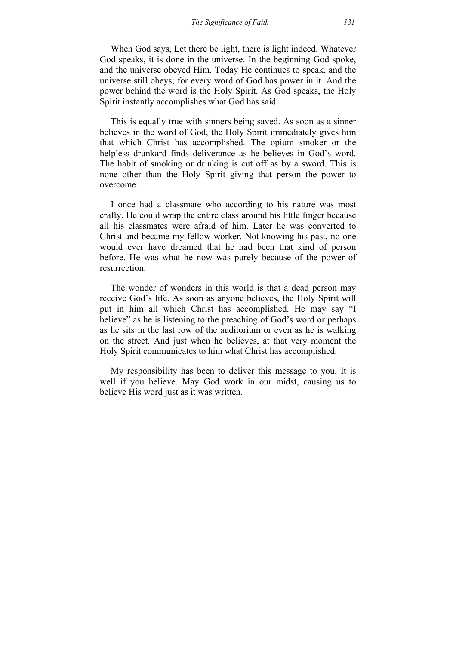When God says, Let there be light, there is light indeed. Whatever God speaks, it is done in the universe. In the beginning God spoke, and the universe obeyed Him. Today He continues to speak, and the universe still obeys; for every word of God has power in it. And the power behind the word is the Holy Spirit. As God speaks, the Holy Spirit instantly accomplishes what God has said.

This is equally true with sinners being saved. As soon as a sinner believes in the word of God, the Holy Spirit immediately gives him that which Christ has accomplished. The opium smoker or the helpless drunkard finds deliverance as he believes in God's word. The habit of smoking or drinking is cut off as by a sword. This is none other than the Holy Spirit giving that person the power to overcome.

I once had a classmate who according to his nature was most crafty. He could wrap the entire class around his little finger because all his classmates were afraid of him. Later he was converted to Christ and became my fellow-worker. Not knowing his past, no one would ever have dreamed that he had been that kind of person before. He was what he now was purely because of the power of resurrection.

The wonder of wonders in this world is that a dead person may receive God's life. As soon as anyone believes, the Holy Spirit will put in him all which Christ has accomplished. He may say "I believe" as he is listening to the preaching of God's word or perhaps as he sits in the last row of the auditorium or even as he is walking on the street. And just when he believes, at that very moment the Holy Spirit communicates to him what Christ has accomplished.

My responsibility has been to deliver this message to you. It is well if you believe. May God work in our midst, causing us to believe His word just as it was written.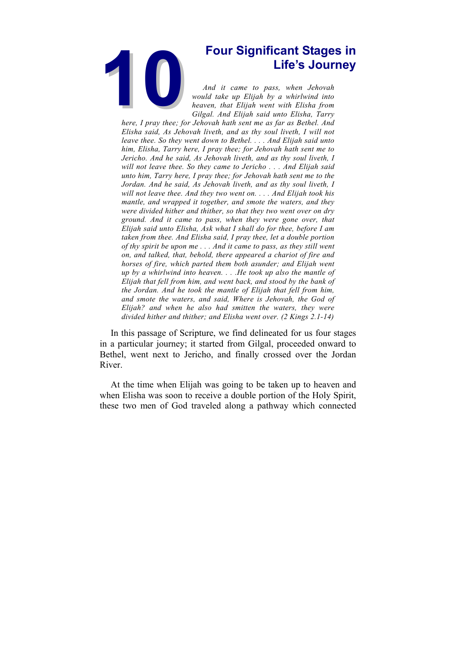# **10Four Significant Stages in**<br> **10Four Significant Stages in**<br> *10Four Mand it came to pass, when Jehovah*<br> *Mad it came to pass, when Jehovah*<br> *Mad it came to pass, when Jehovah*<br> *10Four Mand Elijah by a whirlwind into*

# **Life's Journey**

*And it came to pass, when Jehovah would take up Elijah by a whirlwind into heaven, that Elijah went with Elisha from Gilgal. And Elijah said unto Elisha, Tarry* 

*here, I pray thee; for Jehovah hath sent me as far as Bethel. And Elisha said, As Jehovah liveth, and as thy soul liveth, I will not leave thee. So they went down to Bethel. . . . And Elijah said unto him, Elisha, Tarry here, I pray thee; for Jehovah hath sent me to Jericho. And he said, As Jehovah liveth, and as thy soul liveth, I will not leave thee. So they came to Jericho . . . And Elijah said unto him, Tarry here, I pray thee; for Jehovah hath sent me to the Jordan. And he said, As Jehovah liveth, and as thy soul liveth, I will not leave thee. And they two went on. . . . And Elijah took his mantle, and wrapped it together, and smote the waters, and they were divided hither and thither, so that they two went over on dry ground. And it came to pass, when they were gone over, that Elijah said unto Elisha, Ask what I shall do for thee, before I am taken from thee. And Elisha said, I pray thee, let a double portion of thy spirit be upon me . . . And it came to pass, as they still went on, and talked, that, behold, there appeared a chariot of fire and horses of fire, which parted them both asunder; and Elijah went up by a whirlwind into heaven. . . .He took up also the mantle of Elijah that fell from him, and went back, and stood by the bank of the Jordan. And he took the mantle of Elijah that fell from him, and smote the waters, and said, Where is Jehovah, the God of Elijah? and when he also had smitten the waters, they were divided hither and thither; and Elisha went over. (2 Kings 2.1-14)*

In this passage of Scripture, we find delineated for us four stages in a particular journey; it started from Gilgal, proceeded onward to Bethel, went next to Jericho, and finally crossed over the Jordan River.

At the time when Elijah was going to be taken up to heaven and when Elisha was soon to receive a double portion of the Holy Spirit, these two men of God traveled along a pathway which connected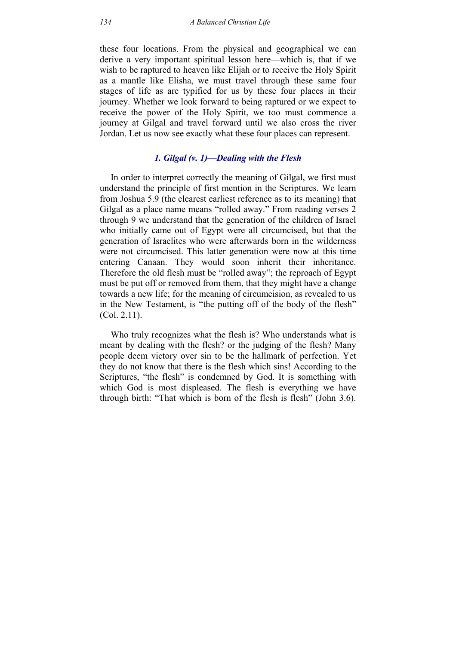these four locations. From the physical and geographical we can derive a very important spiritual lesson here—which is, that if we wish to be raptured to heaven like Elijah or to receive the Holy Spirit as a mantle like Elisha, we must travel through these same four stages of life as are typified for us by these four places in their journey. Whether we look forward to being raptured or we expect to receive the power of the Holy Spirit, we too must commence a journey at Gilgal and travel forward until we also cross the river Jordan. Let us now see exactly what these four places can represent.

# *1. Gilgal (v. 1)—Dealing with the Flesh*

In order to interpret correctly the meaning of Gilgal, we first must understand the principle of first mention in the Scriptures. We learn from Joshua 5.9 (the clearest earliest reference as to its meaning) that Gilgal as a place name means "rolled away." From reading verses 2 through 9 we understand that the generation of the children of Israel who initially came out of Egypt were all circumcised, but that the generation of Israelites who were afterwards born in the wilderness were not circumcised. This latter generation were now at this time entering Canaan. They would soon inherit their inheritance. Therefore the old flesh must be "rolled away"; the reproach of Egypt must be put off or removed from them, that they might have a change towards a new life; for the meaning of circumcision, as revealed to us in the New Testament, is "the putting off of the body of the flesh" (Col. 2.11).

Who truly recognizes what the flesh is? Who understands what is meant by dealing with the flesh? or the judging of the flesh? Many people deem victory over sin to be the hallmark of perfection. Yet they do not know that there is the flesh which sins! According to the Scriptures, "the flesh" is condemned by God. It is something with which God is most displeased. The flesh is everything we have through birth: "That which is born of the flesh is flesh" (John 3.6).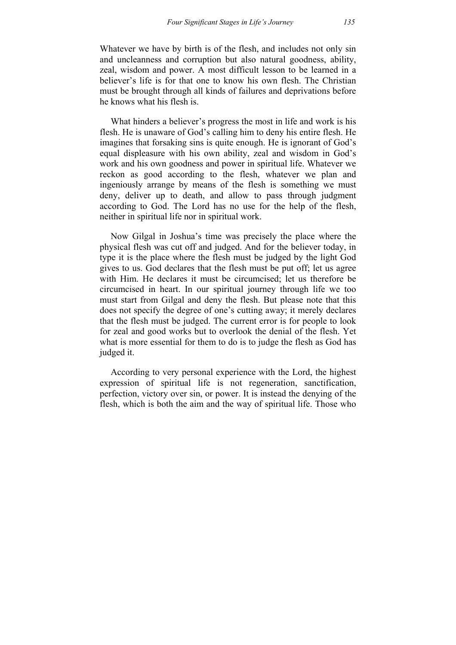Whatever we have by birth is of the flesh, and includes not only sin and uncleanness and corruption but also natural goodness, ability, zeal, wisdom and power. A most difficult lesson to be learned in a believer's life is for that one to know his own flesh. The Christian must be brought through all kinds of failures and deprivations before he knows what his flesh is.

What hinders a believer's progress the most in life and work is his flesh. He is unaware of God's calling him to deny his entire flesh. He imagines that forsaking sins is quite enough. He is ignorant of God's equal displeasure with his own ability, zeal and wisdom in God's work and his own goodness and power in spiritual life. Whatever we reckon as good according to the flesh, whatever we plan and ingeniously arrange by means of the flesh is something we must deny, deliver up to death, and allow to pass through judgment according to God. The Lord has no use for the help of the flesh, neither in spiritual life nor in spiritual work.

Now Gilgal in Joshua's time was precisely the place where the physical flesh was cut off and judged. And for the believer today, in type it is the place where the flesh must be judged by the light God gives to us. God declares that the flesh must be put off; let us agree with Him. He declares it must be circumcised; let us therefore be circumcised in heart. In our spiritual journey through life we too must start from Gilgal and deny the flesh. But please note that this does not specify the degree of one's cutting away; it merely declares that the flesh must be judged. The current error is for people to look for zeal and good works but to overlook the denial of the flesh. Yet what is more essential for them to do is to judge the flesh as God has judged it.

According to very personal experience with the Lord, the highest expression of spiritual life is not regeneration, sanctification, perfection, victory over sin, or power. It is instead the denying of the flesh, which is both the aim and the way of spiritual life. Those who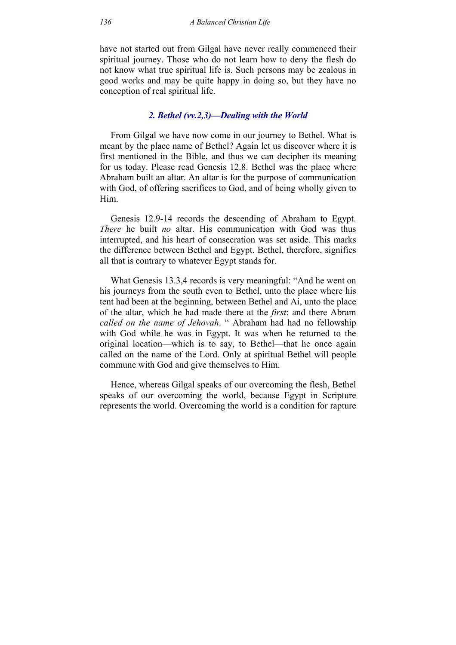have not started out from Gilgal have never really commenced their spiritual journey. Those who do not learn how to deny the flesh do not know what true spiritual life is. Such persons may be zealous in good works and may be quite happy in doing so, but they have no conception of real spiritual life.

# *2. Bethel (vv.2,3)—Dealing with the World*

From Gilgal we have now come in our journey to Bethel. What is meant by the place name of Bethel? Again let us discover where it is first mentioned in the Bible, and thus we can decipher its meaning for us today. Please read Genesis 12.8. Bethel was the place where Abraham built an altar. An altar is for the purpose of communication with God, of offering sacrifices to God, and of being wholly given to Him.

Genesis 12.9-14 records the descending of Abraham to Egypt. *There* he built *no* altar. His communication with God was thus interrupted, and his heart of consecration was set aside. This marks the difference between Bethel and Egypt. Bethel, therefore, signifies all that is contrary to whatever Egypt stands for.

What Genesis 13.3,4 records is very meaningful: "And he went on his journeys from the south even to Bethel, unto the place where his tent had been at the beginning, between Bethel and Ai, unto the place of the altar, which he had made there at the *first*: and there Abram *called on the name of Jehovah*. " Abraham had had no fellowship with God while he was in Egypt. It was when he returned to the original location—which is to say, to Bethel—that he once again called on the name of the Lord. Only at spiritual Bethel will people commune with God and give themselves to Him.

Hence, whereas Gilgal speaks of our overcoming the flesh, Bethel speaks of our overcoming the world, because Egypt in Scripture represents the world. Overcoming the world is a condition for rapture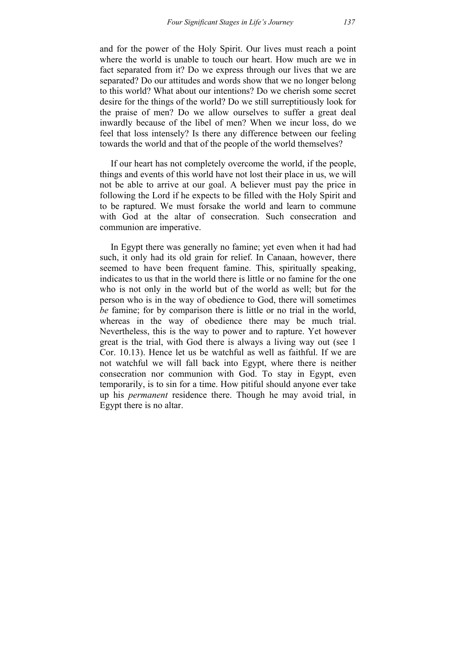and for the power of the Holy Spirit. Our lives must reach a point where the world is unable to touch our heart. How much are we in fact separated from it? Do we express through our lives that we are separated? Do our attitudes and words show that we no longer belong to this world? What about our intentions? Do we cherish some secret desire for the things of the world? Do we still surreptitiously look for the praise of men? Do we allow ourselves to suffer a great deal inwardly because of the libel of men? When we incur loss, do we feel that loss intensely? Is there any difference between our feeling towards the world and that of the people of the world themselves?

If our heart has not completely overcome the world, if the people, things and events of this world have not lost their place in us, we will not be able to arrive at our goal. A believer must pay the price in following the Lord if he expects to be filled with the Holy Spirit and to be raptured. We must forsake the world and learn to commune with God at the altar of consecration. Such consecration and communion are imperative.

In Egypt there was generally no famine; yet even when it had had such, it only had its old grain for relief. In Canaan, however, there seemed to have been frequent famine. This, spiritually speaking, indicates to us that in the world there is little or no famine for the one who is not only in the world but of the world as well; but for the person who is in the way of obedience to God, there will sometimes *be* famine; for by comparison there is little or no trial in the world, whereas in the way of obedience there may be much trial. Nevertheless, this is the way to power and to rapture. Yet however great is the trial, with God there is always a living way out (see 1 Cor. 10.13). Hence let us be watchful as well as faithful. If we are not watchful we will fall back into Egypt, where there is neither consecration nor communion with God. To stay in Egypt, even temporarily, is to sin for a time. How pitiful should anyone ever take up his *permanent* residence there. Though he may avoid trial, in Egypt there is no altar.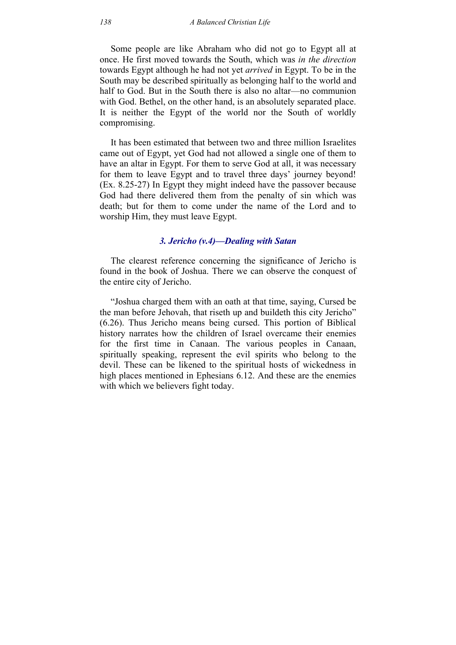Some people are like Abraham who did not go to Egypt all at once. He first moved towards the South, which was *in the direction* towards Egypt although he had not yet *arrived* in Egypt. To be in the South may be described spiritually as belonging half to the world and half to God. But in the South there is also no altar—no communion with God. Bethel, on the other hand, is an absolutely separated place. It is neither the Egypt of the world nor the South of worldly compromising.

It has been estimated that between two and three million Israelites came out of Egypt, yet God had not allowed a single one of them to have an altar in Egypt. For them to serve God at all, it was necessary for them to leave Egypt and to travel three days' journey beyond! (Ex. 8.25-27) In Egypt they might indeed have the passover because God had there delivered them from the penalty of sin which was death; but for them to come under the name of the Lord and to worship Him, they must leave Egypt.

## *3. Jericho (v.4)—Dealing with Satan*

The clearest reference concerning the significance of Jericho is found in the book of Joshua. There we can observe the conquest of the entire city of Jericho.

"Joshua charged them with an oath at that time, saying, Cursed be the man before Jehovah, that riseth up and buildeth this city Jericho" (6.26). Thus Jericho means being cursed. This portion of Biblical history narrates how the children of Israel overcame their enemies for the first time in Canaan. The various peoples in Canaan, spiritually speaking, represent the evil spirits who belong to the devil. These can be likened to the spiritual hosts of wickedness in high places mentioned in Ephesians 6.12. And these are the enemies with which we believers fight today.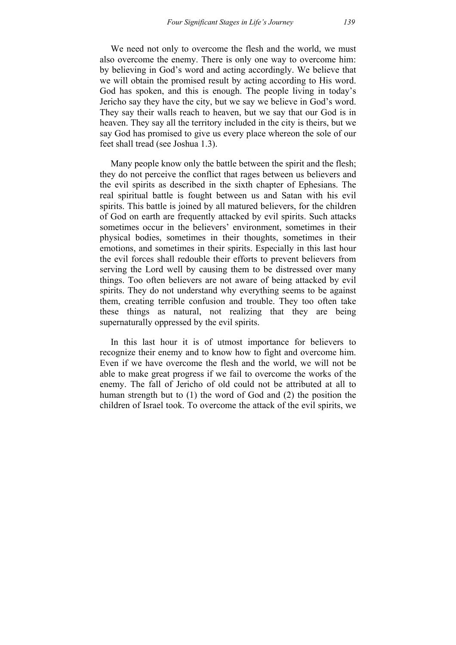We need not only to overcome the flesh and the world, we must also overcome the enemy. There is only one way to overcome him: by believing in God's word and acting accordingly. We believe that we will obtain the promised result by acting according to His word. God has spoken, and this is enough. The people living in today's Jericho say they have the city, but we say we believe in God's word. They say their walls reach to heaven, but we say that our God is in heaven. They say all the territory included in the city is theirs, but we say God has promised to give us every place whereon the sole of our feet shall tread (see Joshua 1.3).

Many people know only the battle between the spirit and the flesh; they do not perceive the conflict that rages between us believers and the evil spirits as described in the sixth chapter of Ephesians. The real spiritual battle is fought between us and Satan with his evil spirits. This battle is joined by all matured believers, for the children of God on earth are frequently attacked by evil spirits. Such attacks sometimes occur in the believers' environment, sometimes in their physical bodies, sometimes in their thoughts, sometimes in their emotions, and sometimes in their spirits. Especially in this last hour the evil forces shall redouble their efforts to prevent believers from serving the Lord well by causing them to be distressed over many things. Too often believers are not aware of being attacked by evil spirits. They do not understand why everything seems to be against them, creating terrible confusion and trouble. They too often take these things as natural, not realizing that they are being supernaturally oppressed by the evil spirits.

In this last hour it is of utmost importance for believers to recognize their enemy and to know how to fight and overcome him. Even if we have overcome the flesh and the world, we will not be able to make great progress if we fail to overcome the works of the enemy. The fall of Jericho of old could not be attributed at all to human strength but to (1) the word of God and (2) the position the children of Israel took. To overcome the attack of the evil spirits, we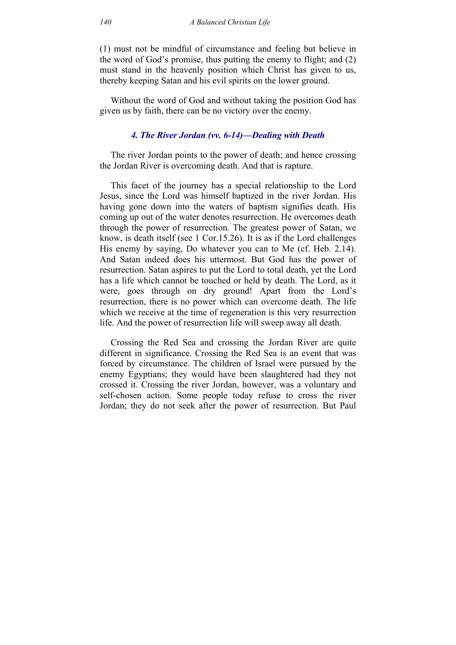(1) must not be mindful of circumstance and feeling but believe in the word of God's promise, thus putting the enemy to flight; and (2) must stand in the heavenly position which Christ has given to us, thereby keeping Satan and his evil spirits on the lower ground.

Without the word of God and without taking the position God has given us by faith, there can be no victory over the enemy.

# *4. The River Jordan (vv. 6-14)—Dealing with Death*

The river Jordan points to the power of death; and hence crossing the Jordan River is overcoming death. And that is rapture.

This facet of the journey has a special relationship to the Lord Jesus, since the Lord was himself baptized in the river Jordan. His having gone down into the waters of baptism signifies death. His coming up out of the water denotes resurrection. He overcomes death through the power of resurrection. The greatest power of Satan, we know, is death itself (see 1 Cor.15.26). It is as if the Lord challenges His enemy by saying, Do whatever you can to Me (cf. Heb. 2.14). And Satan indeed does his uttermost. But God has the power of resurrection. Satan aspires to put the Lord to total death, yet the Lord has a life which cannot be touched or held by death. The Lord, as it were, goes through on dry ground! Apart from the Lord's resurrection, there is no power which can overcome death. The life which we receive at the time of regeneration is this very resurrection life. And the power of resurrection life will sweep away all death.

Crossing the Red Sea and crossing the Jordan River are quite different in significance. Crossing the Red Sea is an event that was forced by circumstance. The children of Israel were pursued by the enemy Egyptians; they would have been slaughtered had they not crossed it. Crossing the river Jordan, however, was a voluntary and self-chosen action. Some people today refuse to cross the river Jordan; they do not seek after the power of resurrection. But Paul